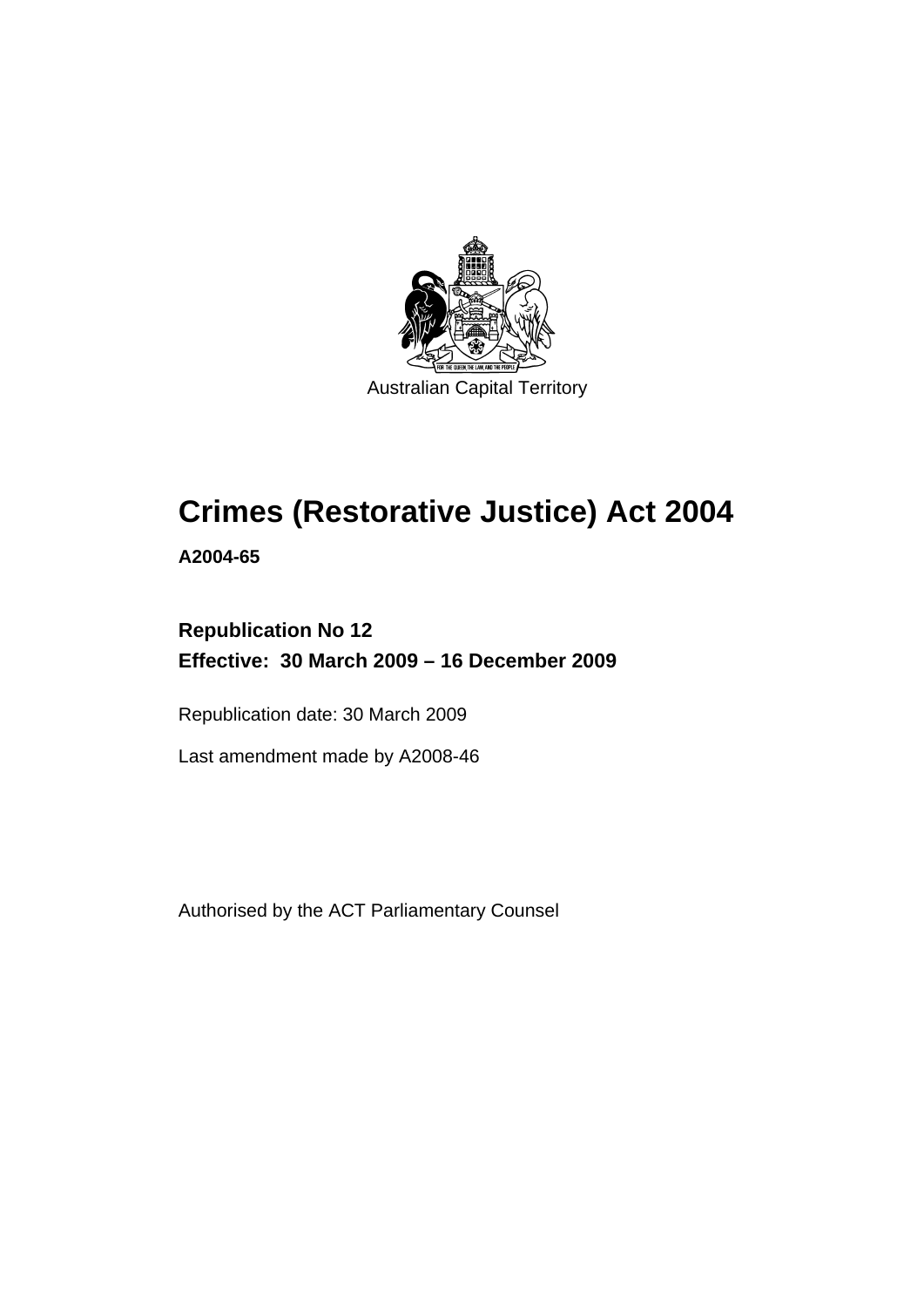

## **[Crimes \(Restorative Justice\) Act 2004](#page-8-0)**

**A2004-65** 

## **Republication No 12 Effective: 30 March 2009 – 16 December 2009**

Republication date: 30 March 2009

Last amendment made by A2008-46

Authorised by the ACT Parliamentary Counsel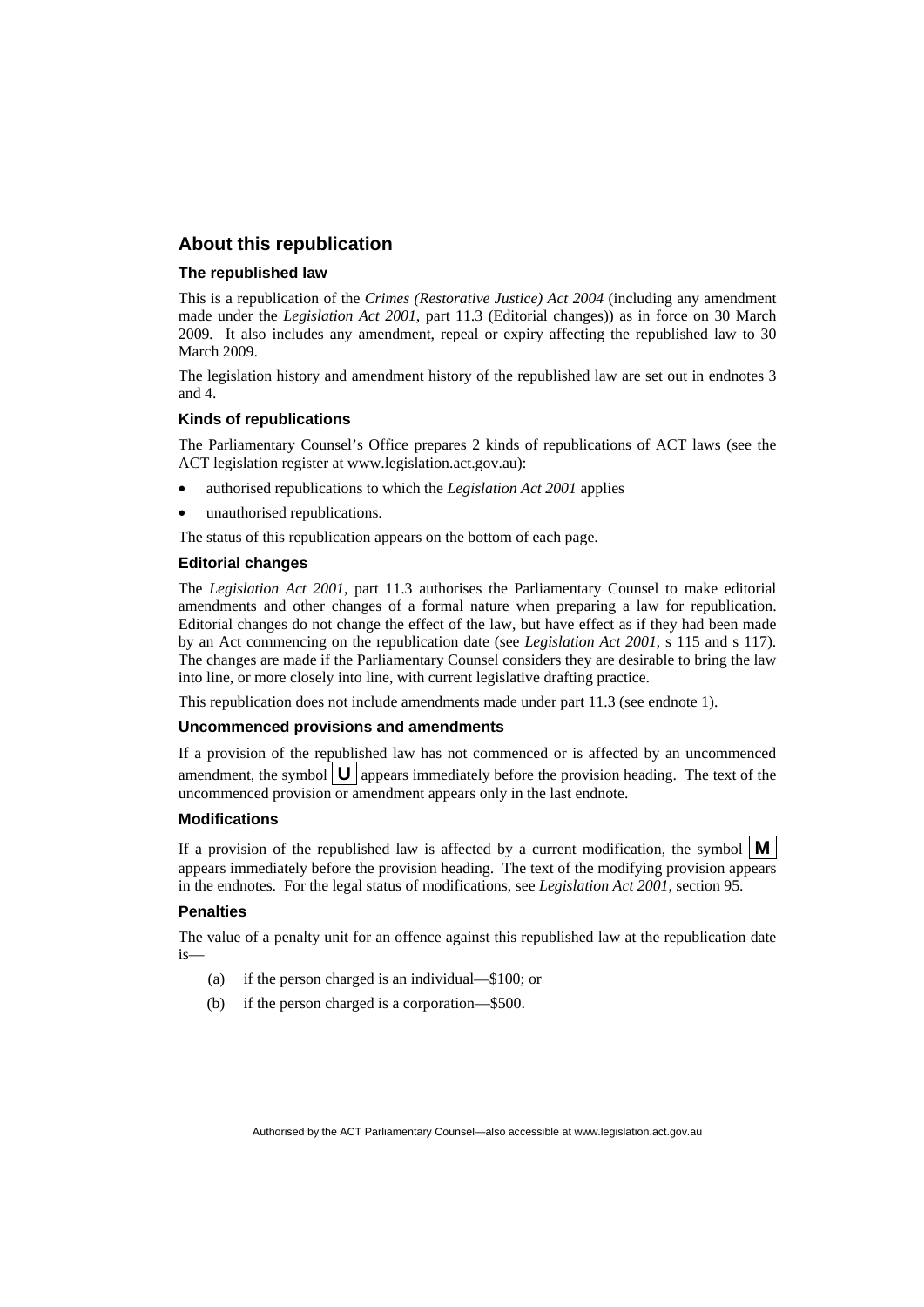#### **About this republication**

#### **The republished law**

This is a republication of the *Crimes (Restorative Justice) Act 2004* (including any amendment made under the *Legislation Act 2001*, part 11.3 (Editorial changes)) as in force on 30 March 2009*.* It also includes any amendment, repeal or expiry affecting the republished law to 30 March 2009.

The legislation history and amendment history of the republished law are set out in endnotes 3 and 4.

#### **Kinds of republications**

The Parliamentary Counsel's Office prepares 2 kinds of republications of ACT laws (see the ACT legislation register at www.legislation.act.gov.au):

- authorised republications to which the *Legislation Act 2001* applies
- unauthorised republications.

The status of this republication appears on the bottom of each page.

#### **Editorial changes**

The *Legislation Act 2001*, part 11.3 authorises the Parliamentary Counsel to make editorial amendments and other changes of a formal nature when preparing a law for republication. Editorial changes do not change the effect of the law, but have effect as if they had been made by an Act commencing on the republication date (see *Legislation Act 2001*, s 115 and s 117). The changes are made if the Parliamentary Counsel considers they are desirable to bring the law into line, or more closely into line, with current legislative drafting practice.

This republication does not include amendments made under part 11.3 (see endnote 1).

#### **Uncommenced provisions and amendments**

If a provision of the republished law has not commenced or is affected by an uncommenced amendment, the symbol  $\mathbf{U}$  appears immediately before the provision heading. The text of the uncommenced provision  $\overline{or}$  amendment appears only in the last endnote.

#### **Modifications**

If a provision of the republished law is affected by a current modification, the symbol  $\mathbf{M}$ appears immediately before the provision heading. The text of the modifying provision appears in the endnotes. For the legal status of modifications, see *Legislation Act 2001*, section 95.

#### **Penalties**

The value of a penalty unit for an offence against this republished law at the republication date is—

- (a) if the person charged is an individual—\$100; or
- (b) if the person charged is a corporation—\$500.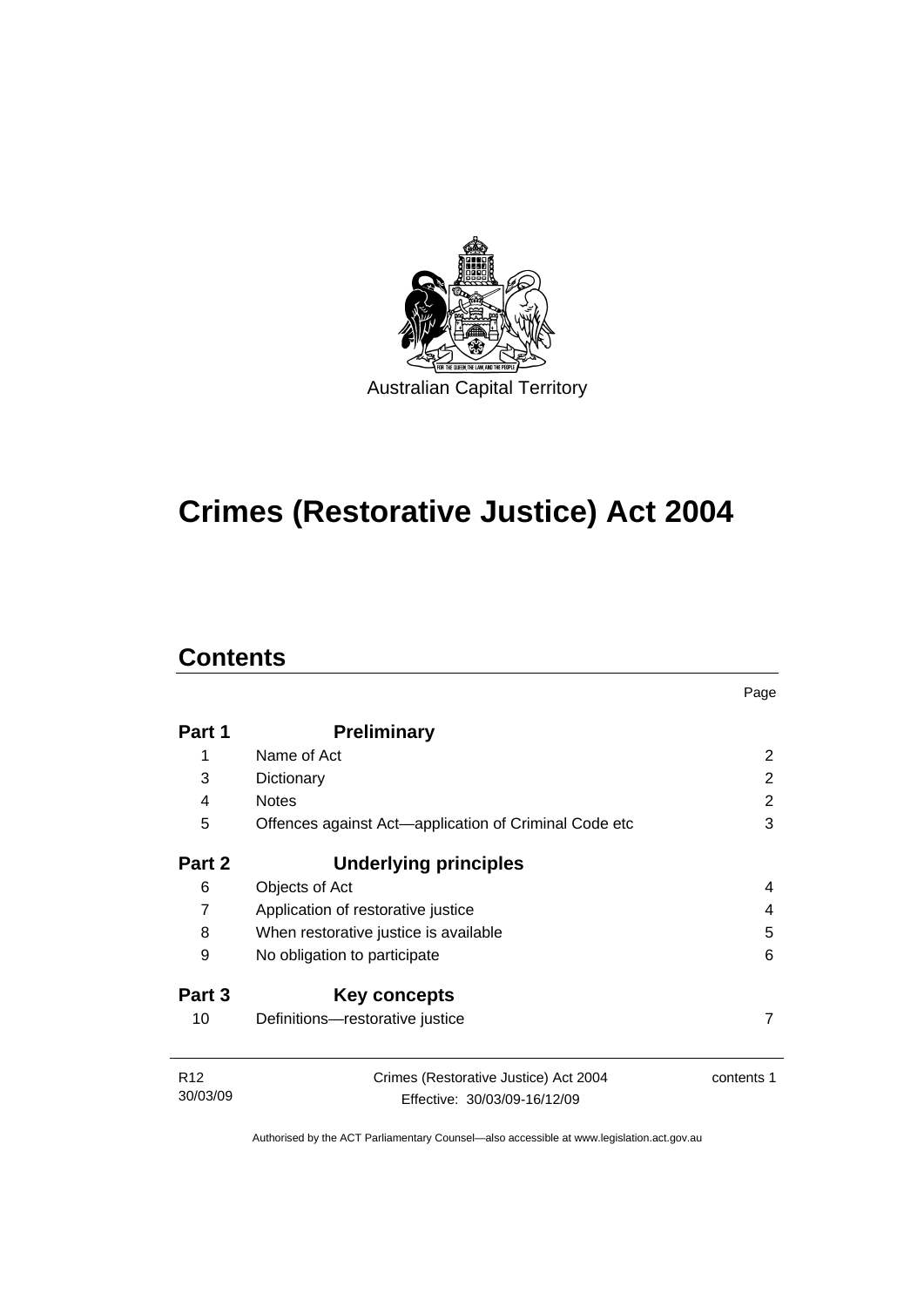

## **[Crimes \(Restorative Justice\) Act 2004](#page-8-0)**

## **Contents**

|                             |                                                                       | Page          |
|-----------------------------|-----------------------------------------------------------------------|---------------|
| Part 1                      | <b>Preliminary</b>                                                    |               |
| 1                           | Name of Act                                                           | 2             |
| 3                           | Dictionary                                                            | $\mathcal{P}$ |
| 4                           | <b>Notes</b>                                                          | 2             |
| 5                           | Offences against Act—application of Criminal Code etc                 | 3             |
| Part 2                      | <b>Underlying principles</b>                                          |               |
| 6                           | Objects of Act                                                        | 4             |
| $\overline{7}$              | Application of restorative justice                                    | 4             |
| 8                           | When restorative justice is available                                 | 5             |
| 9                           | No obligation to participate                                          | 6             |
| Part 3                      | Key concepts                                                          |               |
| 10                          | Definitions-restorative justice                                       | 7             |
| R <sub>12</sub><br>30/03/09 | Crimes (Restorative Justice) Act 2004<br>Effective: 30/03/09-16/12/09 | contents 1    |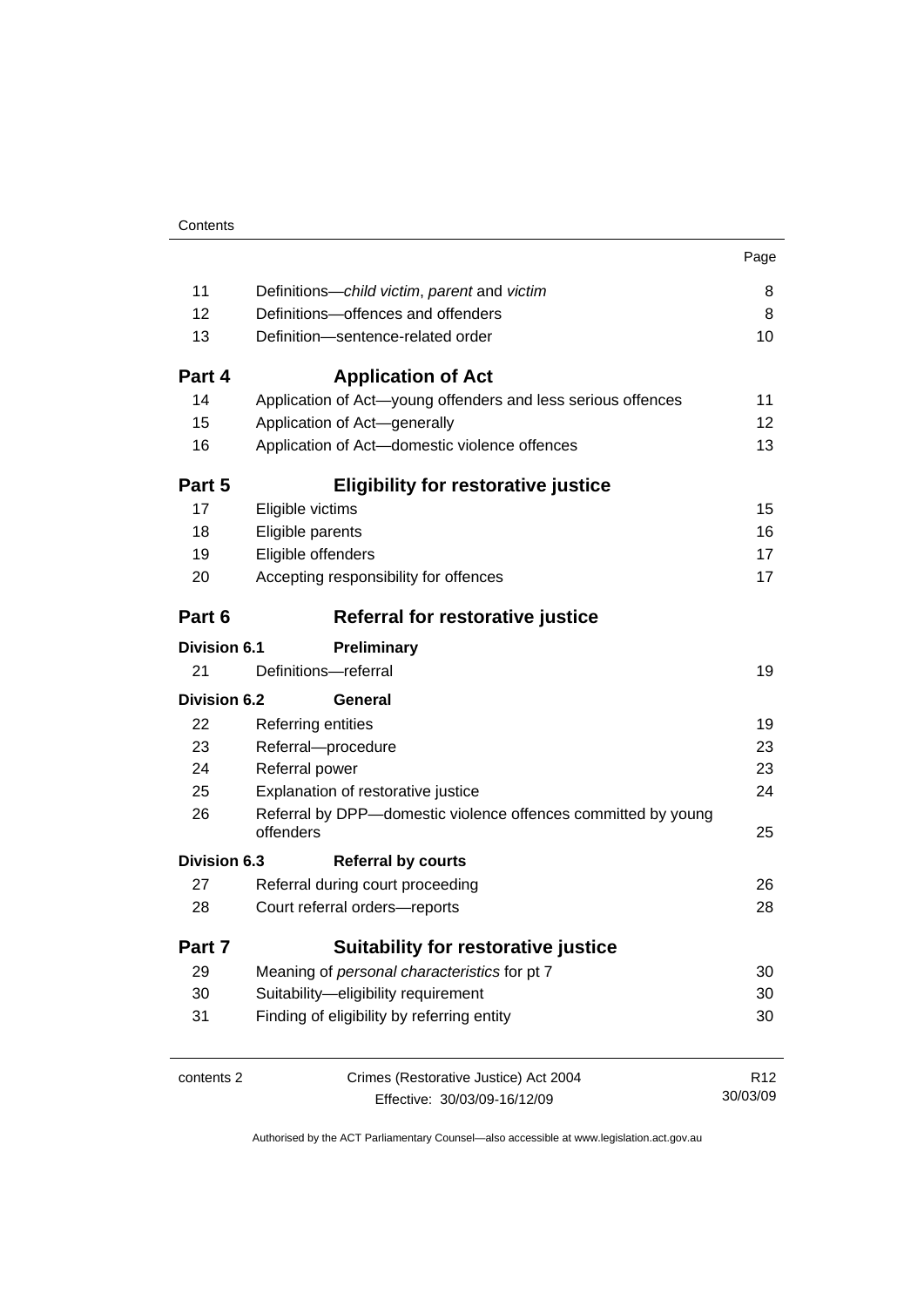|                     |                                                                            | Page            |  |
|---------------------|----------------------------------------------------------------------------|-----------------|--|
| 11                  | Definitions-child victim, parent and victim                                | 8               |  |
| 12                  | Definitions-offences and offenders                                         |                 |  |
| 13                  | Definition-sentence-related order                                          | 10              |  |
| Part 4              | <b>Application of Act</b>                                                  |                 |  |
| 14                  | Application of Act-young offenders and less serious offences               | 11              |  |
| 15                  | Application of Act-generally                                               | 12              |  |
| 16                  | Application of Act-domestic violence offences                              | 13              |  |
| Part 5              | <b>Eligibility for restorative justice</b>                                 |                 |  |
| 17                  | Eligible victims                                                           | 15              |  |
| 18                  | Eligible parents                                                           | 16              |  |
| 19                  | Eligible offenders                                                         | 17              |  |
| 20                  | Accepting responsibility for offences                                      | 17              |  |
| Part 6              | Referral for restorative justice                                           |                 |  |
| <b>Division 6.1</b> | Preliminary                                                                |                 |  |
| 21                  | Definitions-referral                                                       | 19              |  |
| <b>Division 6.2</b> | General                                                                    |                 |  |
| 22                  | Referring entities                                                         | 19              |  |
| 23                  | Referral-procedure                                                         | 23              |  |
| 24                  | Referral power                                                             | 23              |  |
| 25                  | Explanation of restorative justice                                         | 24              |  |
| 26                  | Referral by DPP-domestic violence offences committed by young<br>offenders | 25              |  |
| Division 6.3        | <b>Referral by courts</b>                                                  |                 |  |
| 27                  | Referral during court proceeding                                           | 26              |  |
| 28                  | Court referral orders-reports                                              | 28              |  |
| Part 7              | <b>Suitability for restorative justice</b>                                 |                 |  |
| 29                  | Meaning of personal characteristics for pt 7                               | 30              |  |
| 30                  | Suitability-eligibility requirement                                        |                 |  |
| 31                  | Finding of eligibility by referring entity                                 | 30              |  |
| contents 2          | Crimes (Restorative Justice) Act 2004                                      | R <sub>12</sub> |  |
|                     | Effective: 30/03/09-16/12/09                                               | 30/03/09        |  |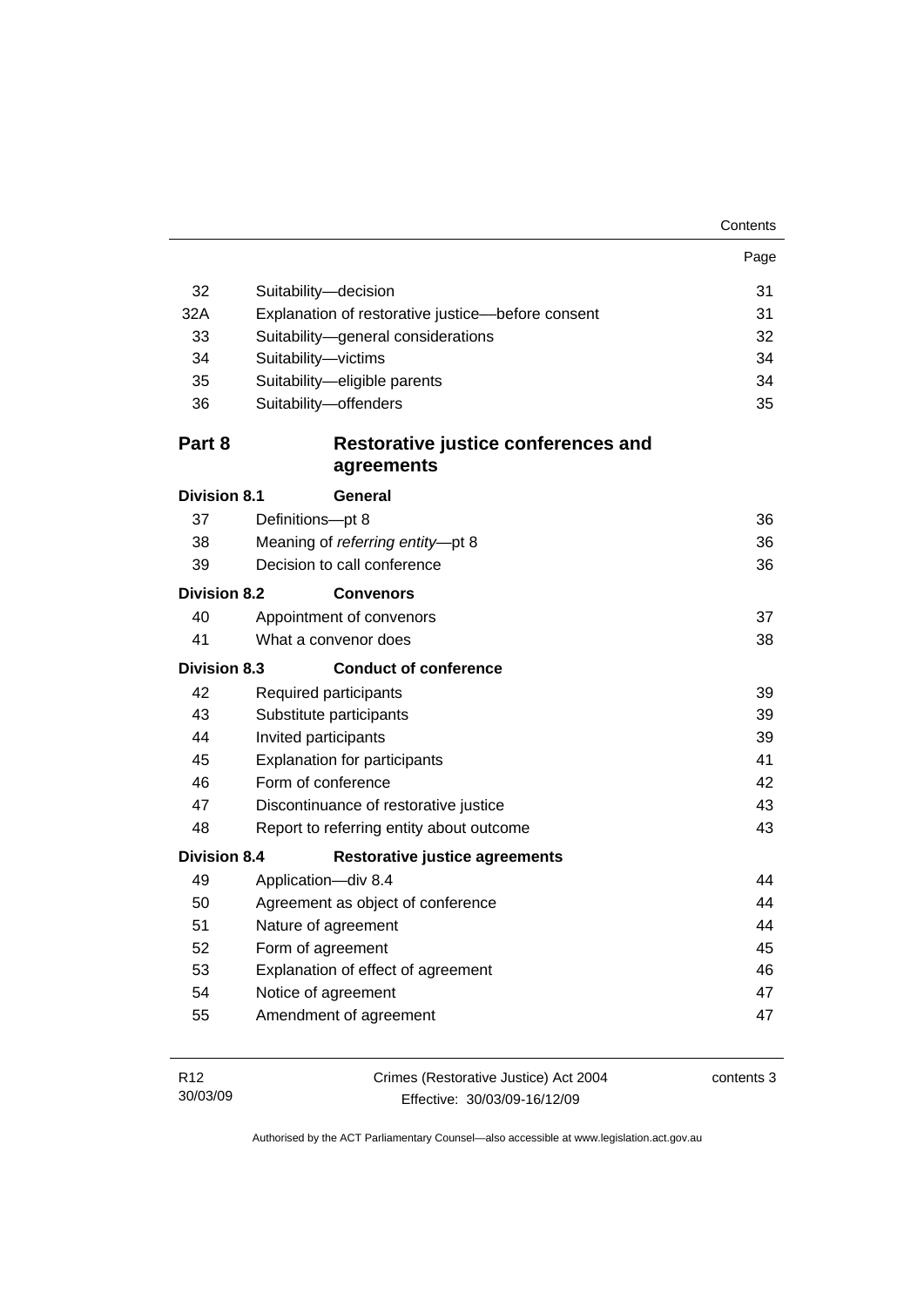| Contents |
|----------|
|----------|

|                     |                                                   | Page     |  |
|---------------------|---------------------------------------------------|----------|--|
| 32                  | Suitability-decision                              | 31       |  |
| 32A                 | Explanation of restorative justice-before consent |          |  |
| 33                  | Suitability-general considerations                | 32       |  |
| 34                  | Suitability-victims                               | 34       |  |
| 35                  | Suitability-eligible parents                      | 34       |  |
| 36                  | Suitability-offenders                             | 35       |  |
| Part 8              | Restorative justice conferences and<br>agreements |          |  |
| <b>Division 8.1</b> | General                                           |          |  |
| 37                  | Definitions-pt 8                                  | 36       |  |
| 38                  | Meaning of referring entity-pt 8                  |          |  |
| 39                  | Decision to call conference                       | 36<br>36 |  |
| <b>Division 8.2</b> | <b>Convenors</b>                                  |          |  |
| 40                  | Appointment of convenors                          | 37       |  |
| 41                  | What a convenor does                              | 38       |  |
| <b>Division 8.3</b> | <b>Conduct of conference</b>                      |          |  |
| 42                  | Required participants                             | 39       |  |
| 43                  | Substitute participants                           | 39       |  |
| 44                  | Invited participants<br>39                        |          |  |
| 45                  | <b>Explanation for participants</b>               | 41       |  |
| 46                  | Form of conference                                | 42       |  |
| 47                  | Discontinuance of restorative justice             |          |  |
| 48                  | Report to referring entity about outcome          | 43       |  |
| <b>Division 8.4</b> | <b>Restorative justice agreements</b>             |          |  |
| 49                  | Application-div 8.4                               | 44       |  |
| 50                  | Agreement as object of conference                 |          |  |
| 51                  | Nature of agreement                               |          |  |
| 52                  | Form of agreement                                 |          |  |
| 53                  | Explanation of effect of agreement                |          |  |
| 54                  | Notice of agreement                               | 47       |  |
| 55                  | Amendment of agreement                            | 47       |  |
|                     |                                                   |          |  |

| R12      | Crimes (Restorative Justice) Act 2004 | contents 3 |
|----------|---------------------------------------|------------|
| 30/03/09 | Effective: 30/03/09-16/12/09          |            |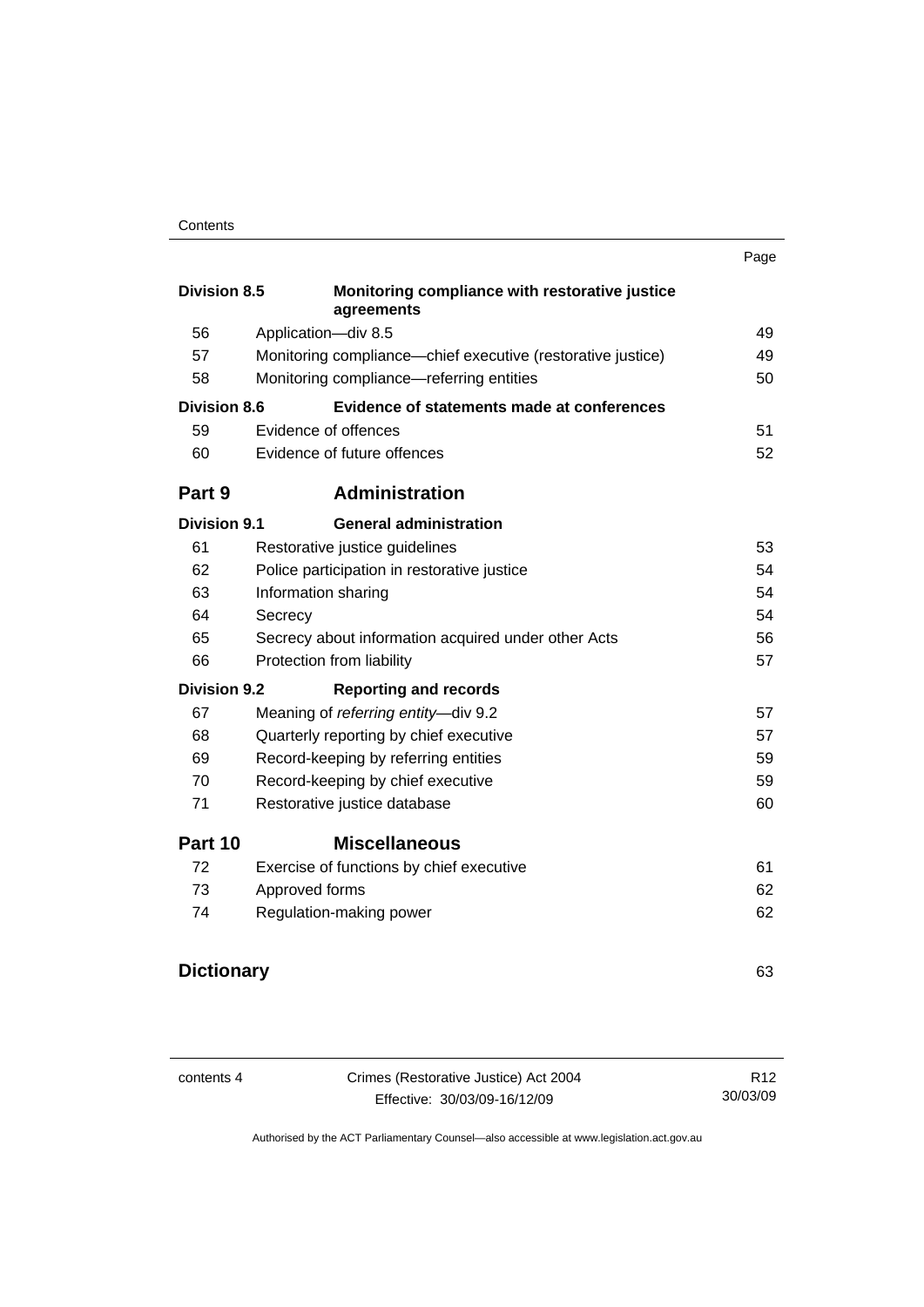|                     |                                                              | Page |  |
|---------------------|--------------------------------------------------------------|------|--|
| <b>Division 8.5</b> | Monitoring compliance with restorative justice<br>agreements |      |  |
| 56                  | Application-div 8.5                                          | 49   |  |
| 57                  | Monitoring compliance-chief executive (restorative justice)  | 49   |  |
| 58                  | Monitoring compliance-referring entities                     | 50   |  |
| <b>Division 8.6</b> | Evidence of statements made at conferences                   |      |  |
| 59                  | Evidence of offences                                         | 51   |  |
| 60                  | Evidence of future offences                                  | 52   |  |
| Part 9              | <b>Administration</b>                                        |      |  |
| <b>Division 9.1</b> | <b>General administration</b>                                |      |  |
| 61                  | Restorative justice guidelines                               | 53   |  |
| 62                  | Police participation in restorative justice                  | 54   |  |
| 63                  | Information sharing                                          |      |  |
| 64                  | Secrecy                                                      |      |  |
| 65                  | Secrecy about information acquired under other Acts          |      |  |
| 66                  | Protection from liability                                    | 57   |  |
| <b>Division 9.2</b> | <b>Reporting and records</b>                                 |      |  |
| 67                  | Meaning of referring entity-div 9.2                          | 57   |  |
| 68                  | Quarterly reporting by chief executive                       | 57   |  |
| 69                  | Record-keeping by referring entities                         | 59   |  |
| 70                  | Record-keeping by chief executive                            | 59   |  |
| 71                  | Restorative justice database                                 |      |  |
| Part 10             | <b>Miscellaneous</b>                                         |      |  |
| 72                  | Exercise of functions by chief executive                     | 61   |  |
| 73                  | Approved forms                                               | 62   |  |
| 74                  | Regulation-making power                                      | 62   |  |
| <b>Dictionary</b>   |                                                              | 63   |  |
|                     |                                                              |      |  |

| contents 4 | Crimes (Restorative Justice) Act 2004 | R <sub>12</sub> |
|------------|---------------------------------------|-----------------|
|            | Effective: 30/03/09-16/12/09          | 30/03/09        |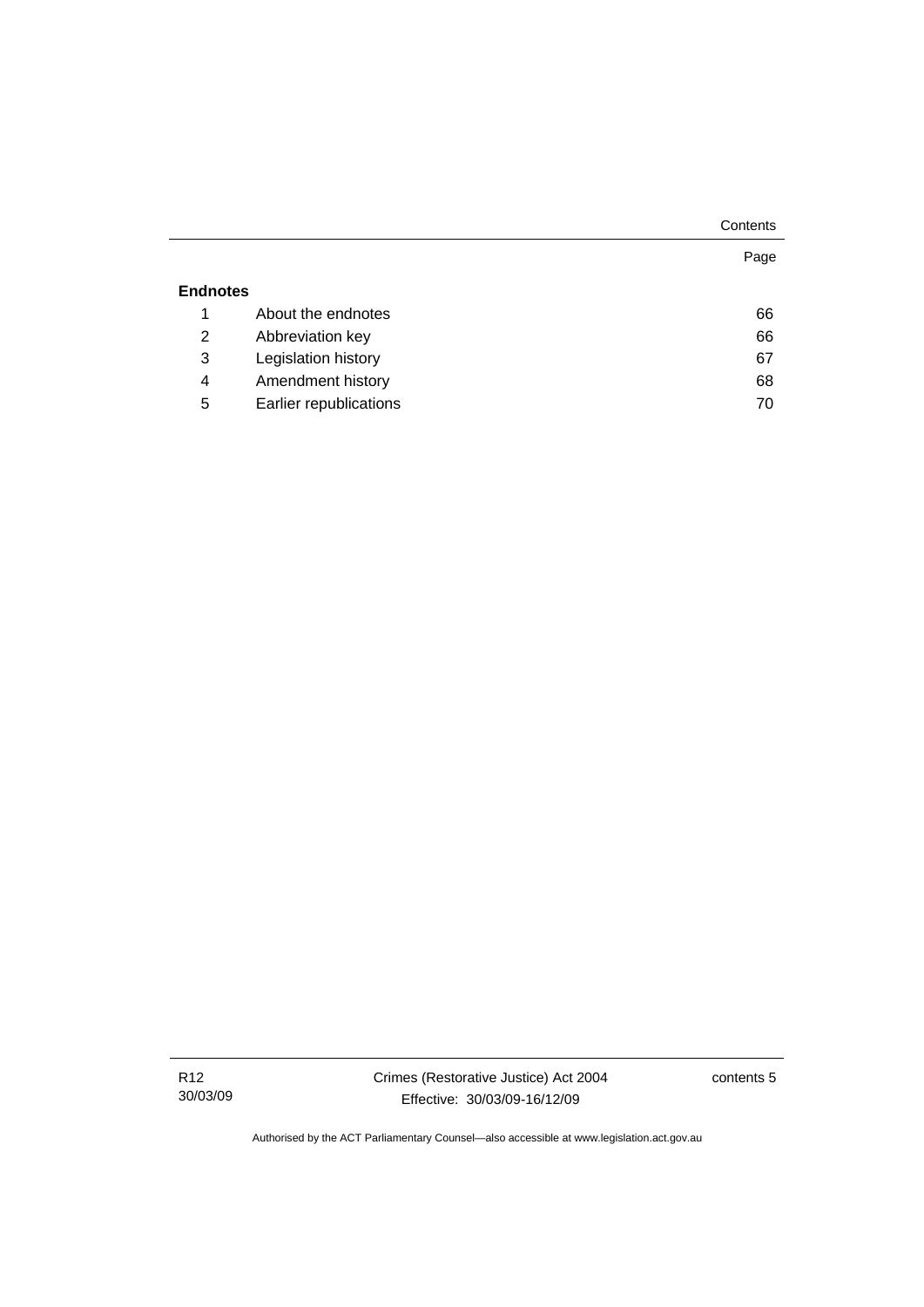|                 |                        | Contents |
|-----------------|------------------------|----------|
|                 |                        | Page     |
| <b>Endnotes</b> |                        |          |
| 1               | About the endnotes     | 66       |
| 2               | Abbreviation key       | 66       |
| 3               | Legislation history    | 67       |
| 4               | Amendment history      | 68       |
| 5               | Earlier republications | 70       |

R12 30/03/09 contents 5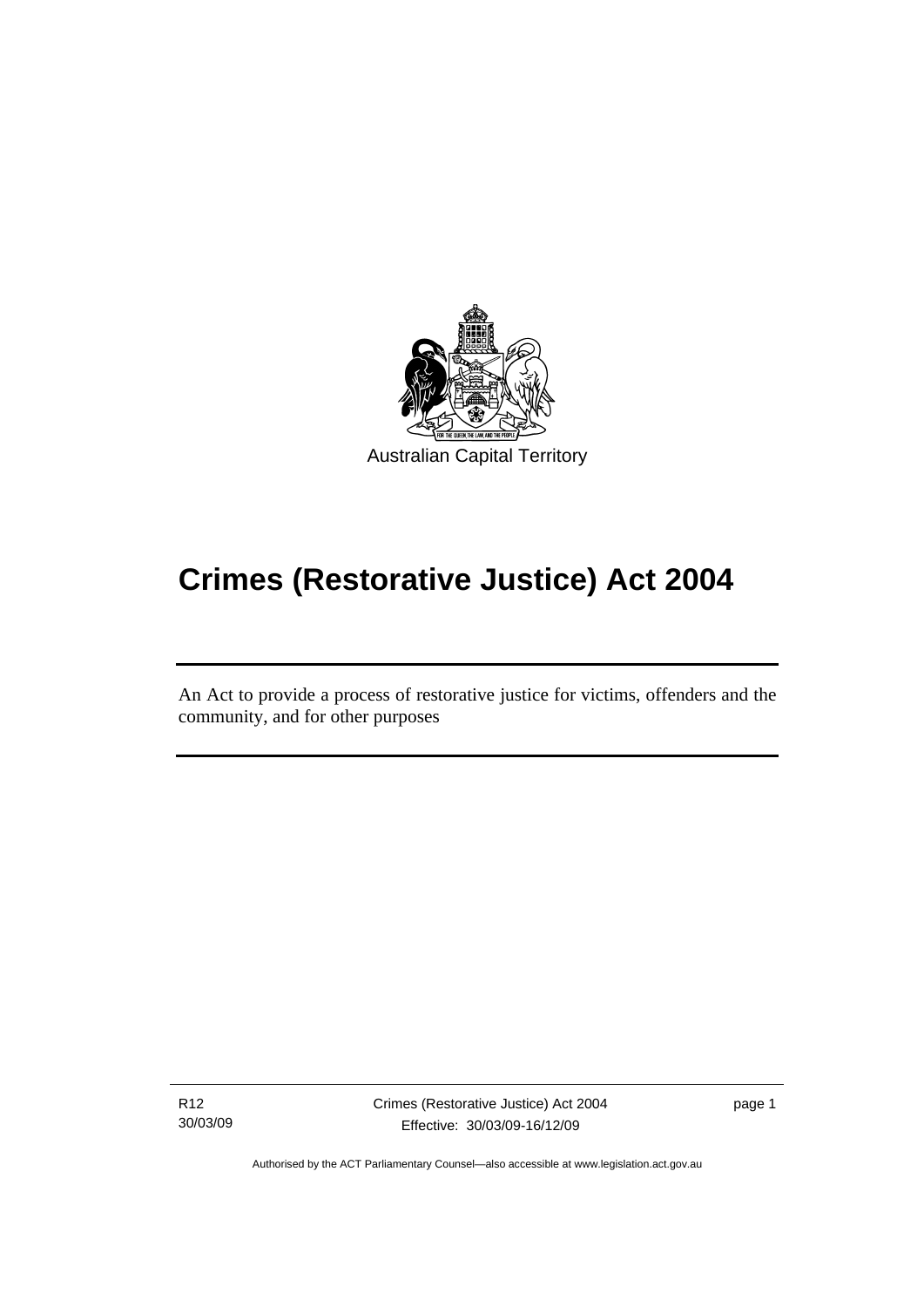<span id="page-8-0"></span>

# **Crimes (Restorative Justice) Act 2004**

An Act to provide a process of restorative justice for victims, offenders and the community, and for other purposes

R12 30/03/09

Ī

Crimes (Restorative Justice) Act 2004 Effective: 30/03/09-16/12/09

page 1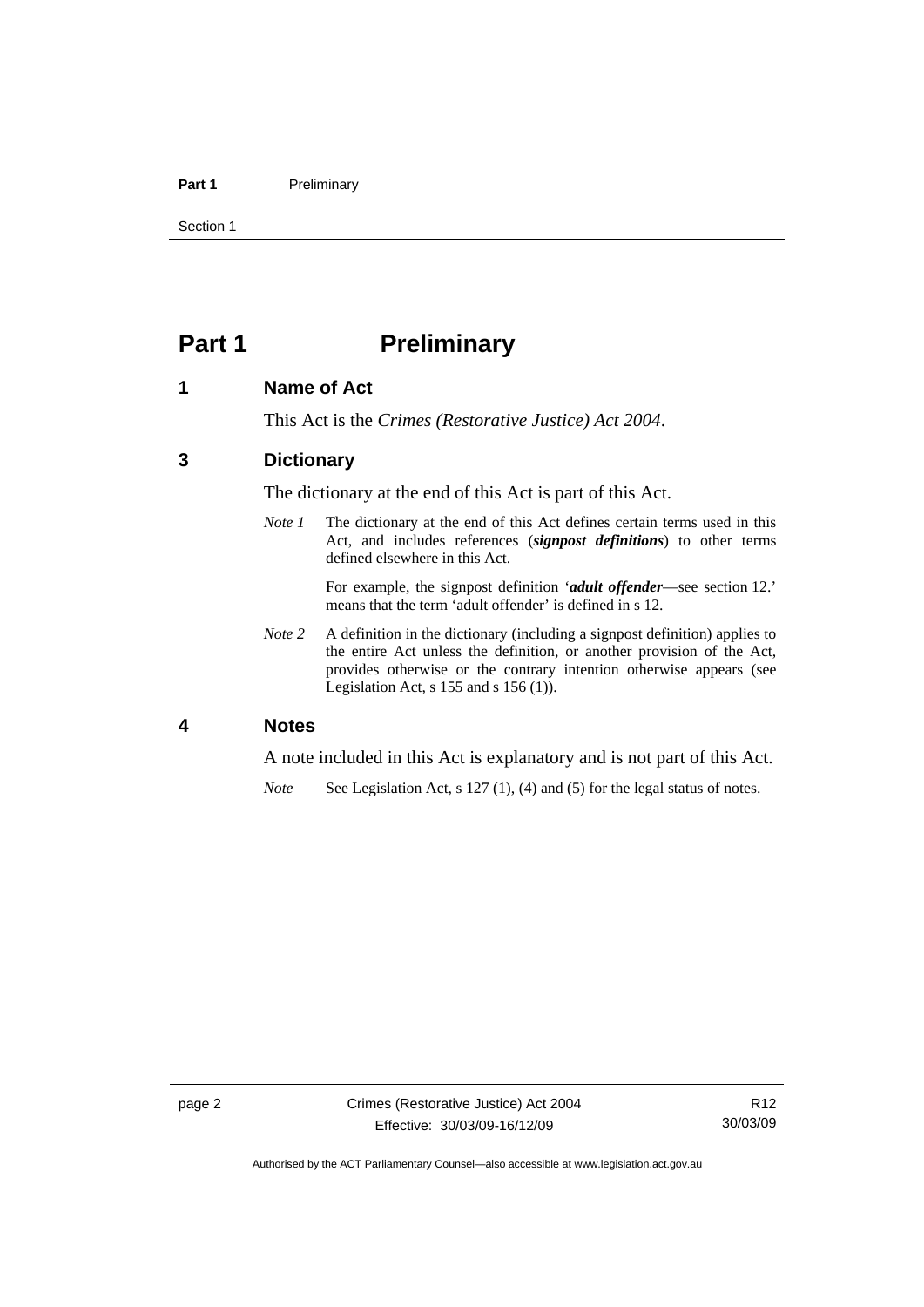#### <span id="page-9-0"></span>Part 1 **Preliminary**

Section 1

## **Part 1** Preliminary

#### **1 Name of Act**

This Act is the *Crimes (Restorative Justice) Act 2004*.

#### **3 Dictionary**

The dictionary at the end of this Act is part of this Act.

*Note 1* The dictionary at the end of this Act defines certain terms used in this Act, and includes references (*signpost definitions*) to other terms defined elsewhere in this Act.

> For example, the signpost definition '*adult offender*—see section 12.' means that the term 'adult offender' is defined in s 12.

*Note 2* A definition in the dictionary (including a signpost definition) applies to the entire Act unless the definition, or another provision of the Act, provides otherwise or the contrary intention otherwise appears (see Legislation Act,  $s$  155 and  $s$  156 (1)).

#### **4 Notes**

A note included in this Act is explanatory and is not part of this Act.

*Note* See Legislation Act, s 127 (1), (4) and (5) for the legal status of notes.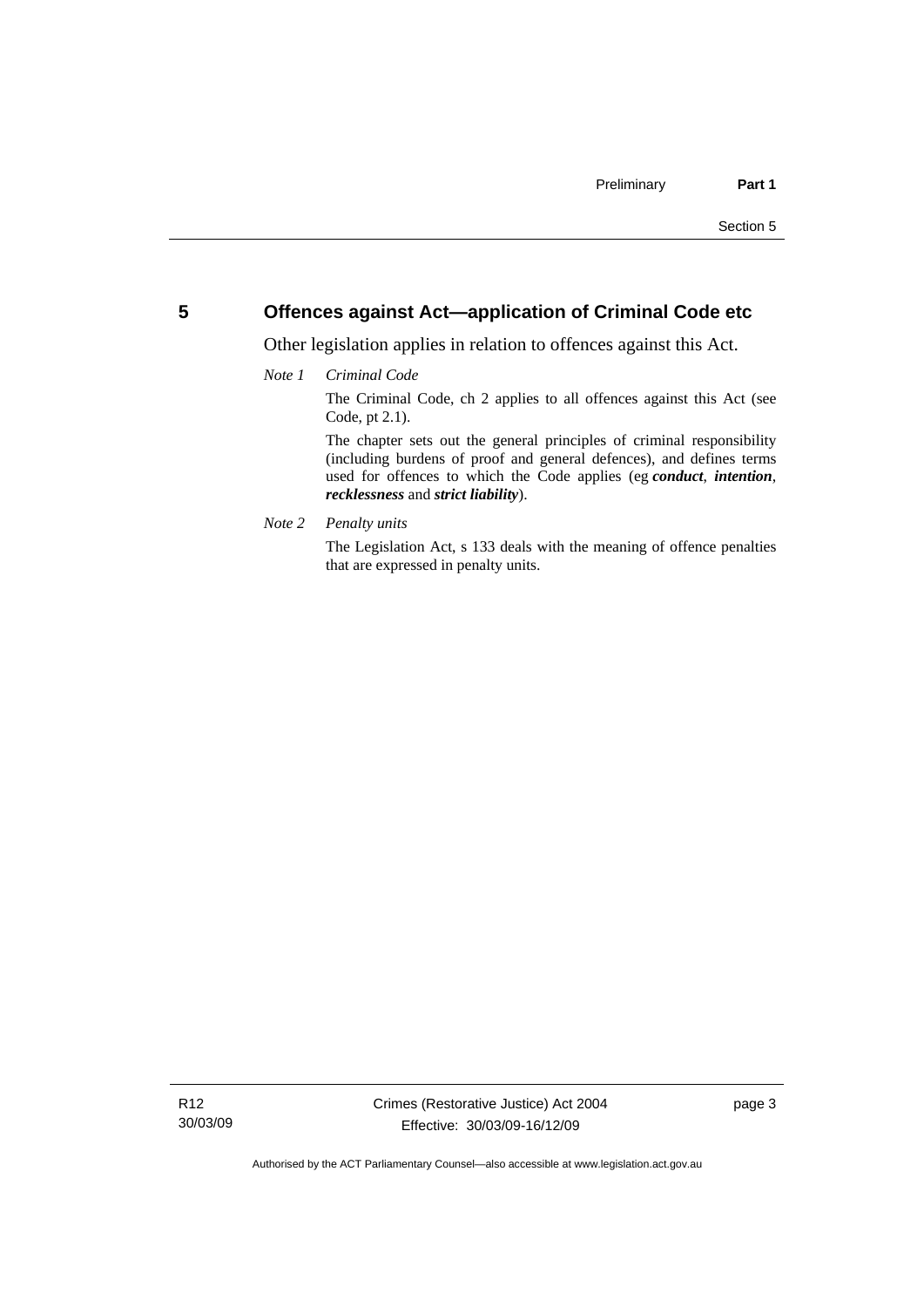#### <span id="page-10-0"></span>**5 Offences against Act—application of Criminal Code etc**

Other legislation applies in relation to offences against this Act.

#### *Note 1 Criminal Code*

The Criminal Code, ch 2 applies to all offences against this Act (see Code, pt 2.1).

The chapter sets out the general principles of criminal responsibility (including burdens of proof and general defences), and defines terms used for offences to which the Code applies (eg *conduct*, *intention*, *recklessness* and *strict liability*).

*Note 2 Penalty units* 

The Legislation Act, s 133 deals with the meaning of offence penalties that are expressed in penalty units.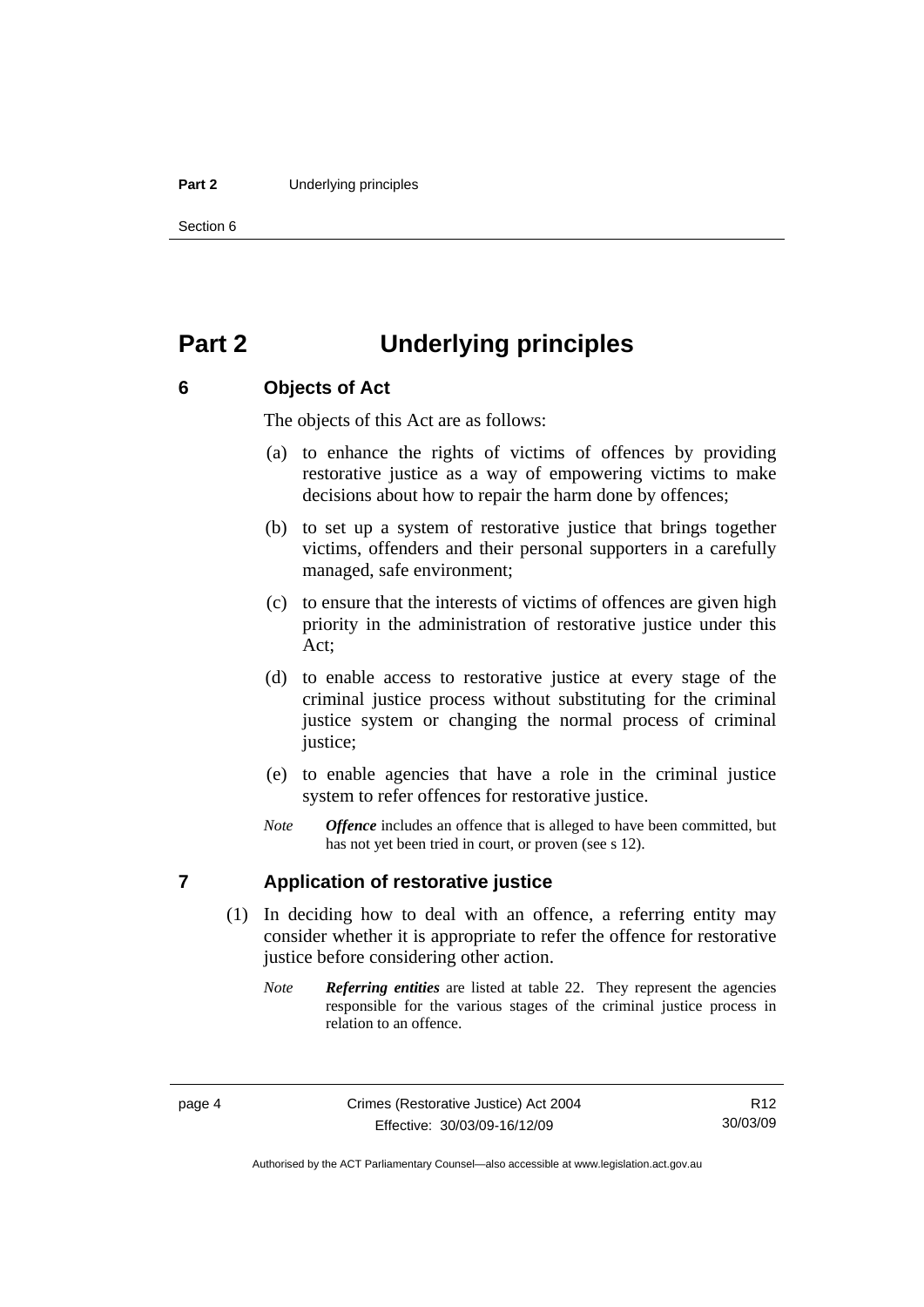#### <span id="page-11-0"></span>**Part 2** Underlying principles

Section 6

## **Part 2 Underlying principles**

#### **6 Objects of Act**

The objects of this Act are as follows:

- (a) to enhance the rights of victims of offences by providing restorative justice as a way of empowering victims to make decisions about how to repair the harm done by offences;
- (b) to set up a system of restorative justice that brings together victims, offenders and their personal supporters in a carefully managed, safe environment;
- (c) to ensure that the interests of victims of offences are given high priority in the administration of restorative justice under this Act;
- (d) to enable access to restorative justice at every stage of the criminal justice process without substituting for the criminal justice system or changing the normal process of criminal justice;
- (e) to enable agencies that have a role in the criminal justice system to refer offences for restorative justice.
- *Note Offence* includes an offence that is alleged to have been committed, but has not yet been tried in court, or proven (see s 12).

#### **7 Application of restorative justice**

- (1) In deciding how to deal with an offence, a referring entity may consider whether it is appropriate to refer the offence for restorative justice before considering other action.
	- *Note Referring entities* are listed at table 22. They represent the agencies responsible for the various stages of the criminal justice process in relation to an offence.

R12 30/03/09

Authorised by the ACT Parliamentary Counsel—also accessible at www.legislation.act.gov.au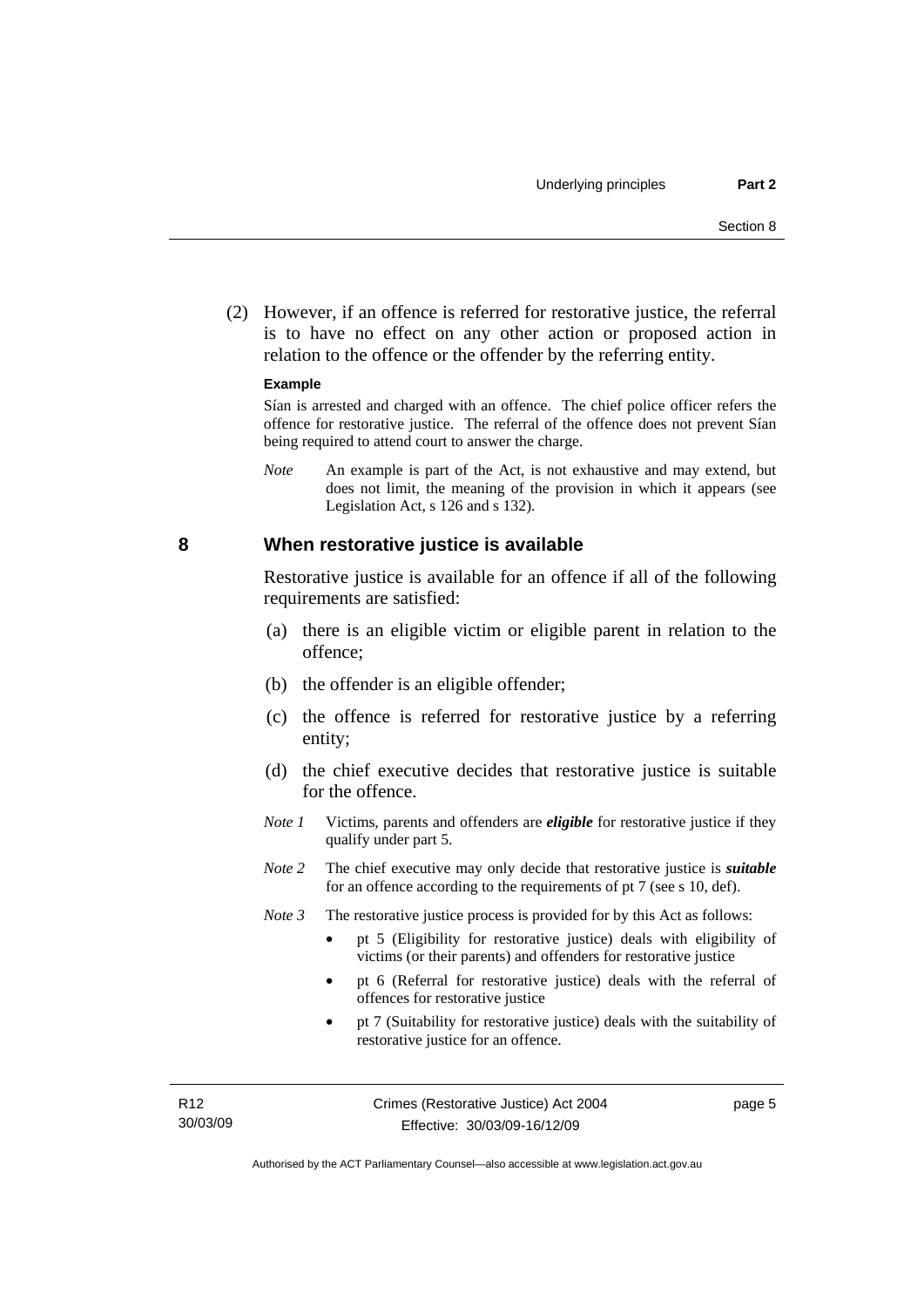<span id="page-12-0"></span> (2) However, if an offence is referred for restorative justice, the referral is to have no effect on any other action or proposed action in relation to the offence or the offender by the referring entity.

#### **Example**

Sían is arrested and charged with an offence. The chief police officer refers the offence for restorative justice. The referral of the offence does not prevent Sían being required to attend court to answer the charge.

*Note* An example is part of the Act, is not exhaustive and may extend, but does not limit, the meaning of the provision in which it appears (see Legislation Act, s 126 and s 132).

#### **8 When restorative justice is available**

Restorative justice is available for an offence if all of the following requirements are satisfied:

- (a) there is an eligible victim or eligible parent in relation to the offence;
- (b) the offender is an eligible offender;
- (c) the offence is referred for restorative justice by a referring entity;
- (d) the chief executive decides that restorative justice is suitable for the offence.
- *Note 1* Victims, parents and offenders are *eligible* for restorative justice if they qualify under part 5.
- *Note 2* The chief executive may only decide that restorative justice is *suitable*  for an offence according to the requirements of pt 7 (see s 10, def).
- *Note 3* The restorative justice process is provided for by this Act as follows:
	- pt 5 (Eligibility for restorative justice) deals with eligibility of victims (or their parents) and offenders for restorative justice
	- pt 6 (Referral for restorative justice) deals with the referral of offences for restorative justice
	- pt 7 (Suitability for restorative justice) deals with the suitability of restorative justice for an offence.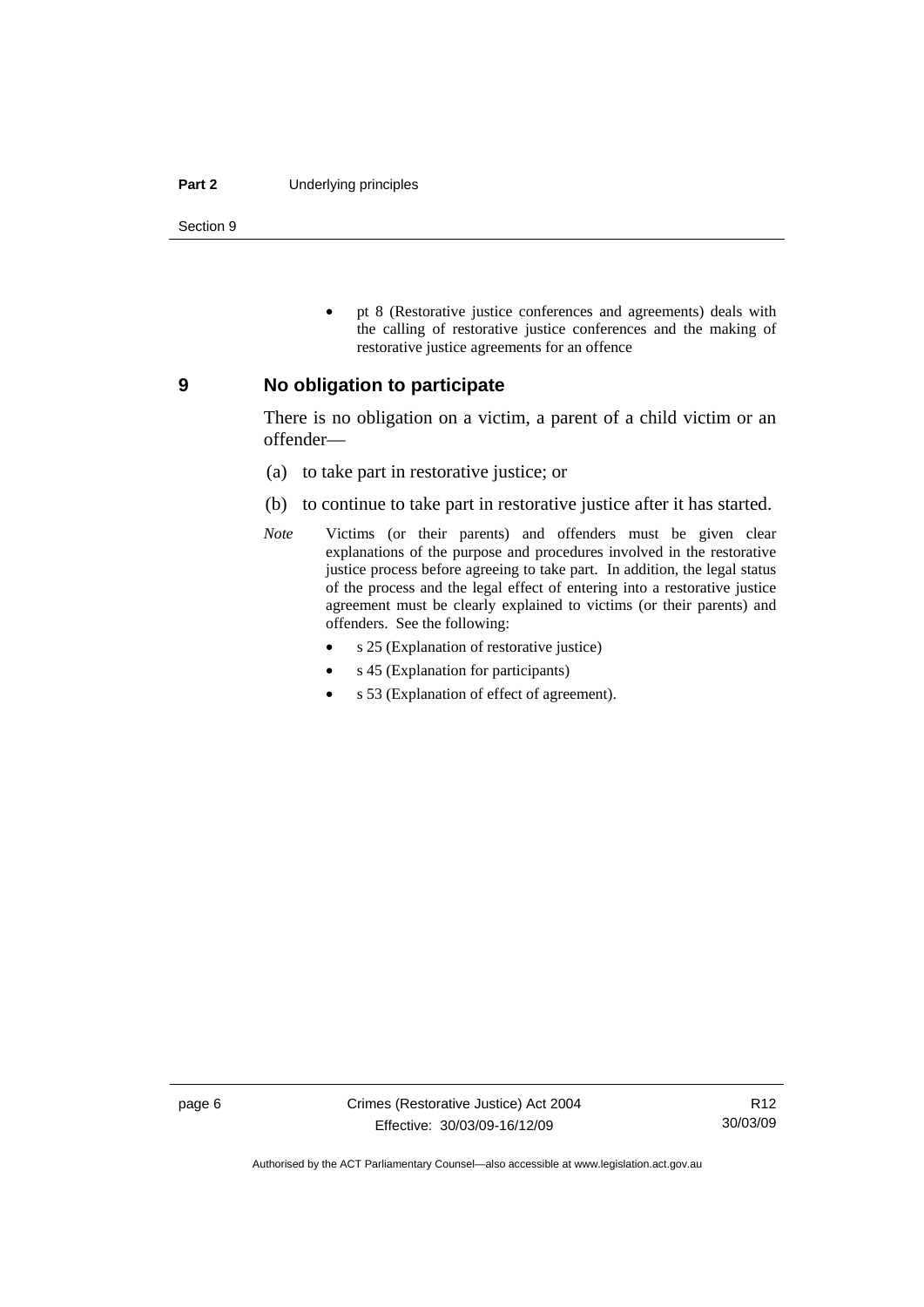#### <span id="page-13-0"></span>**Part 2** Underlying principles

Section 9

• pt 8 (Restorative justice conferences and agreements) deals with the calling of restorative justice conferences and the making of restorative justice agreements for an offence

#### **9 No obligation to participate**

There is no obligation on a victim, a parent of a child victim or an offender—

- (a) to take part in restorative justice; or
- (b) to continue to take part in restorative justice after it has started.
- *Note* Victims (or their parents) and offenders must be given clear explanations of the purpose and procedures involved in the restorative justice process before agreeing to take part. In addition, the legal status of the process and the legal effect of entering into a restorative justice agreement must be clearly explained to victims (or their parents) and offenders. See the following:
	- s 25 (Explanation of restorative justice)
	- s 45 (Explanation for participants)
	- s 53 (Explanation of effect of agreement).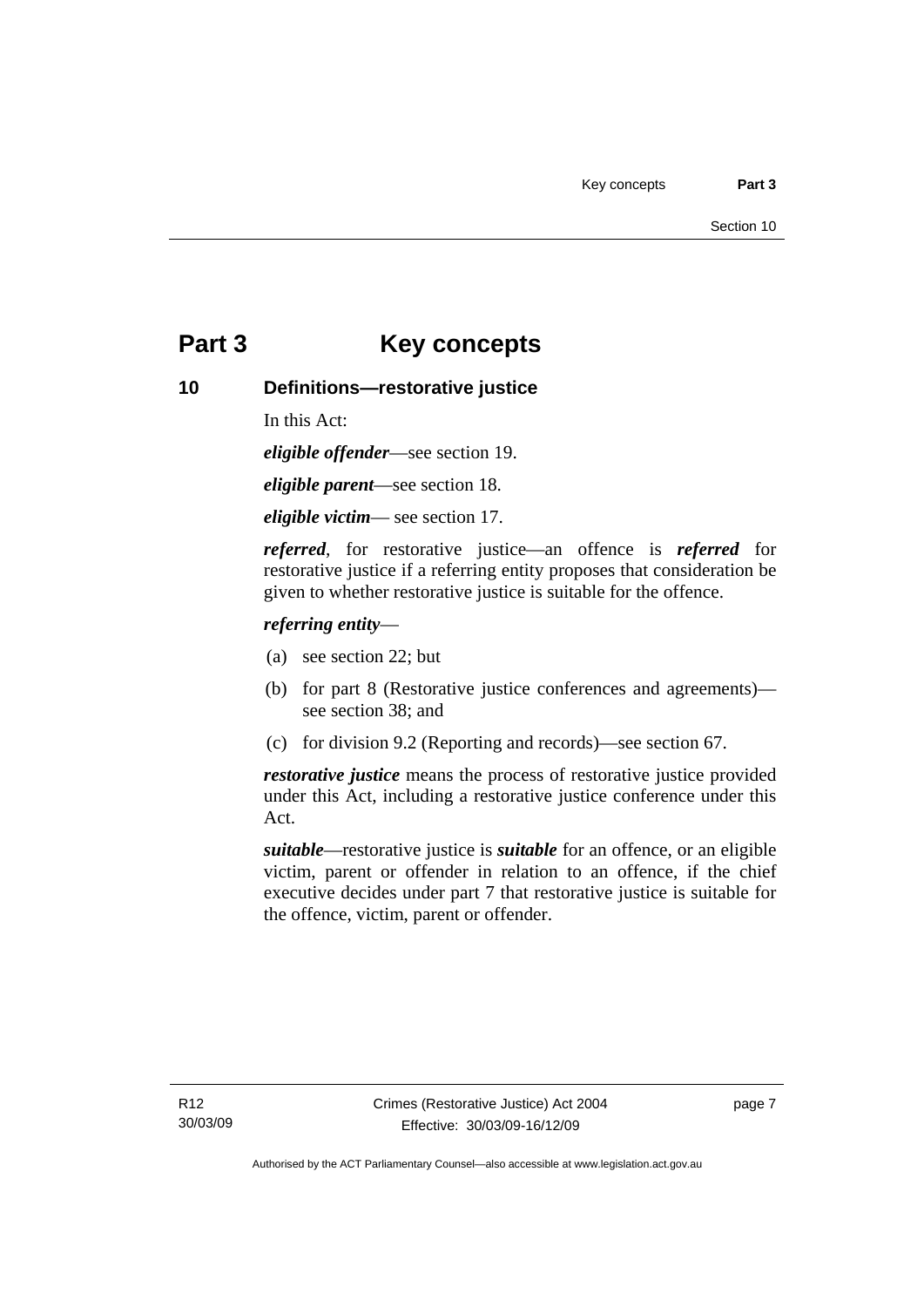## <span id="page-14-0"></span>**Part 3 Key concepts**

#### **10 Definitions—restorative justice**

In this Act:

*eligible offender*—see section 19.

*eligible parent*—see section 18.

*eligible victim*— see section 17.

*referred*, for restorative justice—an offence is *referred* for restorative justice if a referring entity proposes that consideration be given to whether restorative justice is suitable for the offence.

#### *referring entity*—

- (a) see section 22; but
- (b) for part 8 (Restorative justice conferences and agreements) see section 38; and
- (c) for division 9.2 (Reporting and records)—see section 67.

*restorative justice* means the process of restorative justice provided under this Act, including a restorative justice conference under this Act.

*suitable*—restorative justice is *suitable* for an offence, or an eligible victim, parent or offender in relation to an offence, if the chief executive decides under part 7 that restorative justice is suitable for the offence, victim, parent or offender.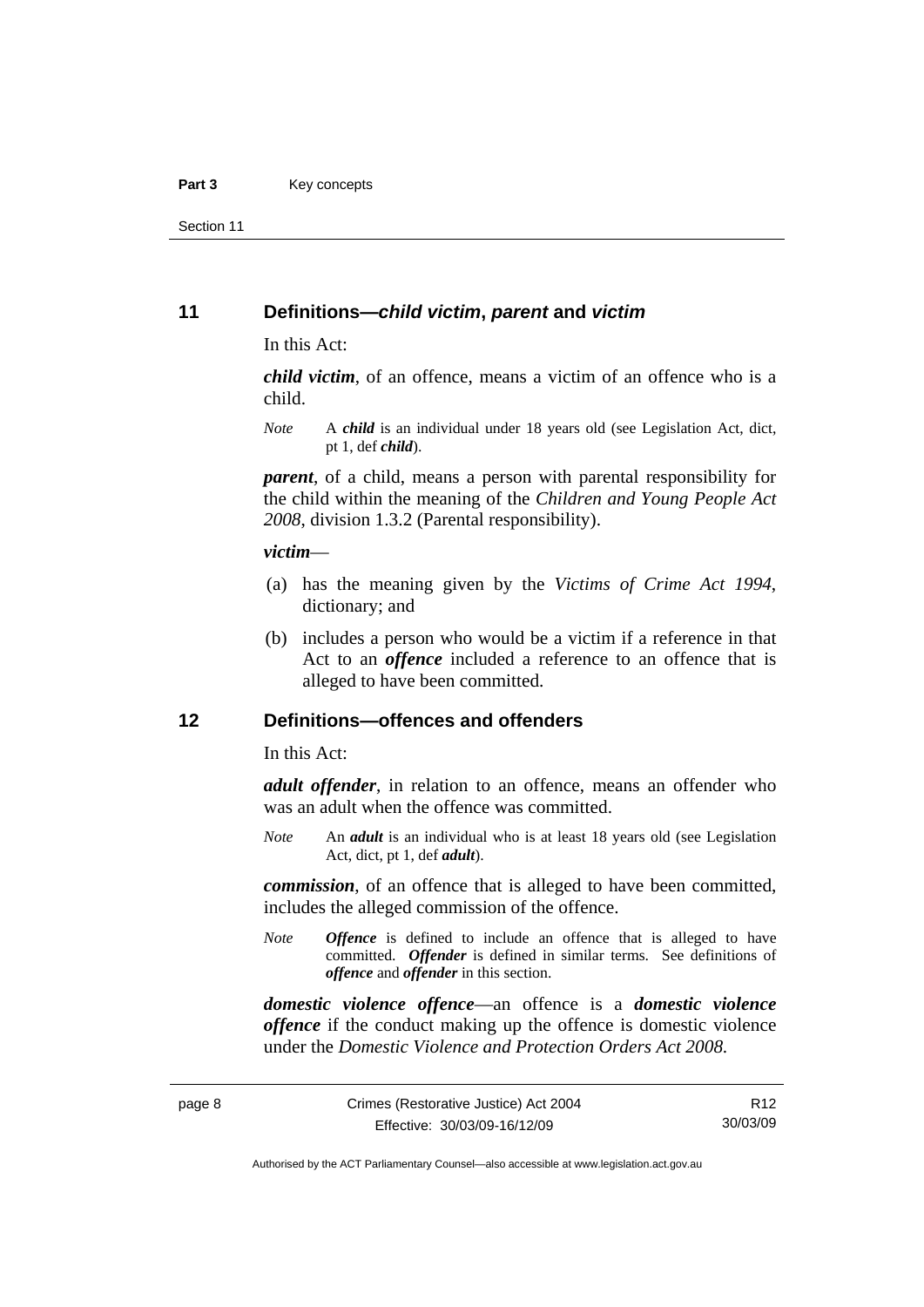<span id="page-15-0"></span>Section 11

#### **11 Definitions—***child victim***,** *parent* **and** *victim*

In this Act:

*child victim*, of an offence, means a victim of an offence who is a child.

*Note* A *child* is an individual under 18 years old (see Legislation Act, dict, pt 1, def *child*).

*parent*, of a child, means a person with parental responsibility for the child within the meaning of the *Children and Young People Act 2008*, division 1.3.2 (Parental responsibility).

#### *victim*—

- (a) has the meaning given by the *Victims of Crime Act 1994*, dictionary; and
- (b) includes a person who would be a victim if a reference in that Act to an *offence* included a reference to an offence that is alleged to have been committed.

#### **12 Definitions—offences and offenders**

In this Act:

*adult offender*, in relation to an offence, means an offender who was an adult when the offence was committed.

*Note* An *adult* is an individual who is at least 18 years old (see Legislation Act, dict, pt 1, def *adult*).

*commission*, of an offence that is alleged to have been committed, includes the alleged commission of the offence.

*Note Offence* is defined to include an offence that is alleged to have committed. *Offender* is defined in similar terms. See definitions of *offence* and *offender* in this section.

*domestic violence offence*—an offence is a *domestic violence offence* if the conduct making up the offence is domestic violence under the *Domestic Violence and Protection Orders Act 2008*.

R12 30/03/09

Authorised by the ACT Parliamentary Counsel—also accessible at www.legislation.act.gov.au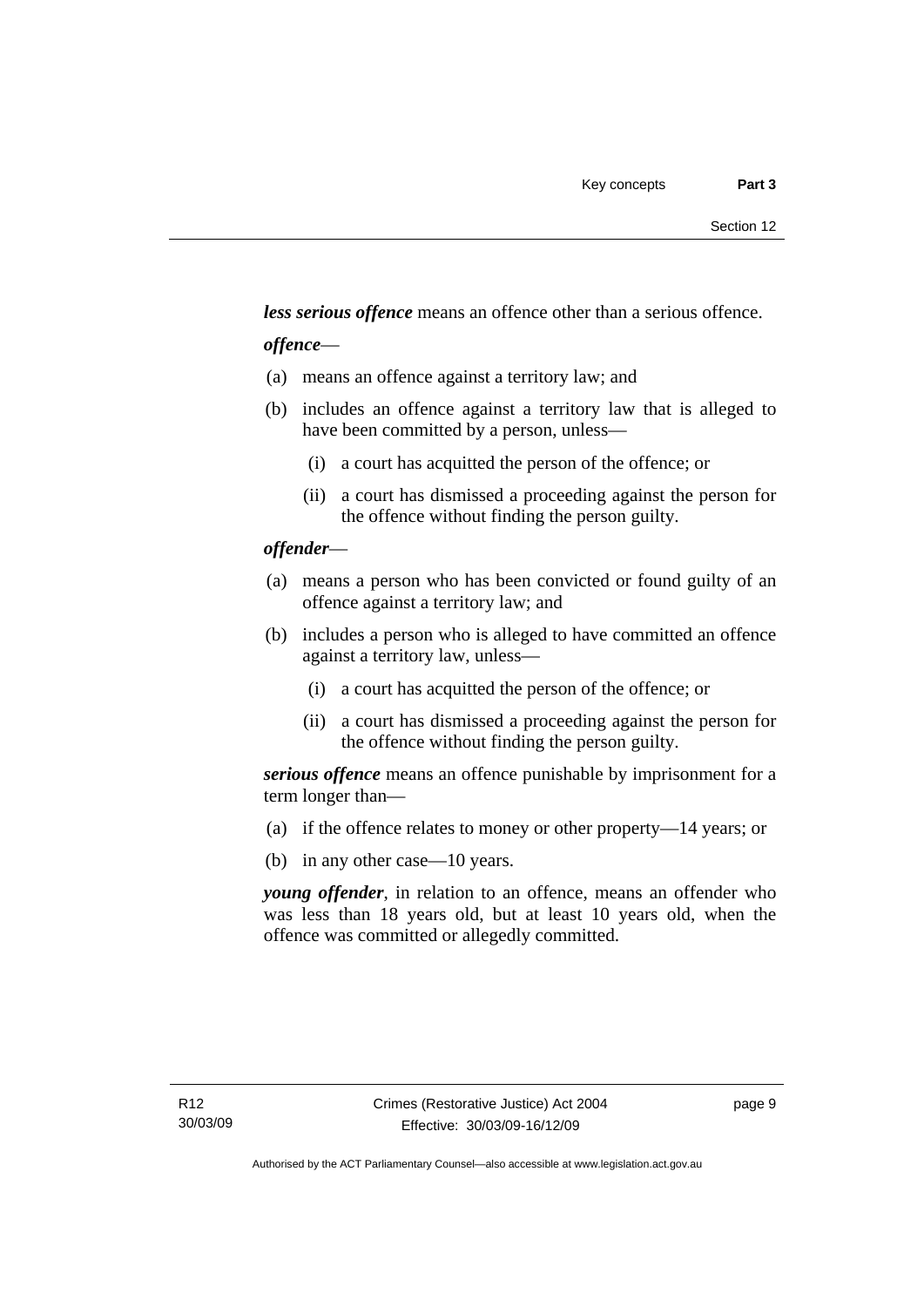*less serious offence* means an offence other than a serious offence.

#### *offence*—

- (a) means an offence against a territory law; and
- (b) includes an offence against a territory law that is alleged to have been committed by a person, unless—
	- (i) a court has acquitted the person of the offence; or
	- (ii) a court has dismissed a proceeding against the person for the offence without finding the person guilty.

#### *offender*—

- (a) means a person who has been convicted or found guilty of an offence against a territory law; and
- (b) includes a person who is alleged to have committed an offence against a territory law, unless—
	- (i) a court has acquitted the person of the offence; or
	- (ii) a court has dismissed a proceeding against the person for the offence without finding the person guilty.

*serious offence* means an offence punishable by imprisonment for a term longer than—

- (a) if the offence relates to money or other property—14 years; or
- (b) in any other case—10 years.

*young offender*, in relation to an offence, means an offender who was less than 18 years old, but at least 10 years old, when the offence was committed or allegedly committed.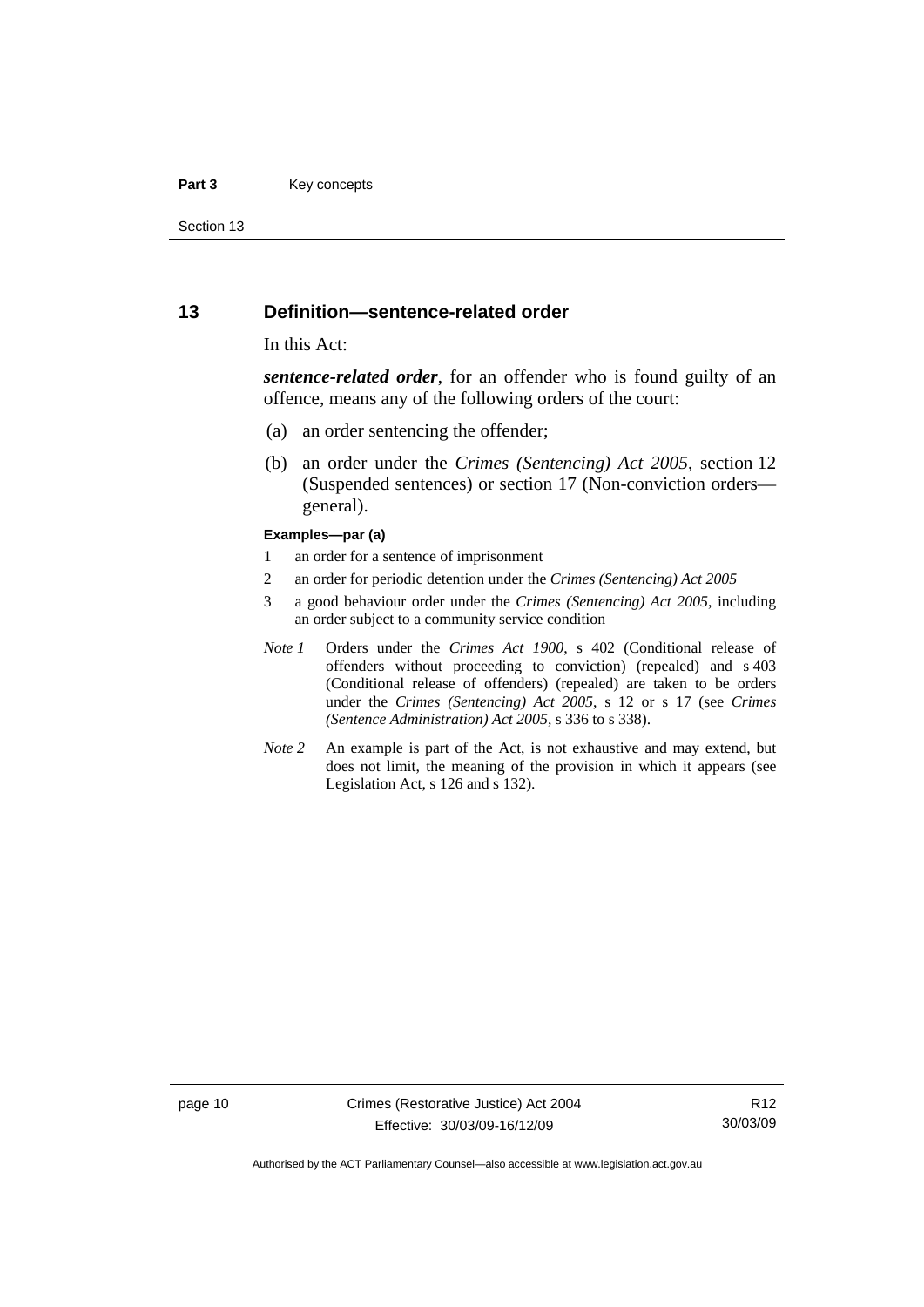#### <span id="page-17-0"></span>**Part 3** Key concepts

Section 13

#### **13 Definition—sentence-related order**

#### In this Act:

*sentence-related order*, for an offender who is found guilty of an offence, means any of the following orders of the court:

- (a) an order sentencing the offender;
- (b) an order under the *Crimes (Sentencing) Act 2005*, section 12 (Suspended sentences) or section 17 (Non-conviction orders general).

#### **Examples—par (a)**

- 1 an order for a sentence of imprisonment
- 2 an order for periodic detention under the *Crimes (Sentencing) Act 2005*
- 3 a good behaviour order under the *Crimes (Sentencing) Act 2005*, including an order subject to a community service condition
- *Note 1* Orders under the *Crimes Act 1900*, s 402 (Conditional release of offenders without proceeding to conviction) (repealed) and s 403 (Conditional release of offenders) (repealed) are taken to be orders under the *Crimes (Sentencing) Act 2005*, s 12 or s 17 (see *Crimes (Sentence Administration) Act 2005*, s 336 to s 338).
- *Note 2* An example is part of the Act, is not exhaustive and may extend, but does not limit, the meaning of the provision in which it appears (see Legislation Act, s 126 and s 132).

page 10 Crimes (Restorative Justice) Act 2004 Effective: 30/03/09-16/12/09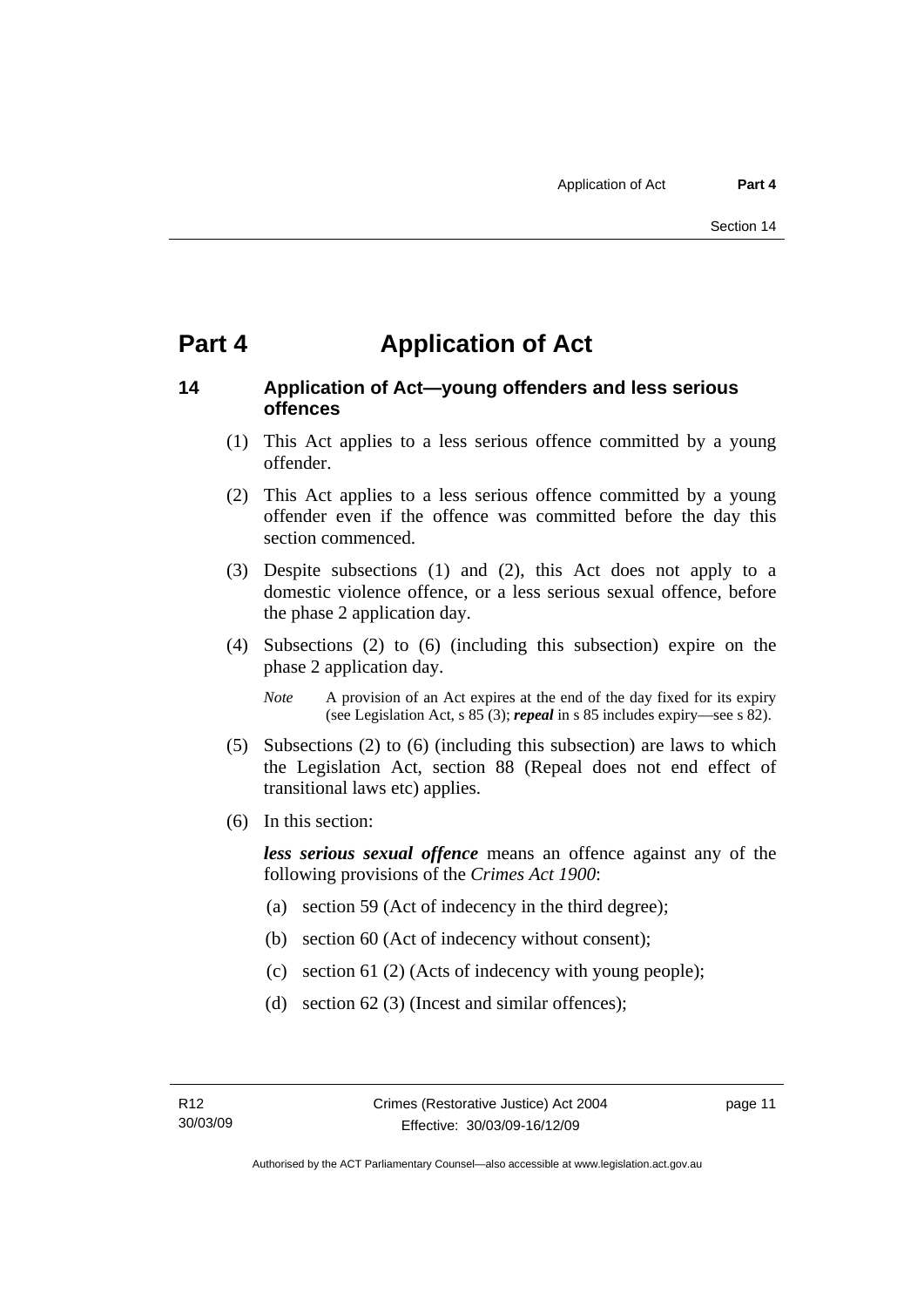## <span id="page-18-0"></span>**Part 4 Application of Act**

#### **14 Application of Act—young offenders and less serious offences**

- (1) This Act applies to a less serious offence committed by a young offender.
- (2) This Act applies to a less serious offence committed by a young offender even if the offence was committed before the day this section commenced.
- (3) Despite subsections (1) and (2), this Act does not apply to a domestic violence offence, or a less serious sexual offence, before the phase 2 application day.
- (4) Subsections (2) to (6) (including this subsection) expire on the phase 2 application day.
	- *Note* A provision of an Act expires at the end of the day fixed for its expiry (see Legislation Act, s 85 (3); *repeal* in s 85 includes expiry—see s 82).
- (5) Subsections (2) to (6) (including this subsection) are laws to which the Legislation Act, section 88 (Repeal does not end effect of transitional laws etc) applies.
- (6) In this section:

*less serious sexual offence* means an offence against any of the following provisions of the *Crimes Act 1900*:

- (a) section 59 (Act of indecency in the third degree);
- (b) section 60 (Act of indecency without consent);
- (c) section 61 (2) (Acts of indecency with young people);
- (d) section 62 (3) (Incest and similar offences);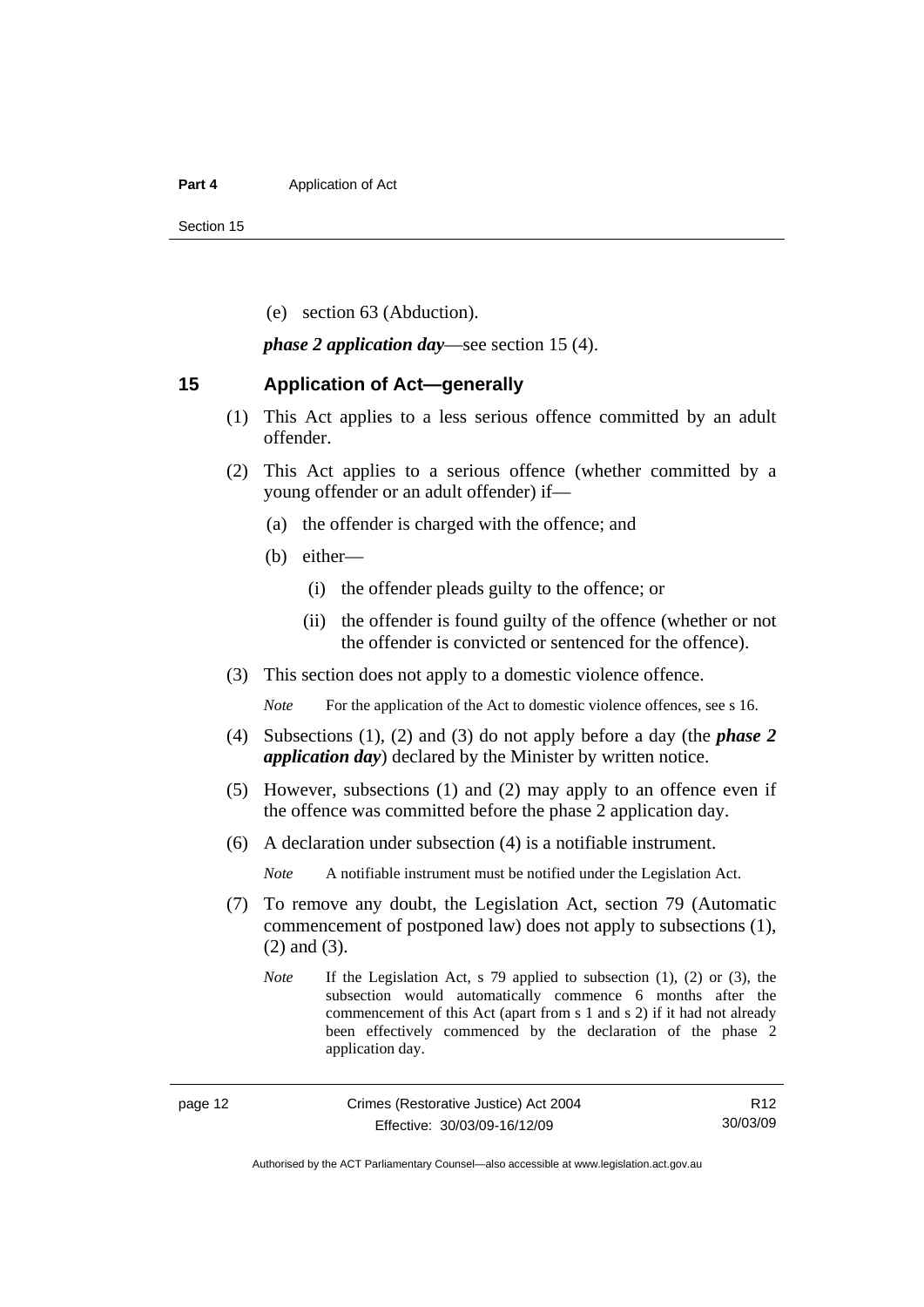#### <span id="page-19-0"></span>**Part 4 Application of Act**

Section 15

(e) section 63 (Abduction).

*phase 2 application day*—see section 15 (4).

#### **15 Application of Act—generally**

- (1) This Act applies to a less serious offence committed by an adult offender.
- (2) This Act applies to a serious offence (whether committed by a young offender or an adult offender) if—
	- (a) the offender is charged with the offence; and
	- (b) either—
		- (i) the offender pleads guilty to the offence; or
		- (ii) the offender is found guilty of the offence (whether or not the offender is convicted or sentenced for the offence).
- (3) This section does not apply to a domestic violence offence.

*Note* For the application of the Act to domestic violence offences, see s 16.

- (4) Subsections (1), (2) and (3) do not apply before a day (the *phase 2 application day*) declared by the Minister by written notice.
- (5) However, subsections (1) and (2) may apply to an offence even if the offence was committed before the phase 2 application day.
- (6) A declaration under subsection (4) is a notifiable instrument.

*Note* A notifiable instrument must be notified under the Legislation Act.

- (7) To remove any doubt, the Legislation Act, section 79 (Automatic commencement of postponed law) does not apply to subsections (1), (2) and (3).
	- *Note* If the Legislation Act, s 79 applied to subsection (1), (2) or (3), the subsection would automatically commence 6 months after the commencement of this Act (apart from s 1 and s 2) if it had not already been effectively commenced by the declaration of the phase 2 application day.

Authorised by the ACT Parliamentary Counsel—also accessible at www.legislation.act.gov.au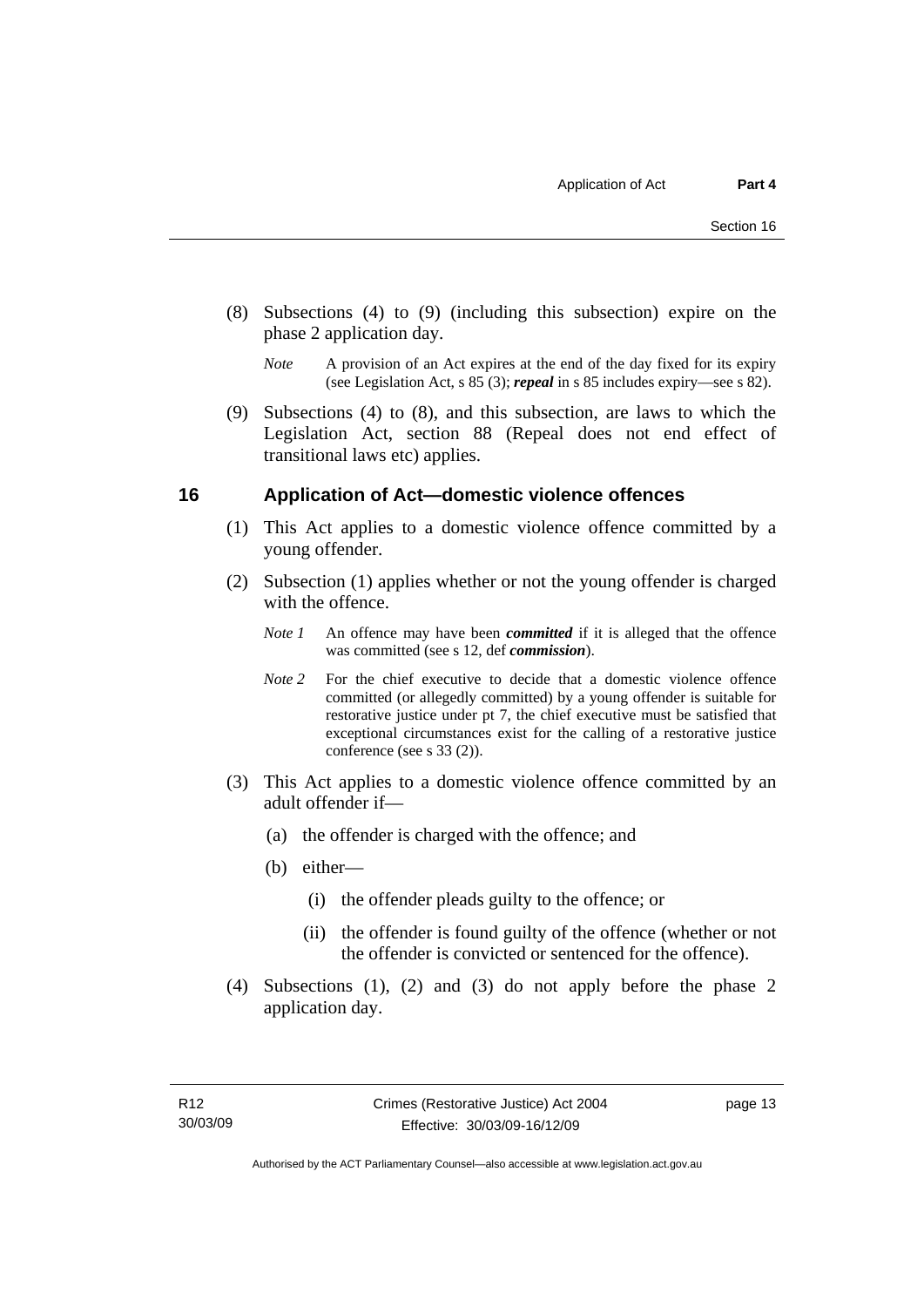- <span id="page-20-0"></span> (8) Subsections (4) to (9) (including this subsection) expire on the phase 2 application day.
	- *Note* A provision of an Act expires at the end of the day fixed for its expiry (see Legislation Act, s 85 (3); *repeal* in s 85 includes expiry—see s 82).
- (9) Subsections (4) to (8), and this subsection, are laws to which the Legislation Act, section 88 (Repeal does not end effect of transitional laws etc) applies.

#### **16 Application of Act—domestic violence offences**

- (1) This Act applies to a domestic violence offence committed by a young offender.
- (2) Subsection (1) applies whether or not the young offender is charged with the offence.
	- *Note 1* An offence may have been *committed* if it is alleged that the offence was committed (see s 12, def *commission*).
	- *Note* 2 For the chief executive to decide that a domestic violence offence committed (or allegedly committed) by a young offender is suitable for restorative justice under pt 7, the chief executive must be satisfied that exceptional circumstances exist for the calling of a restorative justice conference (see s 33 (2)).
- (3) This Act applies to a domestic violence offence committed by an adult offender if—
	- (a) the offender is charged with the offence; and
	- (b) either—
		- (i) the offender pleads guilty to the offence; or
		- (ii) the offender is found guilty of the offence (whether or not the offender is convicted or sentenced for the offence).
- (4) Subsections (1), (2) and (3) do not apply before the phase 2 application day.

page 13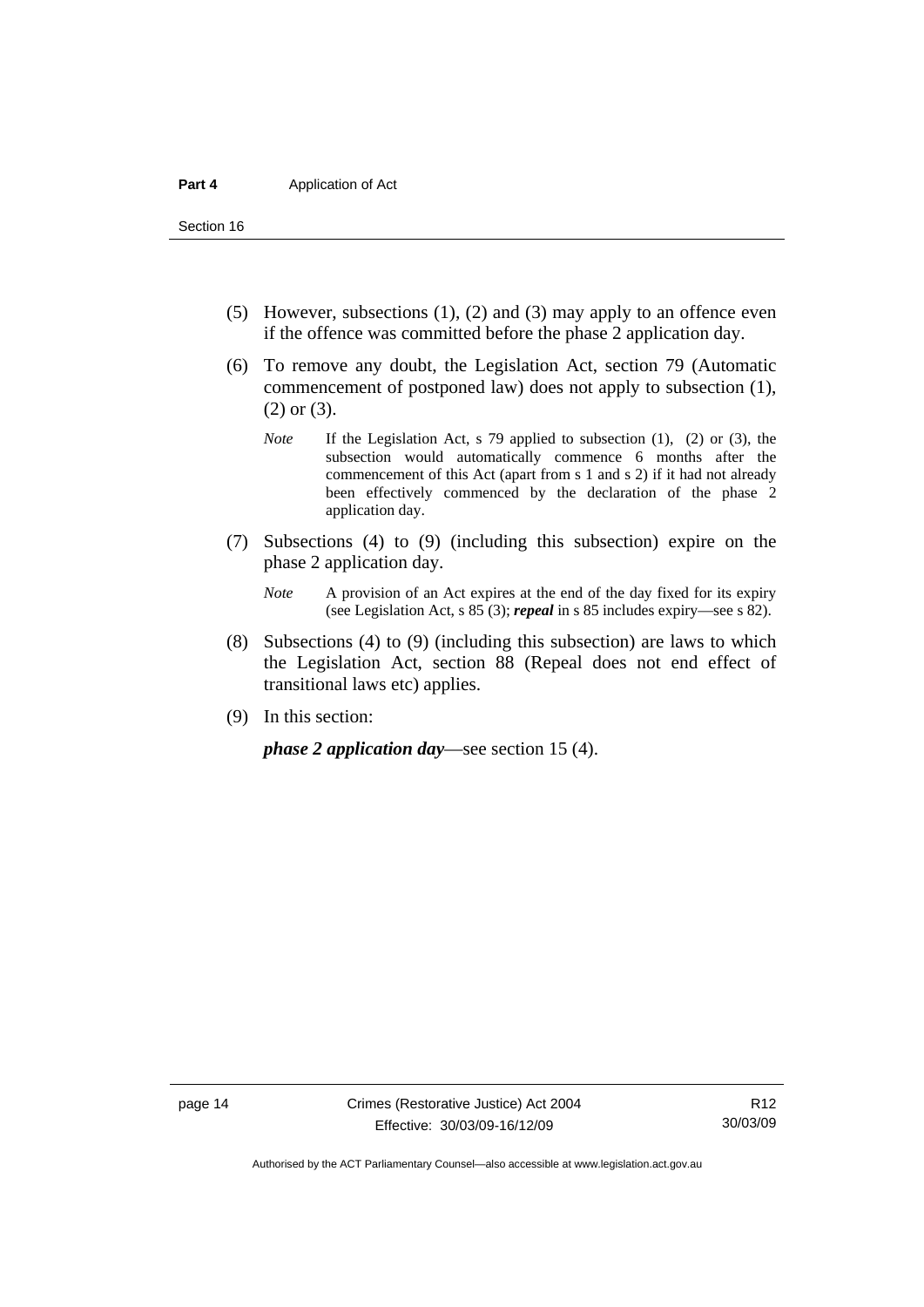Section 16

- (5) However, subsections (1), (2) and (3) may apply to an offence even if the offence was committed before the phase 2 application day.
- (6) To remove any doubt, the Legislation Act, section 79 (Automatic commencement of postponed law) does not apply to subsection (1), (2) or (3).
	- *Note* If the Legislation Act, s 79 applied to subsection (1), (2) or (3), the subsection would automatically commence 6 months after the commencement of this Act (apart from s 1 and s 2) if it had not already been effectively commenced by the declaration of the phase 2 application day.
- (7) Subsections (4) to (9) (including this subsection) expire on the phase 2 application day.
	- *Note* A provision of an Act expires at the end of the day fixed for its expiry (see Legislation Act, s 85 (3); *repeal* in s 85 includes expiry—see s 82).
- (8) Subsections (4) to (9) (including this subsection) are laws to which the Legislation Act, section 88 (Repeal does not end effect of transitional laws etc) applies.
- (9) In this section:

*phase 2 application day*—see section 15 (4).

Authorised by the ACT Parliamentary Counsel—also accessible at www.legislation.act.gov.au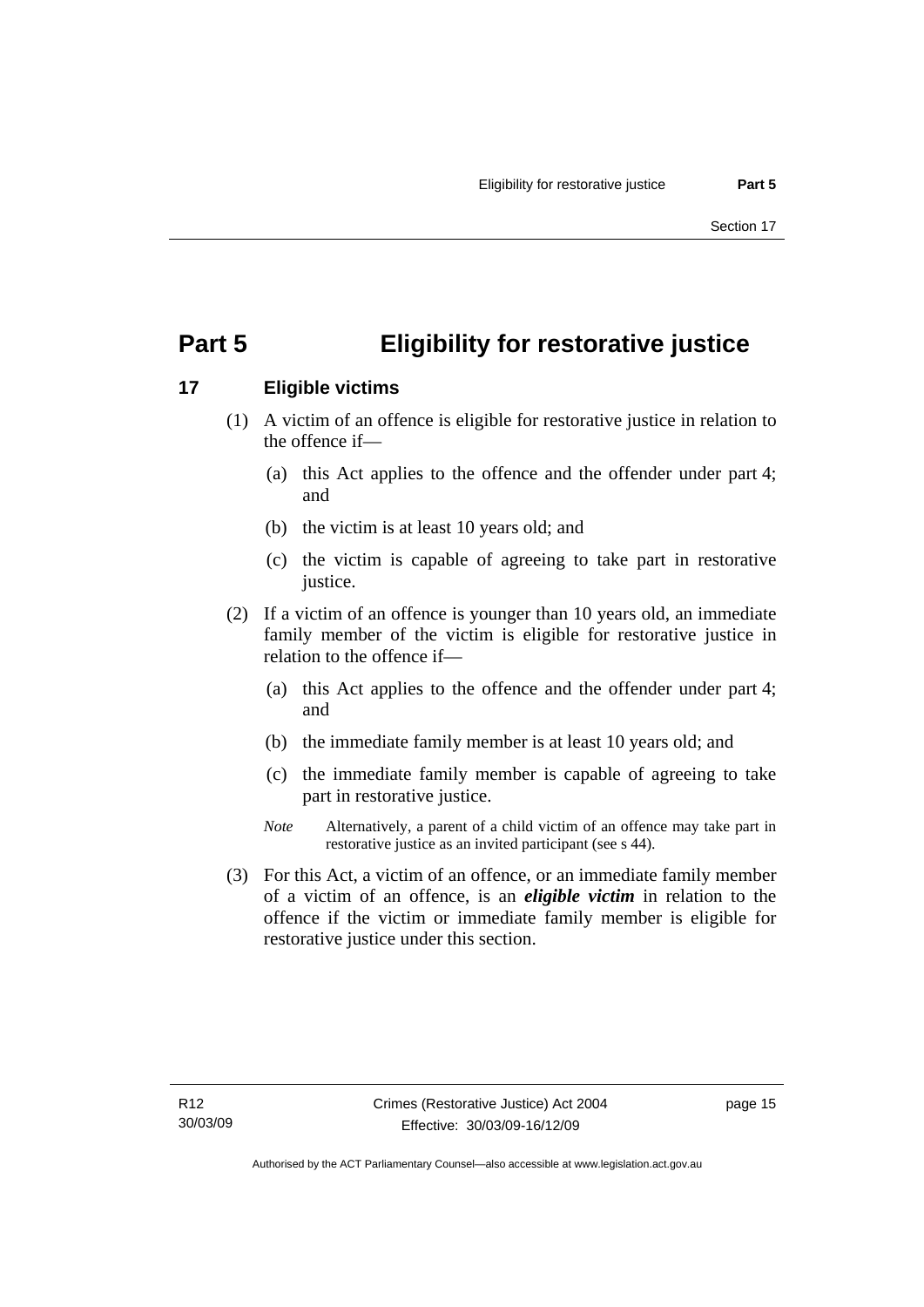## <span id="page-22-0"></span>**Part 5 Eligibility for restorative justice**

### **17 Eligible victims**

- (1) A victim of an offence is eligible for restorative justice in relation to the offence if—
	- (a) this Act applies to the offence and the offender under part 4; and
	- (b) the victim is at least 10 years old; and
	- (c) the victim is capable of agreeing to take part in restorative justice.
- (2) If a victim of an offence is younger than 10 years old, an immediate family member of the victim is eligible for restorative justice in relation to the offence if—
	- (a) this Act applies to the offence and the offender under part 4; and
	- (b) the immediate family member is at least 10 years old; and
	- (c) the immediate family member is capable of agreeing to take part in restorative justice.
	- *Note* Alternatively, a parent of a child victim of an offence may take part in restorative justice as an invited participant (see s 44).
- (3) For this Act, a victim of an offence, or an immediate family member of a victim of an offence, is an *eligible victim* in relation to the offence if the victim or immediate family member is eligible for restorative justice under this section.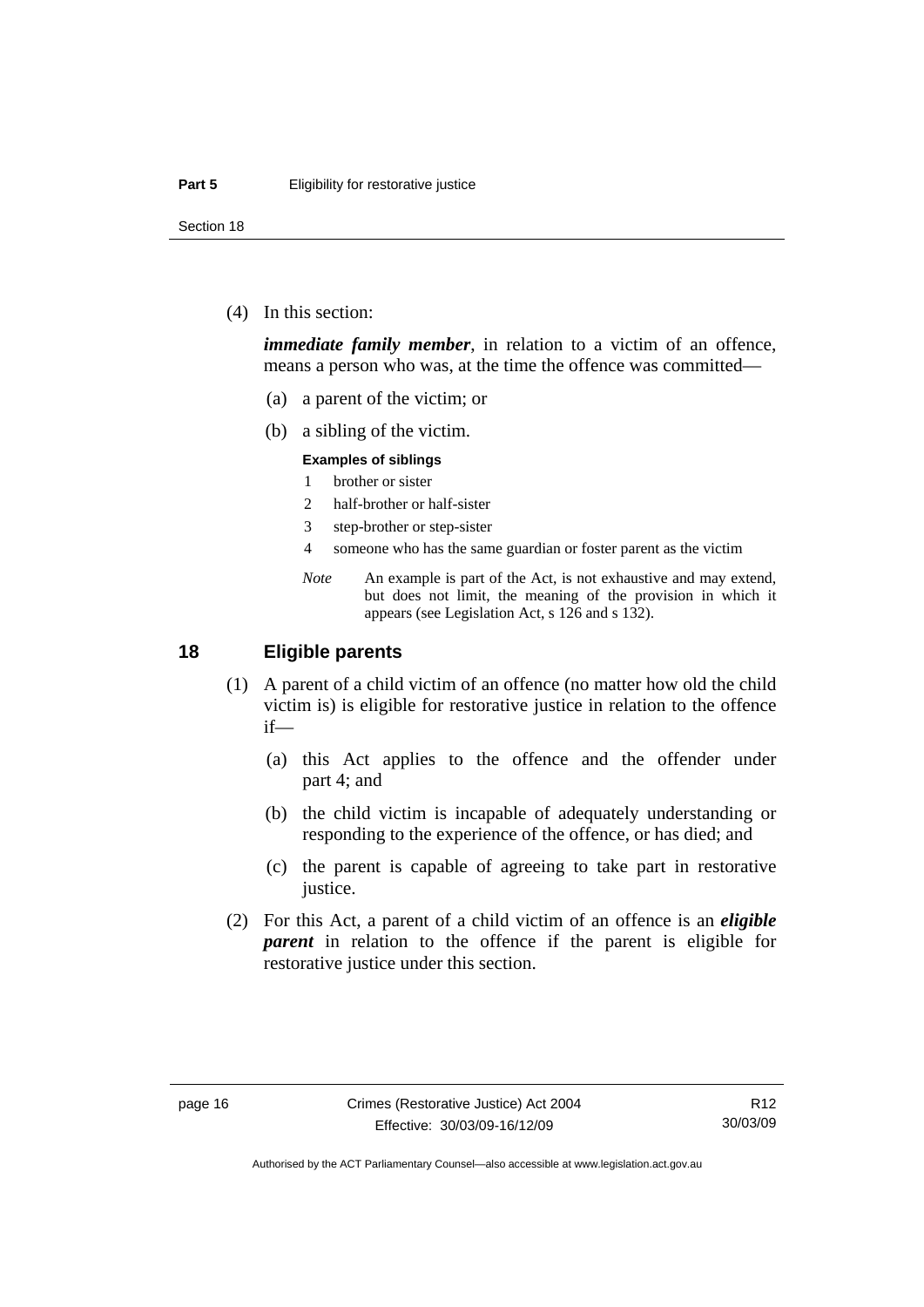<span id="page-23-0"></span>Section 18

(4) In this section:

*immediate family member*, in relation to a victim of an offence, means a person who was, at the time the offence was committed—

- (a) a parent of the victim; or
- (b) a sibling of the victim.

#### **Examples of siblings**

- 1 brother or sister
- 2 half-brother or half-sister
- 3 step-brother or step-sister
- 4 someone who has the same guardian or foster parent as the victim
- *Note* An example is part of the Act, is not exhaustive and may extend, but does not limit, the meaning of the provision in which it appears (see Legislation Act, s 126 and s 132).

#### **18 Eligible parents**

- (1) A parent of a child victim of an offence (no matter how old the child victim is) is eligible for restorative justice in relation to the offence if—
	- (a) this Act applies to the offence and the offender under part 4; and
	- (b) the child victim is incapable of adequately understanding or responding to the experience of the offence, or has died; and
	- (c) the parent is capable of agreeing to take part in restorative justice.
- (2) For this Act, a parent of a child victim of an offence is an *eligible parent* in relation to the offence if the parent is eligible for restorative justice under this section.

R12 30/03/09

Authorised by the ACT Parliamentary Counsel—also accessible at www.legislation.act.gov.au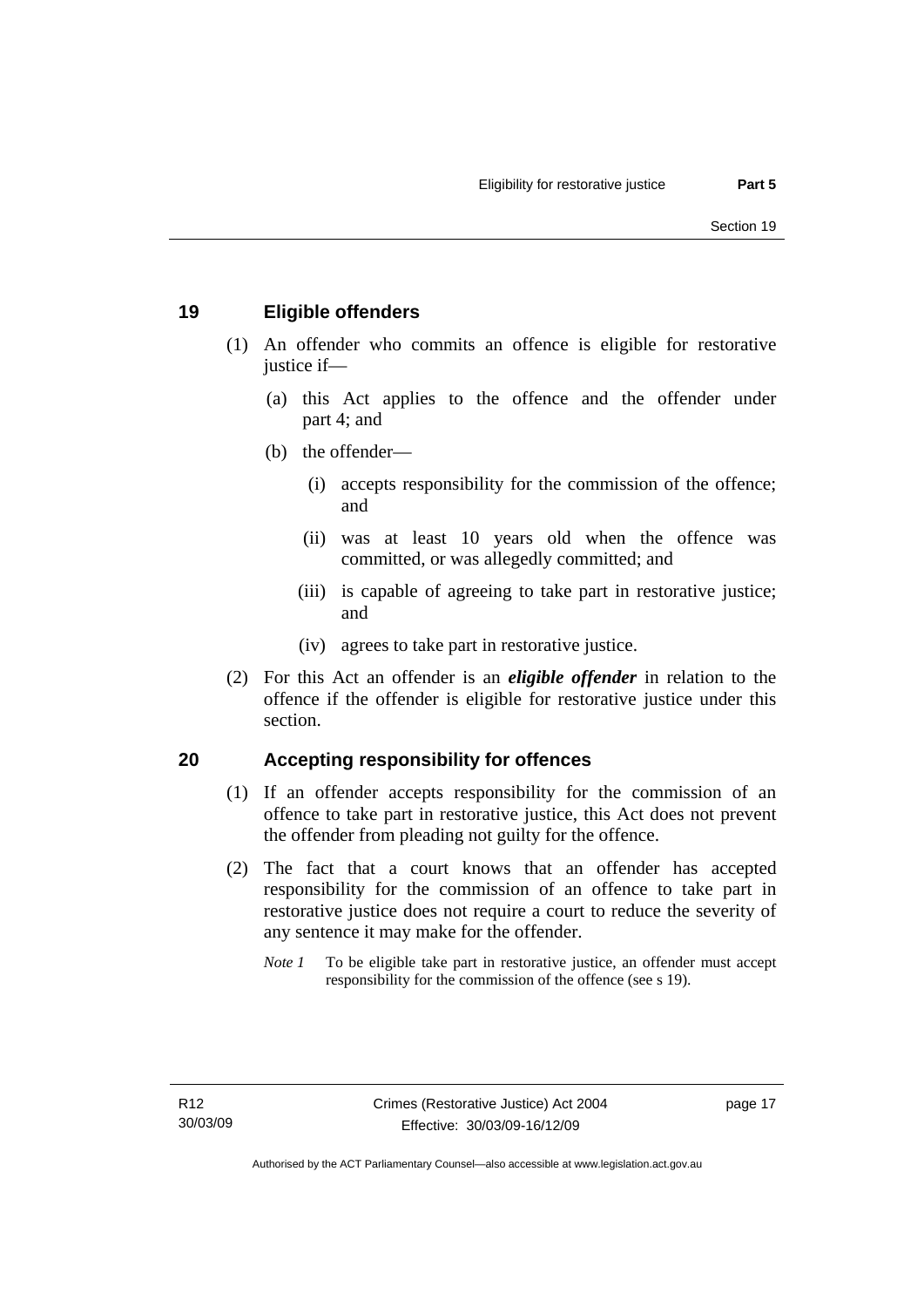#### <span id="page-24-0"></span>**19 Eligible offenders**

- (1) An offender who commits an offence is eligible for restorative justice if-
	- (a) this Act applies to the offence and the offender under part 4; and
	- (b) the offender—
		- (i) accepts responsibility for the commission of the offence; and
		- (ii) was at least 10 years old when the offence was committed, or was allegedly committed; and
		- (iii) is capable of agreeing to take part in restorative justice; and
		- (iv) agrees to take part in restorative justice.
- (2) For this Act an offender is an *eligible offender* in relation to the offence if the offender is eligible for restorative justice under this section.

#### **20 Accepting responsibility for offences**

- (1) If an offender accepts responsibility for the commission of an offence to take part in restorative justice, this Act does not prevent the offender from pleading not guilty for the offence.
- (2) The fact that a court knows that an offender has accepted responsibility for the commission of an offence to take part in restorative justice does not require a court to reduce the severity of any sentence it may make for the offender.
	- *Note 1* To be eligible take part in restorative justice, an offender must accept responsibility for the commission of the offence (see s 19).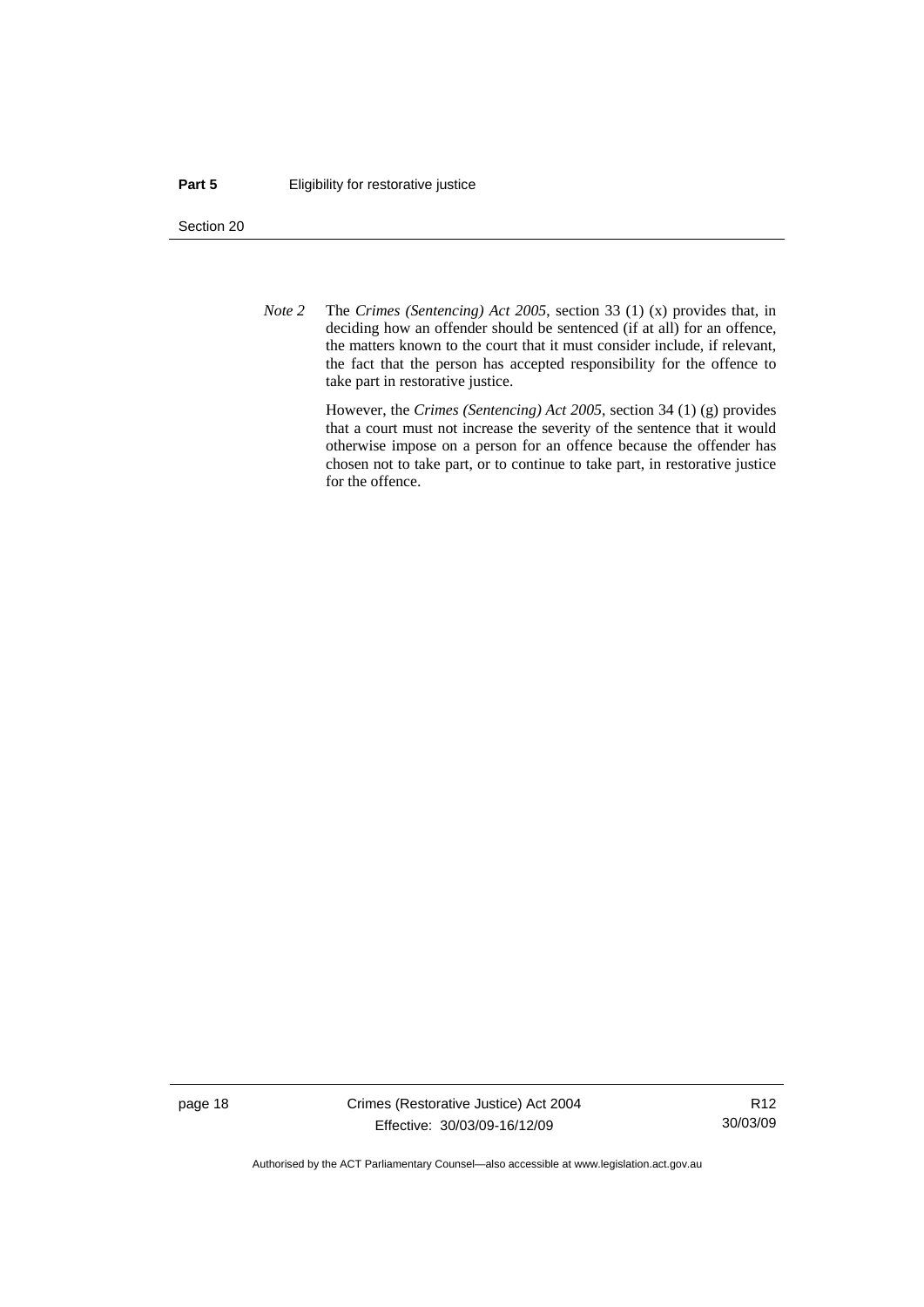#### **Part 5 Eligibility for restorative justice**

Section 20

*Note 2* The *Crimes (Sentencing) Act 2005*, section 33 (1) (x) provides that, in deciding how an offender should be sentenced (if at all) for an offence, the matters known to the court that it must consider include, if relevant, the fact that the person has accepted responsibility for the offence to take part in restorative justice.

> However, the *Crimes (Sentencing) Act 2005*, section 34 (1) (g) provides that a court must not increase the severity of the sentence that it would otherwise impose on a person for an offence because the offender has chosen not to take part, or to continue to take part, in restorative justice for the offence.

page 18 Crimes (Restorative Justice) Act 2004 Effective: 30/03/09-16/12/09

R12 30/03/09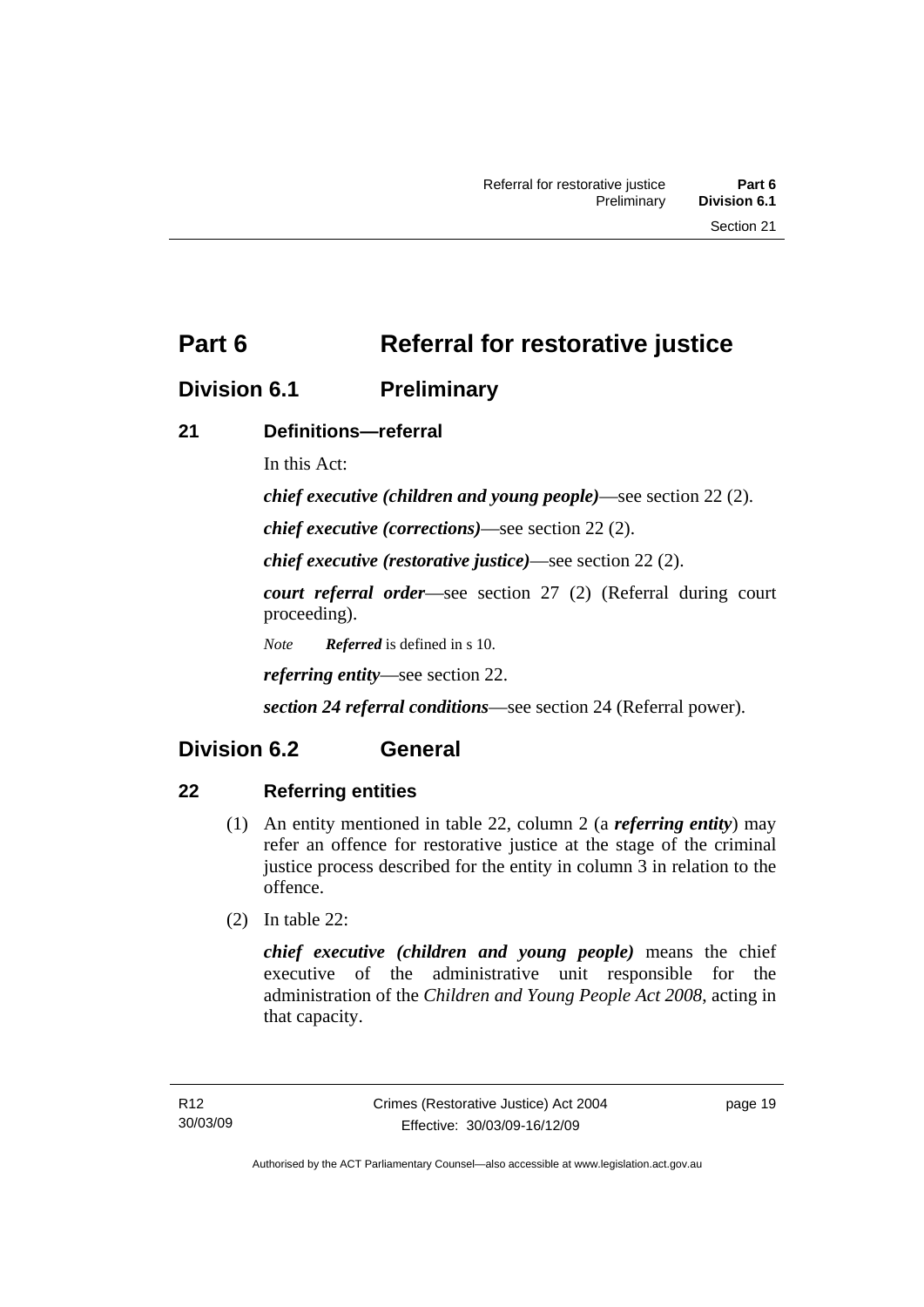<span id="page-26-0"></span>**Part 6** Referral for restorative justice

### **Division 6.1 Preliminary**

### **21 Definitions—referral**

In this Act:

*chief executive (children and young people)*—see section 22 (2).

*chief executive (corrections)*—see section 22 (2).

*chief executive (restorative justice)*—see section 22 (2).

*court referral order*—see section 27 (2) (Referral during court proceeding).

*Note Referred* is defined in s 10.

*referring entity*—see section 22.

*section 24 referral conditions*—see section 24 (Referral power).

## **Division 6.2 General**

### **22 Referring entities**

- (1) An entity mentioned in table 22, column 2 (a *referring entity*) may refer an offence for restorative justice at the stage of the criminal justice process described for the entity in column 3 in relation to the offence.
- (2) In table 22:

*chief executive (children and young people)* means the chief executive of the administrative unit responsible for the administration of the *Children and Young People Act 2008*, acting in that capacity.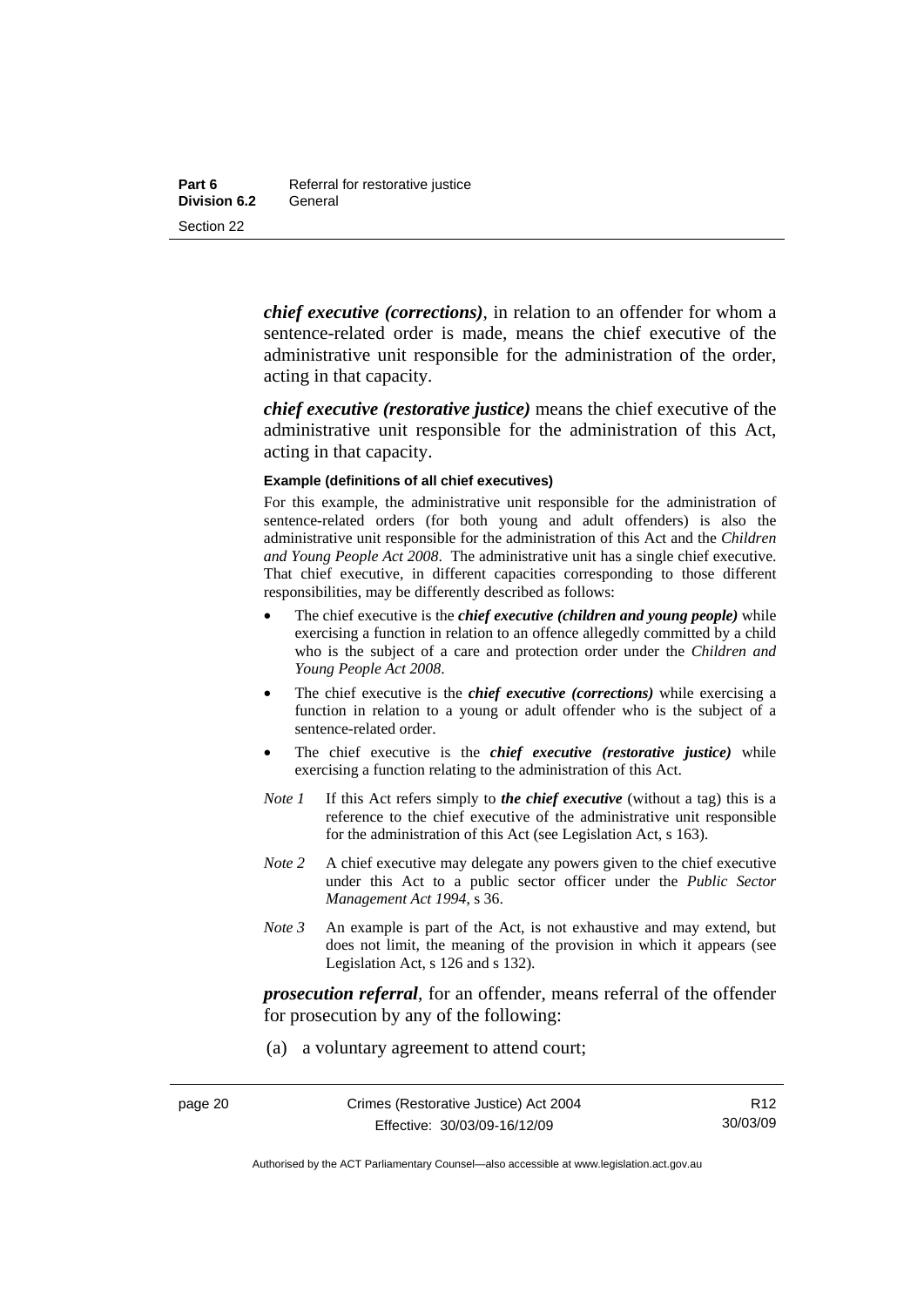*chief executive (corrections)*, in relation to an offender for whom a sentence-related order is made, means the chief executive of the administrative unit responsible for the administration of the order, acting in that capacity.

*chief executive (restorative justice)* means the chief executive of the administrative unit responsible for the administration of this Act, acting in that capacity.

#### **Example (definitions of all chief executives)**

For this example, the administrative unit responsible for the administration of sentence-related orders (for both young and adult offenders) is also the administrative unit responsible for the administration of this Act and the *Children and Young People Act 2008*. The administrative unit has a single chief executive. That chief executive, in different capacities corresponding to those different responsibilities, may be differently described as follows:

- The chief executive is the *chief executive (children and young people)* while exercising a function in relation to an offence allegedly committed by a child who is the subject of a care and protection order under the *Children and Young People Act 2008*.
- The chief executive is the *chief executive (corrections)* while exercising a function in relation to a young or adult offender who is the subject of a sentence-related order.
- The chief executive is the *chief executive (restorative justice)* while exercising a function relating to the administration of this Act.
- *Note 1* If this Act refers simply to *the chief executive* (without a tag) this is a reference to the chief executive of the administrative unit responsible for the administration of this Act (see Legislation Act, s 163).
- *Note* 2 A chief executive may delegate any powers given to the chief executive under this Act to a public sector officer under the *Public Sector Management Act 1994*, s 36.
- *Note 3* An example is part of the Act, is not exhaustive and may extend, but does not limit, the meaning of the provision in which it appears (see Legislation Act, s 126 and s 132).

*prosecution referral*, for an offender, means referral of the offender for prosecution by any of the following:

(a) a voluntary agreement to attend court;

Authorised by the ACT Parliamentary Counsel—also accessible at www.legislation.act.gov.au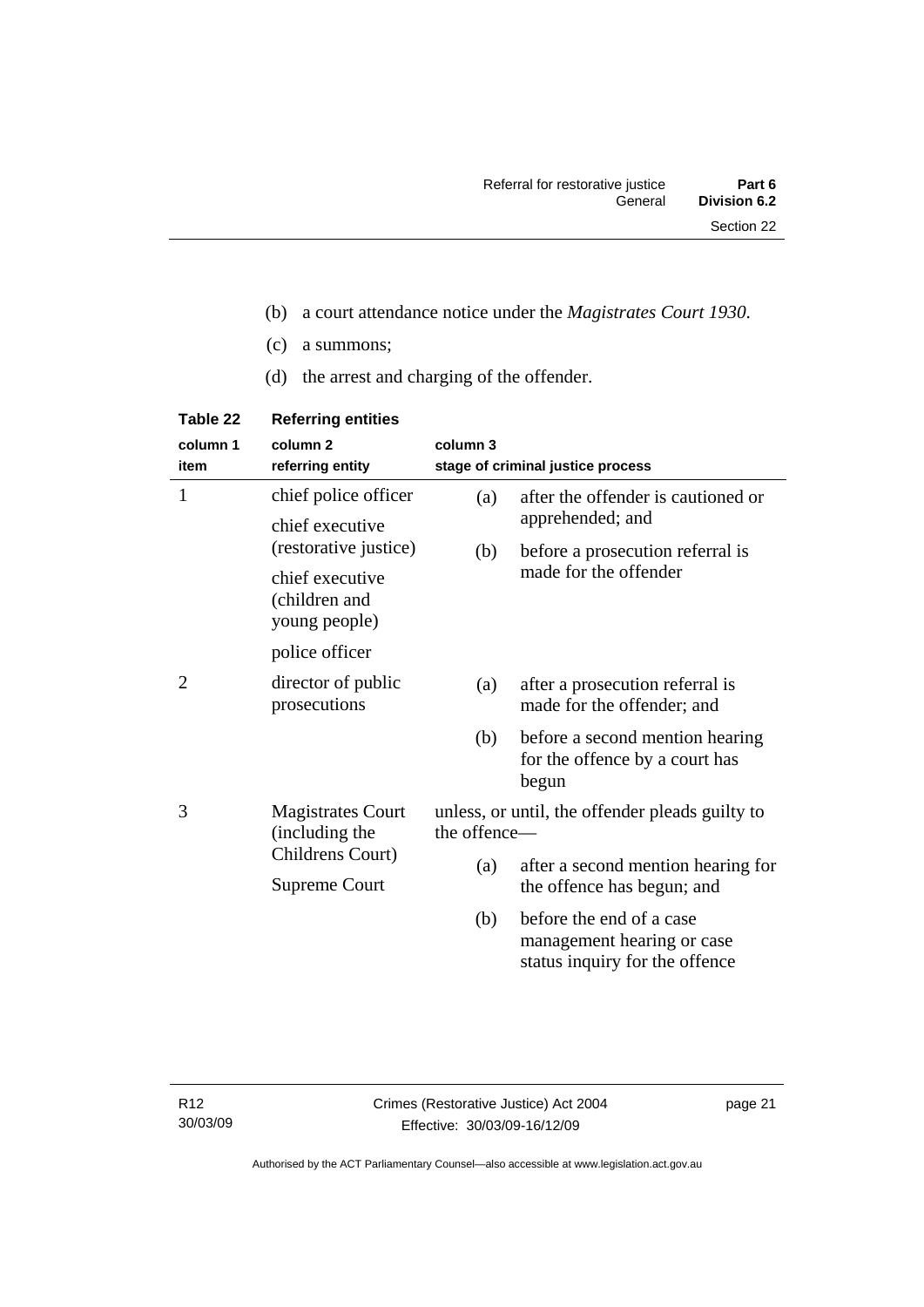- (b) a court attendance notice under the *Magistrates Court 1930*.
- (c) a summons;
- (d) the arrest and charging of the offender.

| Table 22         | <b>Referring entities</b>                         |                                                                 |                                                                                          |
|------------------|---------------------------------------------------|-----------------------------------------------------------------|------------------------------------------------------------------------------------------|
| column 1<br>item | column <sub>2</sub><br>referring entity           | column 3                                                        | stage of criminal justice process                                                        |
| 1                | chief police officer                              | (a)                                                             | after the offender is cautioned or                                                       |
|                  | chief executive<br>(restorative justice)          |                                                                 | apprehended; and                                                                         |
|                  |                                                   | (b)                                                             | before a prosecution referral is                                                         |
|                  | chief executive<br>(children and<br>young people) |                                                                 | made for the offender                                                                    |
|                  | police officer                                    |                                                                 |                                                                                          |
| 2                | director of public<br>prosecutions                | (a)                                                             | after a prosecution referral is<br>made for the offender; and                            |
|                  |                                                   | (b)                                                             | before a second mention hearing<br>for the offence by a court has<br>begun               |
| 3                | <b>Magistrates Court</b><br>(including the        | unless, or until, the offender pleads guilty to<br>the offence- |                                                                                          |
|                  | Childrens Court)                                  | (a)                                                             | after a second mention hearing for                                                       |
|                  | Supreme Court                                     |                                                                 | the offence has begun; and                                                               |
|                  |                                                   | (b)                                                             | before the end of a case<br>management hearing or case<br>status inquiry for the offence |

page 21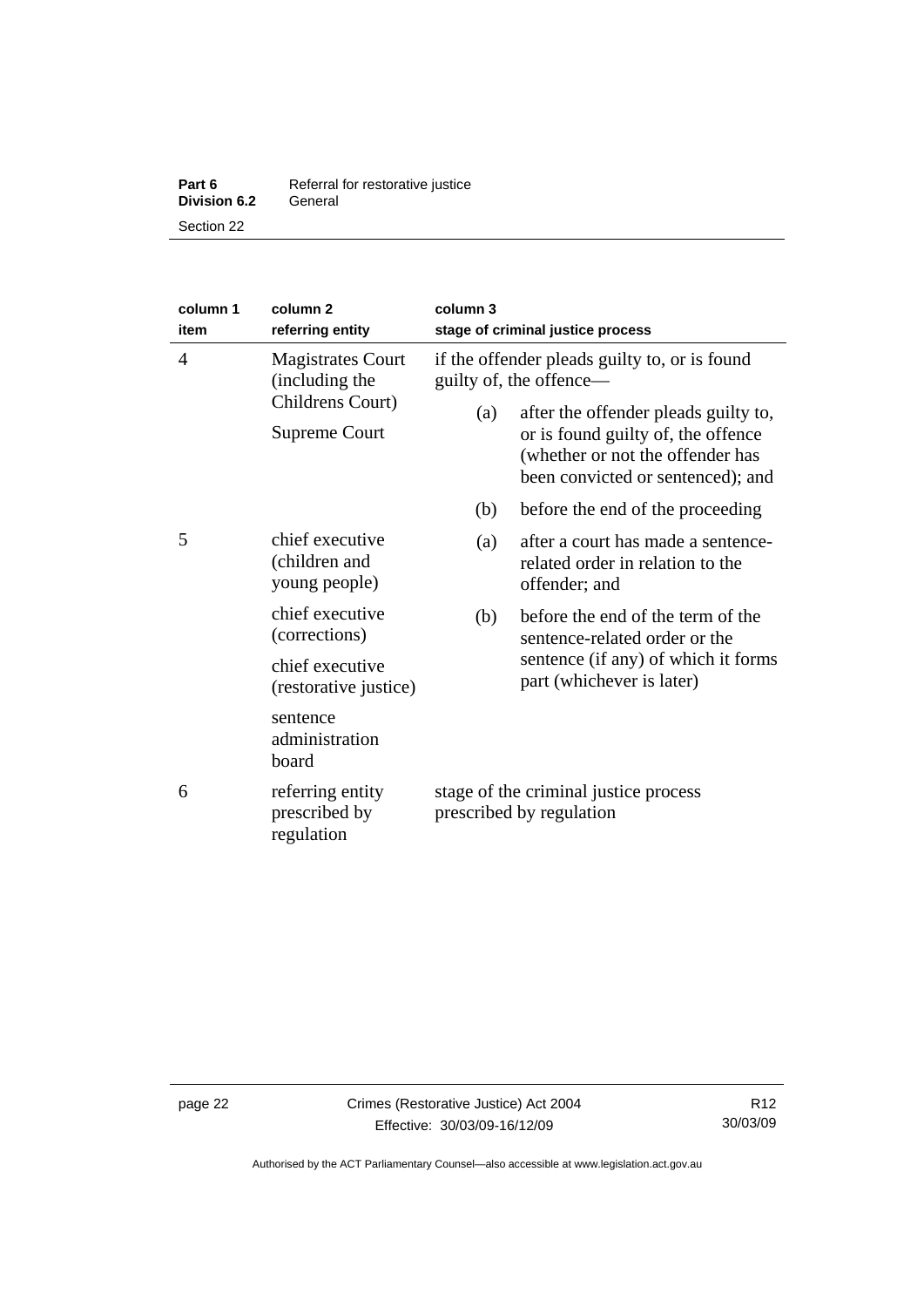| Part 6              | Referral for restorative justice |
|---------------------|----------------------------------|
| <b>Division 6.2</b> | General                          |
| Section 22          |                                  |

| column 1<br>item | column <sub>2</sub><br>referring entity                                         | column 3<br>stage of criminal justice process                            |                                                                                                                                                     |
|------------------|---------------------------------------------------------------------------------|--------------------------------------------------------------------------|-----------------------------------------------------------------------------------------------------------------------------------------------------|
| $\overline{4}$   | <b>Magistrates Court</b><br>(including the<br>Childrens Court)<br>Supreme Court | if the offender pleads guilty to, or is found<br>guilty of, the offence— |                                                                                                                                                     |
|                  |                                                                                 | (a)                                                                      | after the offender pleads guilty to,<br>or is found guilty of, the offence<br>(whether or not the offender has<br>been convicted or sentenced); and |
|                  |                                                                                 | (b)                                                                      | before the end of the proceeding                                                                                                                    |
| 5                | chief executive<br>(children and<br>young people)                               | (a)                                                                      | after a court has made a sentence-<br>related order in relation to the<br>offender; and                                                             |
|                  | chief executive<br>(corrections)                                                | (b)                                                                      | before the end of the term of the<br>sentence-related order or the<br>sentence (if any) of which it forms<br>part (whichever is later)              |
|                  | chief executive<br>(restorative justice)                                        |                                                                          |                                                                                                                                                     |
|                  | sentence<br>administration<br>board                                             |                                                                          |                                                                                                                                                     |
| 6                | referring entity<br>prescribed by<br>regulation                                 | stage of the criminal justice process<br>prescribed by regulation        |                                                                                                                                                     |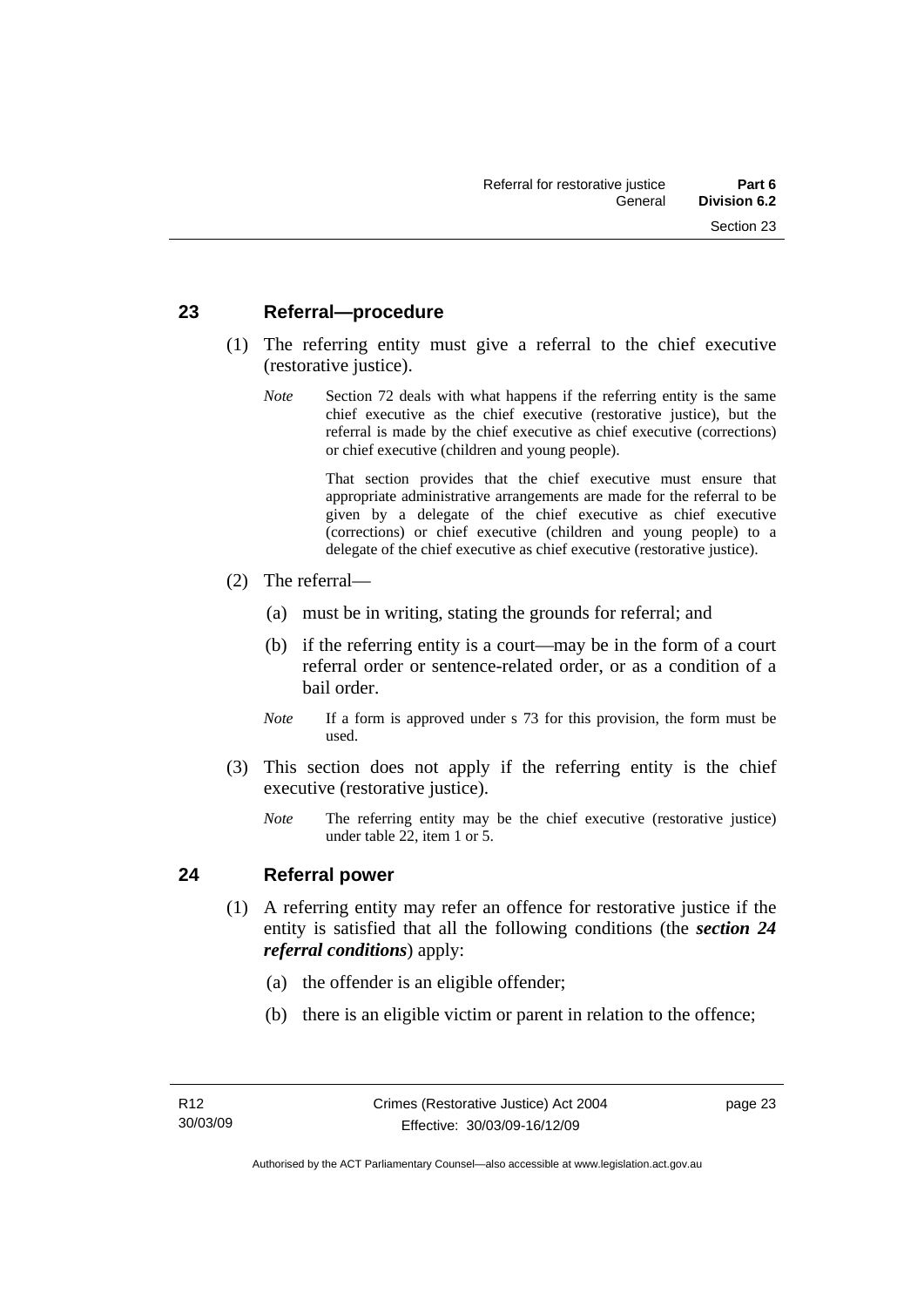#### <span id="page-30-0"></span>**23 Referral—procedure**

- (1) The referring entity must give a referral to the chief executive (restorative justice).
	- *Note* Section 72 deals with what happens if the referring entity is the same chief executive as the chief executive (restorative justice), but the referral is made by the chief executive as chief executive (corrections) or chief executive (children and young people).

 That section provides that the chief executive must ensure that appropriate administrative arrangements are made for the referral to be given by a delegate of the chief executive as chief executive (corrections) or chief executive (children and young people) to a delegate of the chief executive as chief executive (restorative justice).

- (2) The referral—
	- (a) must be in writing, stating the grounds for referral; and
	- (b) if the referring entity is a court—may be in the form of a court referral order or sentence-related order, or as a condition of a bail order.
	- *Note* If a form is approved under s 73 for this provision, the form must be used.
- (3) This section does not apply if the referring entity is the chief executive (restorative justice).
	- *Note* The referring entity may be the chief executive (restorative justice) under table 22, item 1 or 5.

#### **24 Referral power**

- (1) A referring entity may refer an offence for restorative justice if the entity is satisfied that all the following conditions (the *section 24 referral conditions*) apply:
	- (a) the offender is an eligible offender;
	- (b) there is an eligible victim or parent in relation to the offence;

page 23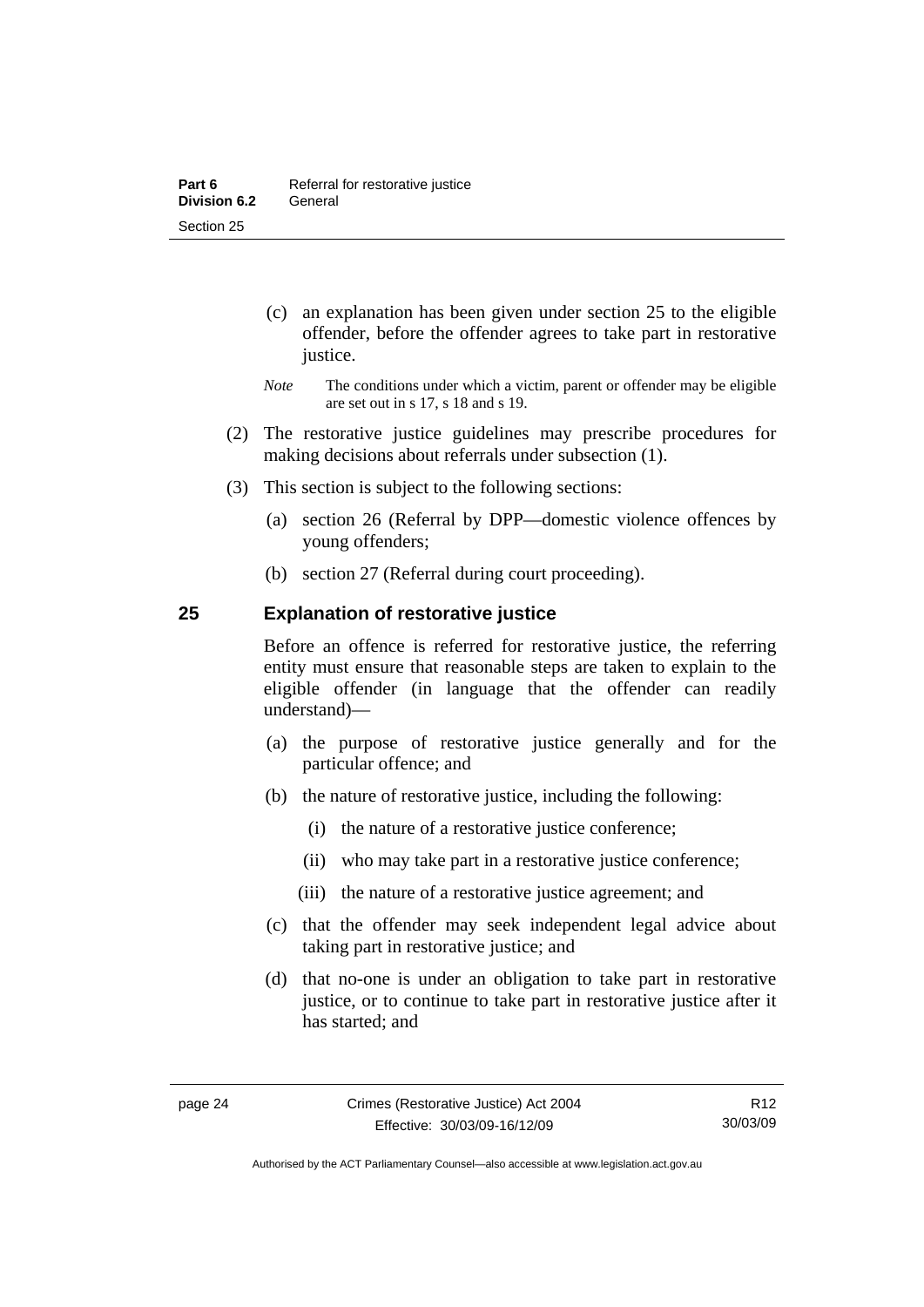- <span id="page-31-0"></span> (c) an explanation has been given under section 25 to the eligible offender, before the offender agrees to take part in restorative justice.
- *Note* The conditions under which a victim, parent or offender may be eligible are set out in s 17, s 18 and s 19.
- (2) The restorative justice guidelines may prescribe procedures for making decisions about referrals under subsection (1).
- (3) This section is subject to the following sections:
	- (a) section 26 (Referral by DPP—domestic violence offences by young offenders;
	- (b) section 27 (Referral during court proceeding).

#### **25 Explanation of restorative justice**

Before an offence is referred for restorative justice, the referring entity must ensure that reasonable steps are taken to explain to the eligible offender (in language that the offender can readily understand)––

- (a) the purpose of restorative justice generally and for the particular offence; and
- (b) the nature of restorative justice, including the following:
	- (i) the nature of a restorative justice conference;
	- (ii) who may take part in a restorative justice conference;
	- (iii) the nature of a restorative justice agreement; and
- (c) that the offender may seek independent legal advice about taking part in restorative justice; and
- (d) that no-one is under an obligation to take part in restorative justice, or to continue to take part in restorative justice after it has started; and

Authorised by the ACT Parliamentary Counsel—also accessible at www.legislation.act.gov.au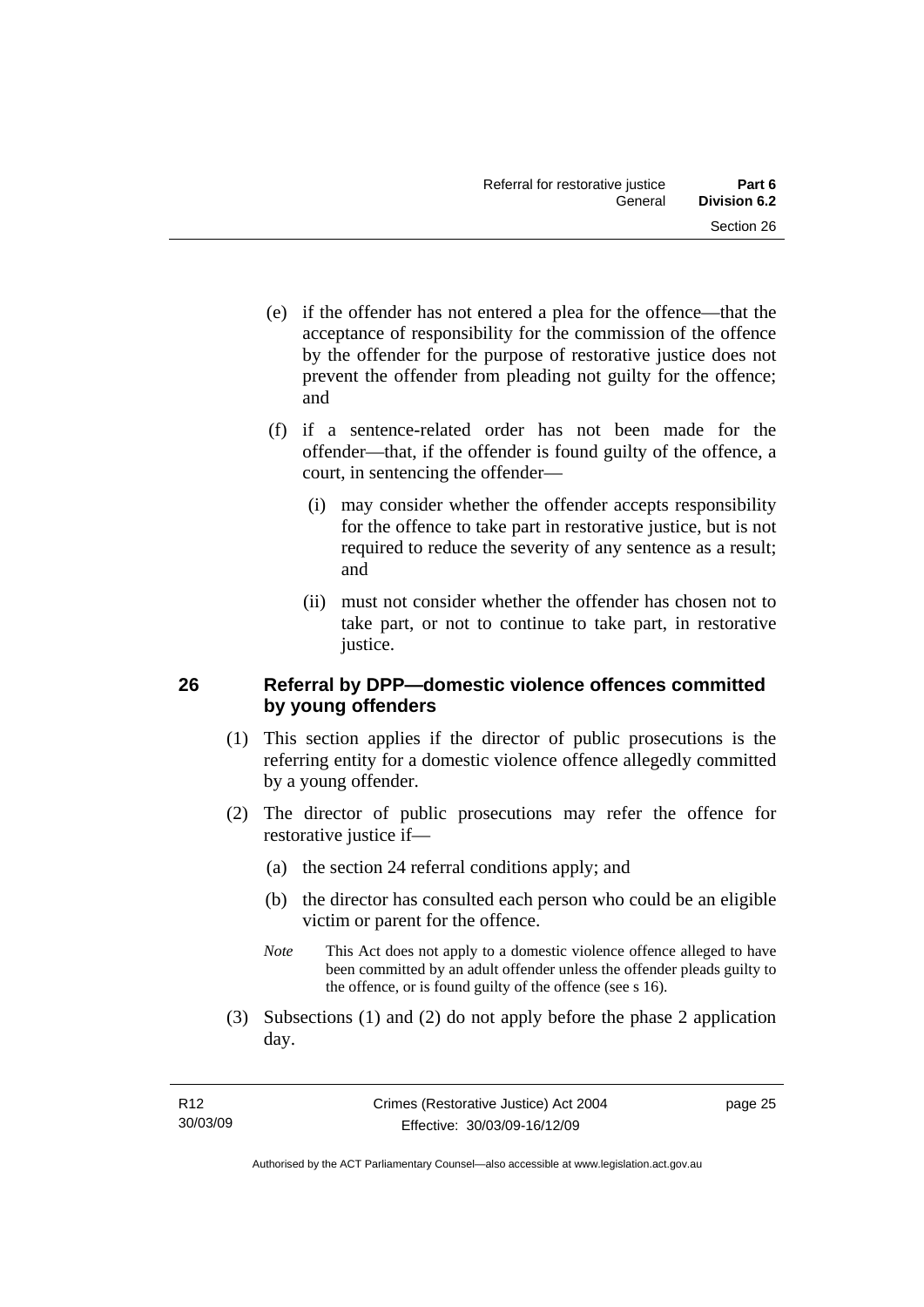- <span id="page-32-0"></span> (e) if the offender has not entered a plea for the offence—that the acceptance of responsibility for the commission of the offence by the offender for the purpose of restorative justice does not prevent the offender from pleading not guilty for the offence; and
- (f) if a sentence-related order has not been made for the offender—that, if the offender is found guilty of the offence, a court, in sentencing the offender—
	- (i) may consider whether the offender accepts responsibility for the offence to take part in restorative justice, but is not required to reduce the severity of any sentence as a result; and
	- (ii) must not consider whether the offender has chosen not to take part, or not to continue to take part, in restorative justice.

#### **26 Referral by DPP—domestic violence offences committed by young offenders**

- (1) This section applies if the director of public prosecutions is the referring entity for a domestic violence offence allegedly committed by a young offender.
- (2) The director of public prosecutions may refer the offence for restorative justice if—
	- (a) the section 24 referral conditions apply; and
	- (b) the director has consulted each person who could be an eligible victim or parent for the offence.
	- *Note* This Act does not apply to a domestic violence offence alleged to have been committed by an adult offender unless the offender pleads guilty to the offence, or is found guilty of the offence (see s 16).
- (3) Subsections (1) and (2) do not apply before the phase 2 application day.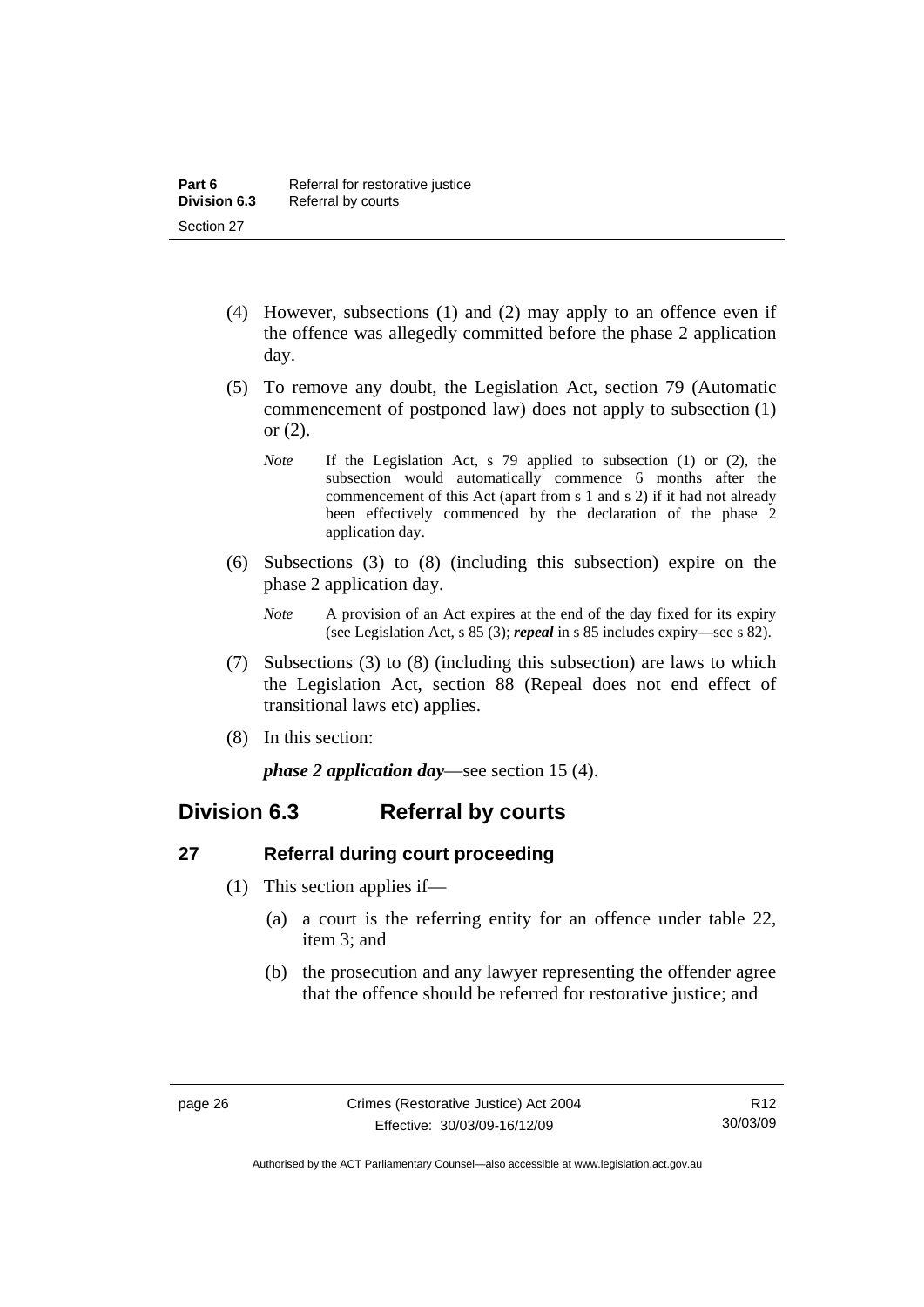- <span id="page-33-0"></span> (4) However, subsections (1) and (2) may apply to an offence even if the offence was allegedly committed before the phase 2 application day.
- (5) To remove any doubt, the Legislation Act, section 79 (Automatic commencement of postponed law) does not apply to subsection (1) or (2).
	- *Note* If the Legislation Act, s 79 applied to subsection (1) or (2), the subsection would automatically commence 6 months after the commencement of this Act (apart from s 1 and s 2) if it had not already been effectively commenced by the declaration of the phase 2 application day.
- (6) Subsections (3) to (8) (including this subsection) expire on the phase 2 application day.
	- *Note* A provision of an Act expires at the end of the day fixed for its expiry (see Legislation Act, s 85 (3); *repeal* in s 85 includes expiry—see s 82).
- (7) Subsections (3) to (8) (including this subsection) are laws to which the Legislation Act, section 88 (Repeal does not end effect of transitional laws etc) applies.
- (8) In this section:

*phase 2 application day*—see section 15 (4).

### **Division 6.3 Referral by courts**

#### **27 Referral during court proceeding**

- (1) This section applies if—
	- (a) a court is the referring entity for an offence under table 22, item 3; and
	- (b) the prosecution and any lawyer representing the offender agree that the offence should be referred for restorative justice; and

Authorised by the ACT Parliamentary Counsel—also accessible at www.legislation.act.gov.au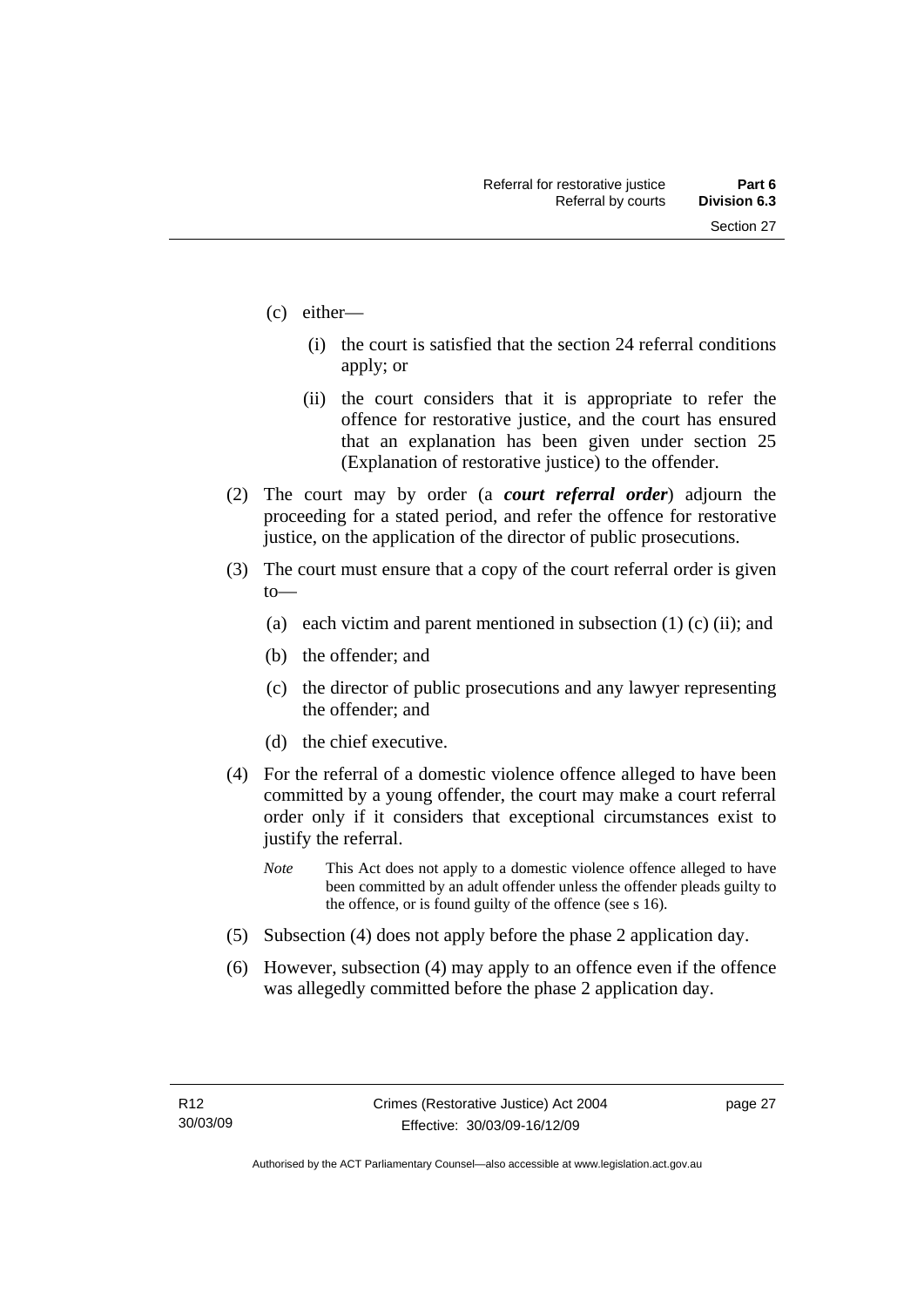- (c) either—
	- (i) the court is satisfied that the section 24 referral conditions apply; or
	- (ii) the court considers that it is appropriate to refer the offence for restorative justice, and the court has ensured that an explanation has been given under section 25 (Explanation of restorative justice) to the offender.
- (2) The court may by order (a *court referral order*) adjourn the proceeding for a stated period, and refer the offence for restorative justice, on the application of the director of public prosecutions.
- (3) The court must ensure that a copy of the court referral order is given to—
	- (a) each victim and parent mentioned in subsection  $(1)$  (c) (ii); and
	- (b) the offender; and
	- (c) the director of public prosecutions and any lawyer representing the offender; and
	- (d) the chief executive.
- (4) For the referral of a domestic violence offence alleged to have been committed by a young offender, the court may make a court referral order only if it considers that exceptional circumstances exist to justify the referral.
	- *Note* This Act does not apply to a domestic violence offence alleged to have been committed by an adult offender unless the offender pleads guilty to the offence, or is found guilty of the offence (see s 16).
- (5) Subsection (4) does not apply before the phase 2 application day.
- (6) However, subsection (4) may apply to an offence even if the offence was allegedly committed before the phase 2 application day.

page 27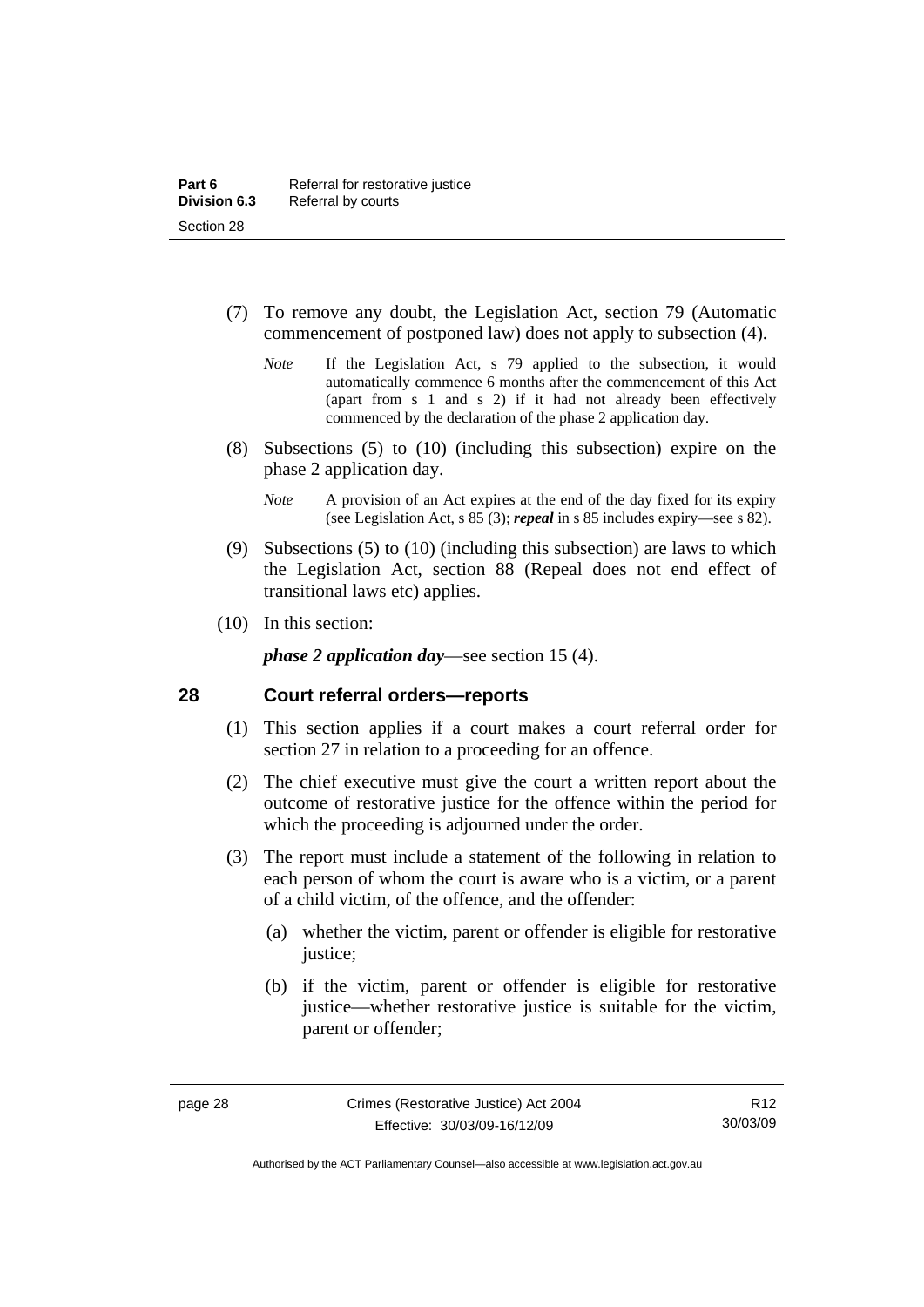- <span id="page-35-0"></span> (7) To remove any doubt, the Legislation Act, section 79 (Automatic commencement of postponed law) does not apply to subsection (4).
	- *Note* If the Legislation Act, s 79 applied to the subsection, it would automatically commence 6 months after the commencement of this Act (apart from s 1 and s 2) if it had not already been effectively commenced by the declaration of the phase 2 application day.
- (8) Subsections (5) to (10) (including this subsection) expire on the phase 2 application day.
	- *Note* A provision of an Act expires at the end of the day fixed for its expiry (see Legislation Act, s 85 (3); *repeal* in s 85 includes expiry—see s 82).
- (9) Subsections (5) to (10) (including this subsection) are laws to which the Legislation Act, section 88 (Repeal does not end effect of transitional laws etc) applies.
- (10) In this section:

*phase 2 application day*—see section 15 (4).

#### **28 Court referral orders—reports**

- (1) This section applies if a court makes a court referral order for section 27 in relation to a proceeding for an offence.
- (2) The chief executive must give the court a written report about the outcome of restorative justice for the offence within the period for which the proceeding is adjourned under the order.
- (3) The report must include a statement of the following in relation to each person of whom the court is aware who is a victim, or a parent of a child victim, of the offence, and the offender:
	- (a) whether the victim, parent or offender is eligible for restorative justice;
	- (b) if the victim, parent or offender is eligible for restorative justice—whether restorative justice is suitable for the victim, parent or offender;

Authorised by the ACT Parliamentary Counsel—also accessible at www.legislation.act.gov.au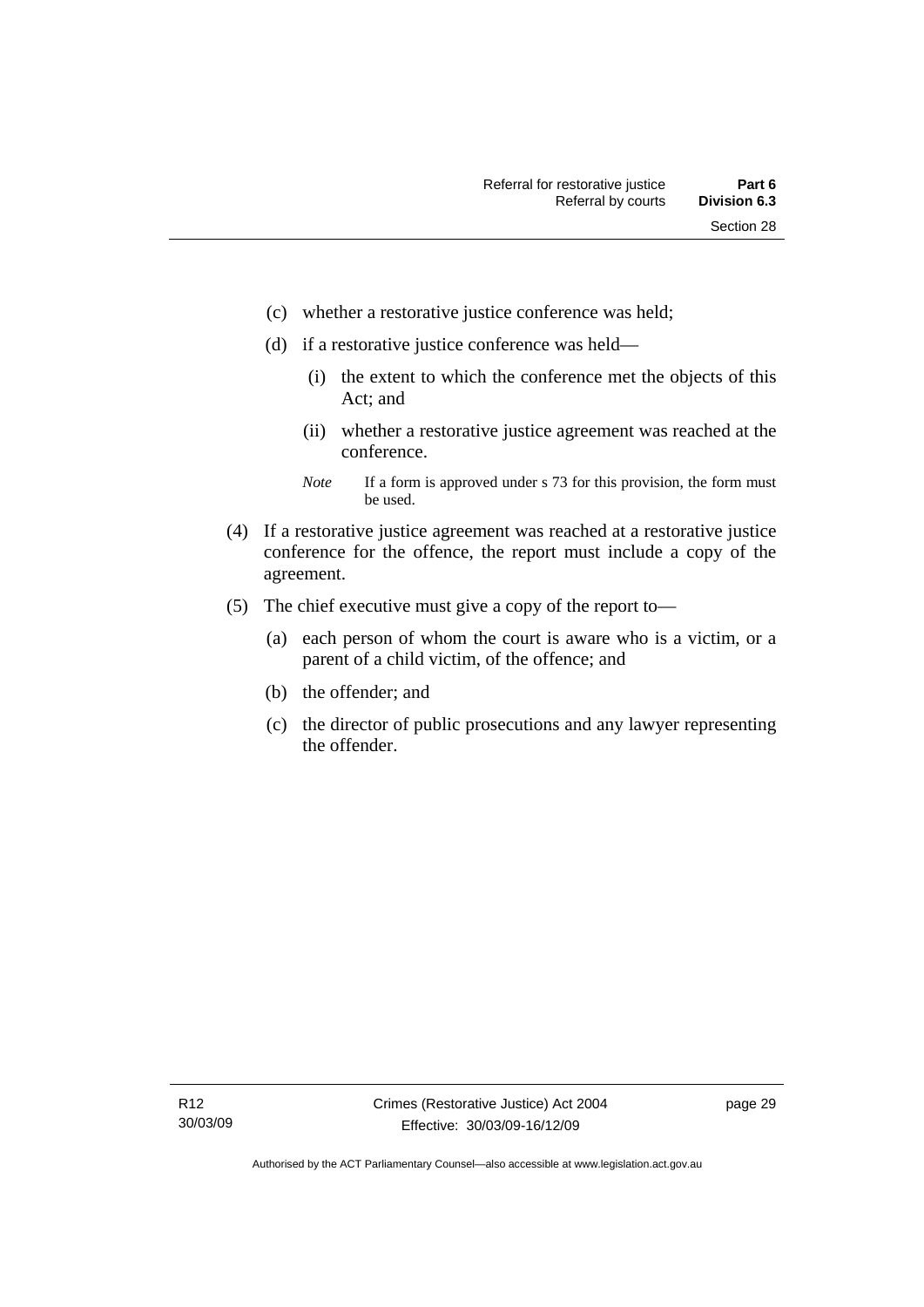- (c) whether a restorative justice conference was held;
- (d) if a restorative justice conference was held—
	- (i) the extent to which the conference met the objects of this Act; and
	- (ii) whether a restorative justice agreement was reached at the conference.
	- *Note* If a form is approved under s 73 for this provision, the form must be used.
- (4) If a restorative justice agreement was reached at a restorative justice conference for the offence, the report must include a copy of the agreement.
- (5) The chief executive must give a copy of the report to—
	- (a) each person of whom the court is aware who is a victim, or a parent of a child victim, of the offence; and
	- (b) the offender; and
	- (c) the director of public prosecutions and any lawyer representing the offender.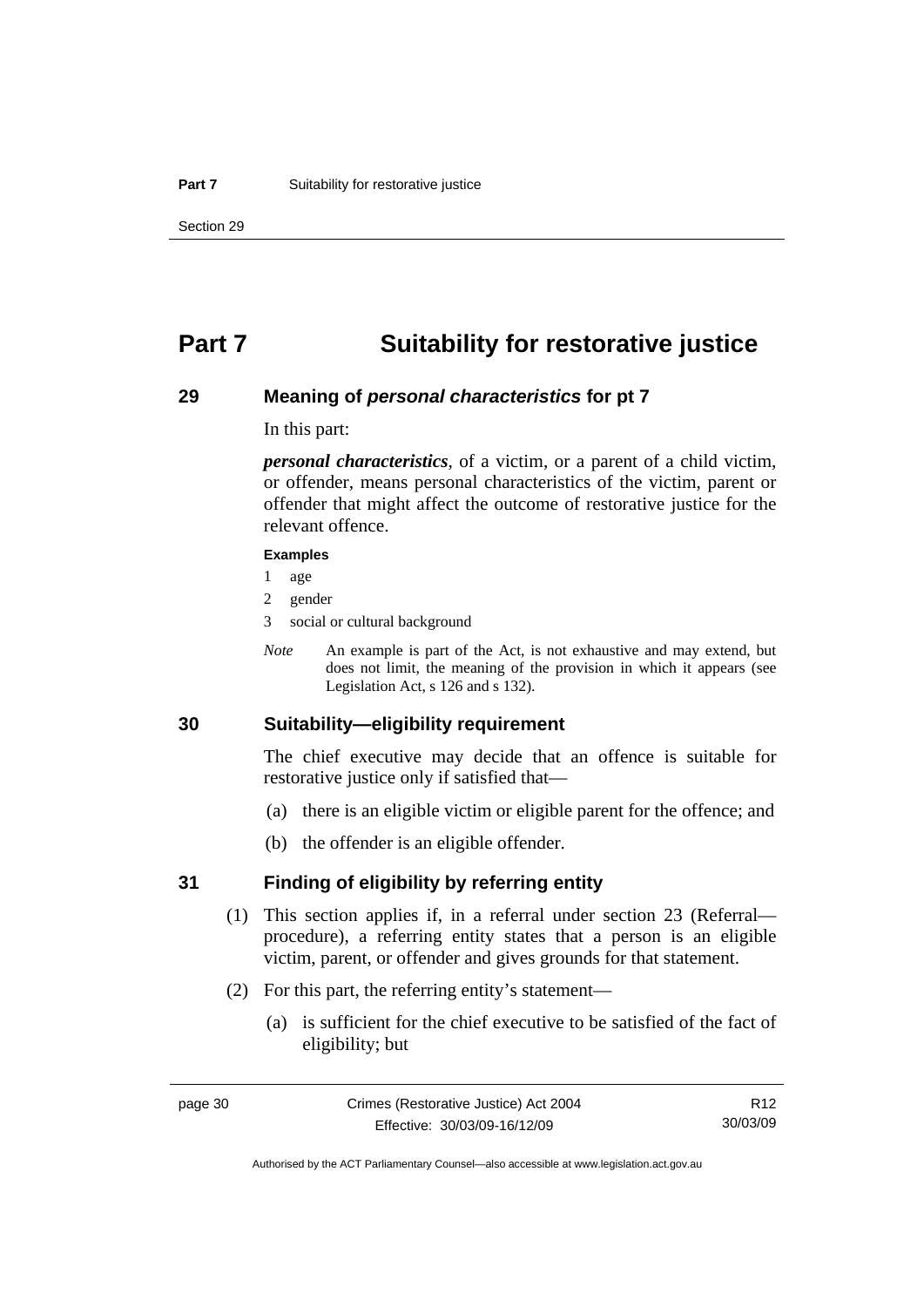## **Part 7 Suitability for restorative justice**

### **29 Meaning of** *personal characteristics* **for pt 7**

In this part:

*personal characteristics*, of a victim, or a parent of a child victim, or offender, means personal characteristics of the victim, parent or offender that might affect the outcome of restorative justice for the relevant offence.

#### **Examples**

- 1 age
- 2 gender
- 3 social or cultural background
- *Note* An example is part of the Act, is not exhaustive and may extend, but does not limit, the meaning of the provision in which it appears (see Legislation Act, s 126 and s 132).

## **30 Suitability—eligibility requirement**

The chief executive may decide that an offence is suitable for restorative justice only if satisfied that—

- (a) there is an eligible victim or eligible parent for the offence; and
- (b) the offender is an eligible offender.

### **31 Finding of eligibility by referring entity**

- (1) This section applies if, in a referral under section 23 (Referral procedure), a referring entity states that a person is an eligible victim, parent, or offender and gives grounds for that statement.
- (2) For this part, the referring entity's statement—
	- (a) is sufficient for the chief executive to be satisfied of the fact of eligibility; but

R12 30/03/09

Authorised by the ACT Parliamentary Counsel—also accessible at www.legislation.act.gov.au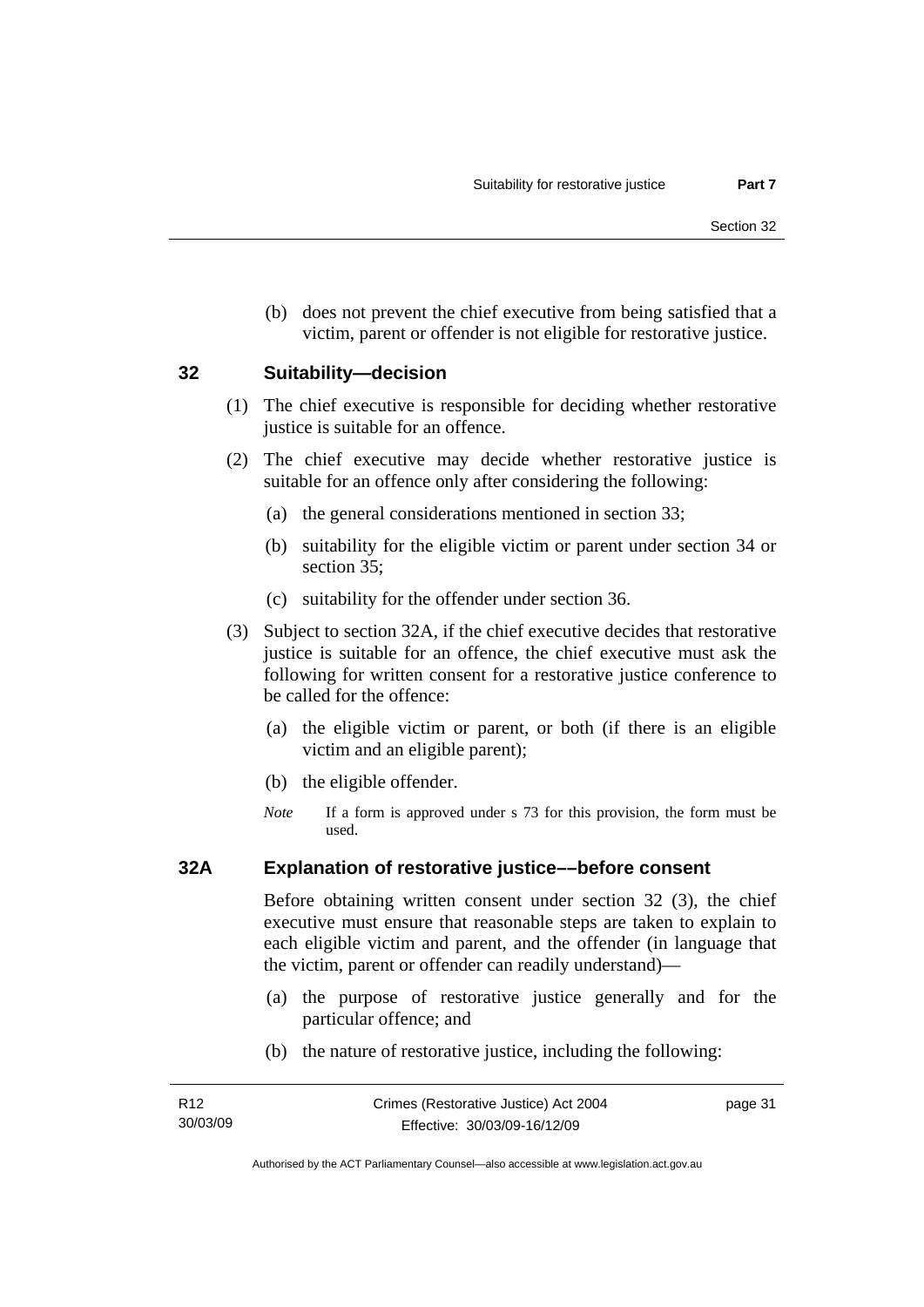(b) does not prevent the chief executive from being satisfied that a victim, parent or offender is not eligible for restorative justice.

### **32 Suitability—decision**

- (1) The chief executive is responsible for deciding whether restorative justice is suitable for an offence.
- (2) The chief executive may decide whether restorative justice is suitable for an offence only after considering the following:
	- (a) the general considerations mentioned in section 33;
	- (b) suitability for the eligible victim or parent under section 34 or section 35;
	- (c) suitability for the offender under section 36.
- (3) Subject to section 32A, if the chief executive decides that restorative justice is suitable for an offence, the chief executive must ask the following for written consent for a restorative justice conference to be called for the offence:
	- (a) the eligible victim or parent, or both (if there is an eligible victim and an eligible parent);
	- (b) the eligible offender.
	- *Note* If a form is approved under s 73 for this provision, the form must be used.

### **32A Explanation of restorative justice––before consent**

Before obtaining written consent under section 32 (3), the chief executive must ensure that reasonable steps are taken to explain to each eligible victim and parent, and the offender (in language that the victim, parent or offender can readily understand)—

- (a) the purpose of restorative justice generally and for the particular offence; and
- (b) the nature of restorative justice, including the following:

page 31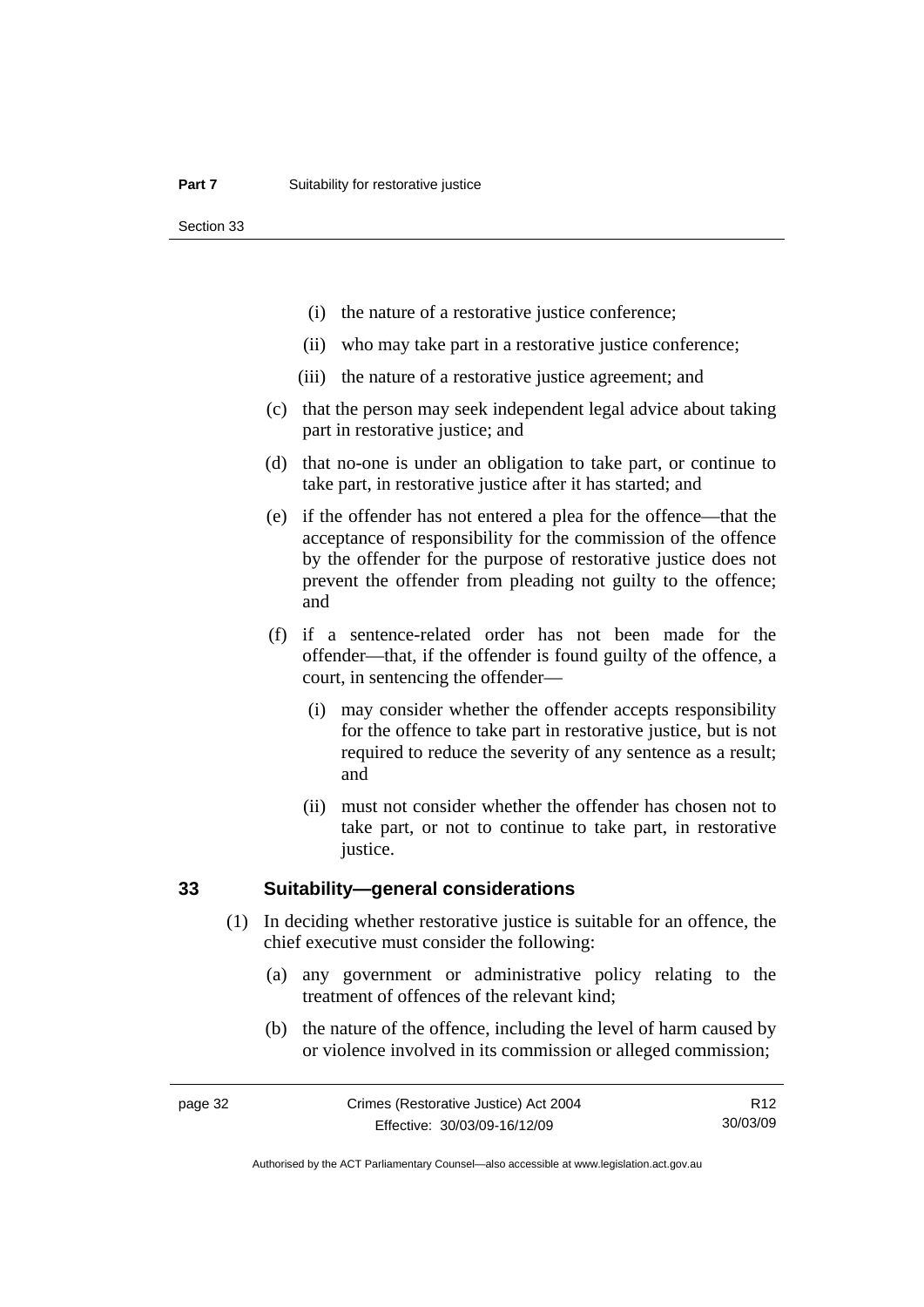Section 33

- (i) the nature of a restorative justice conference;
- (ii) who may take part in a restorative justice conference;
- (iii) the nature of a restorative justice agreement; and
- (c) that the person may seek independent legal advice about taking part in restorative justice; and
- (d) that no-one is under an obligation to take part, or continue to take part, in restorative justice after it has started; and
- (e) if the offender has not entered a plea for the offence—that the acceptance of responsibility for the commission of the offence by the offender for the purpose of restorative justice does not prevent the offender from pleading not guilty to the offence; and
- (f) if a sentence-related order has not been made for the offender—that, if the offender is found guilty of the offence, a court, in sentencing the offender—
	- (i) may consider whether the offender accepts responsibility for the offence to take part in restorative justice, but is not required to reduce the severity of any sentence as a result; and
	- (ii) must not consider whether the offender has chosen not to take part, or not to continue to take part, in restorative justice.

## **33 Suitability—general considerations**

- (1) In deciding whether restorative justice is suitable for an offence, the chief executive must consider the following:
	- (a) any government or administrative policy relating to the treatment of offences of the relevant kind;
	- (b) the nature of the offence, including the level of harm caused by or violence involved in its commission or alleged commission;

R12 30/03/09

Authorised by the ACT Parliamentary Counsel—also accessible at www.legislation.act.gov.au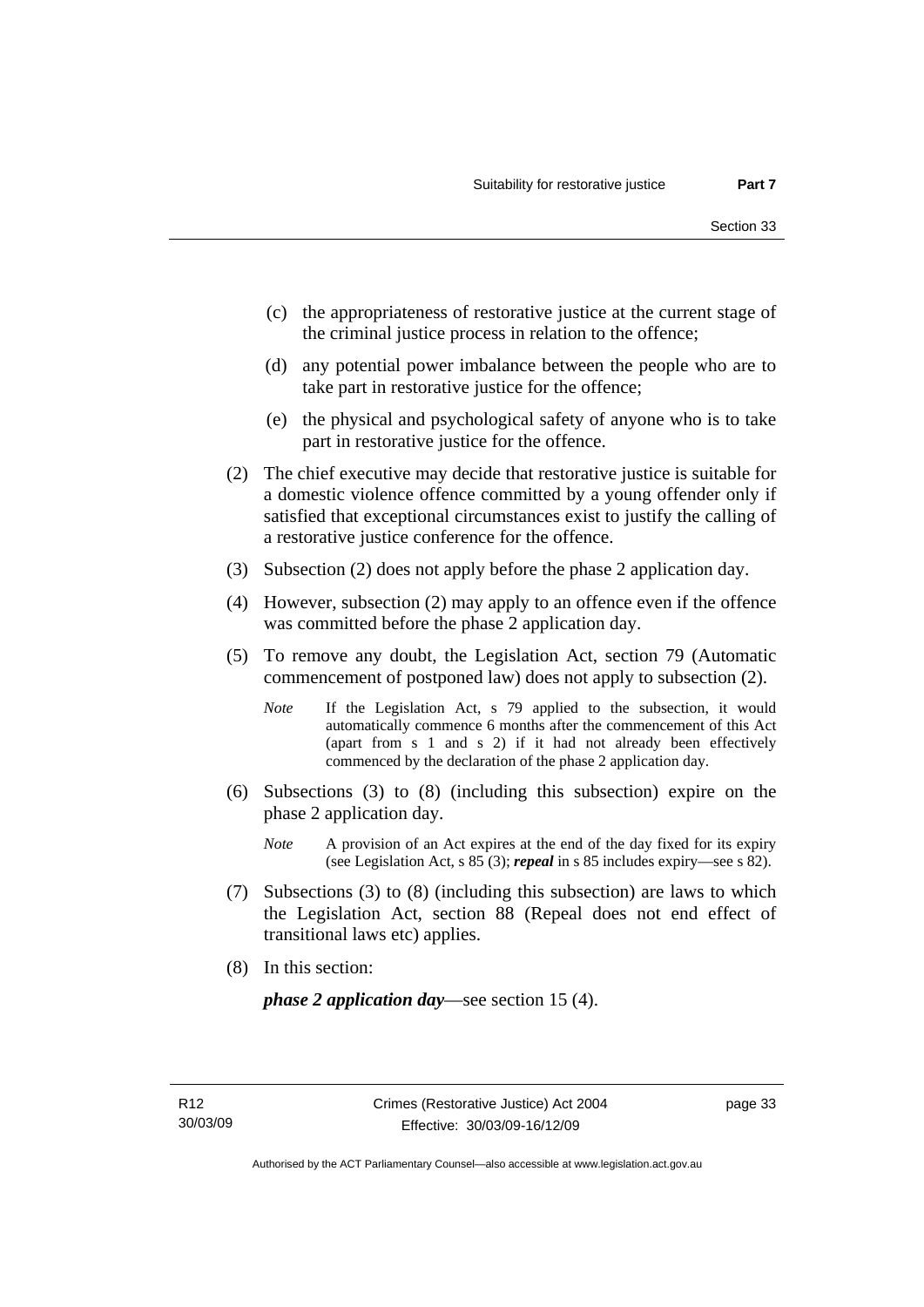- (c) the appropriateness of restorative justice at the current stage of the criminal justice process in relation to the offence;
- (d) any potential power imbalance between the people who are to take part in restorative justice for the offence;
- (e) the physical and psychological safety of anyone who is to take part in restorative justice for the offence.
- (2) The chief executive may decide that restorative justice is suitable for a domestic violence offence committed by a young offender only if satisfied that exceptional circumstances exist to justify the calling of a restorative justice conference for the offence.
- (3) Subsection (2) does not apply before the phase 2 application day.
- (4) However, subsection (2) may apply to an offence even if the offence was committed before the phase 2 application day.
- (5) To remove any doubt, the Legislation Act, section 79 (Automatic commencement of postponed law) does not apply to subsection (2).
	- *Note* If the Legislation Act, s 79 applied to the subsection, it would automatically commence 6 months after the commencement of this Act (apart from s 1 and s 2) if it had not already been effectively commenced by the declaration of the phase 2 application day.
- (6) Subsections (3) to (8) (including this subsection) expire on the phase 2 application day.
	- *Note* A provision of an Act expires at the end of the day fixed for its expiry (see Legislation Act, s 85 (3); *repeal* in s 85 includes expiry—see s 82).
- (7) Subsections (3) to (8) (including this subsection) are laws to which the Legislation Act, section 88 (Repeal does not end effect of transitional laws etc) applies.
- (8) In this section:

*phase 2 application day*—see section 15 (4).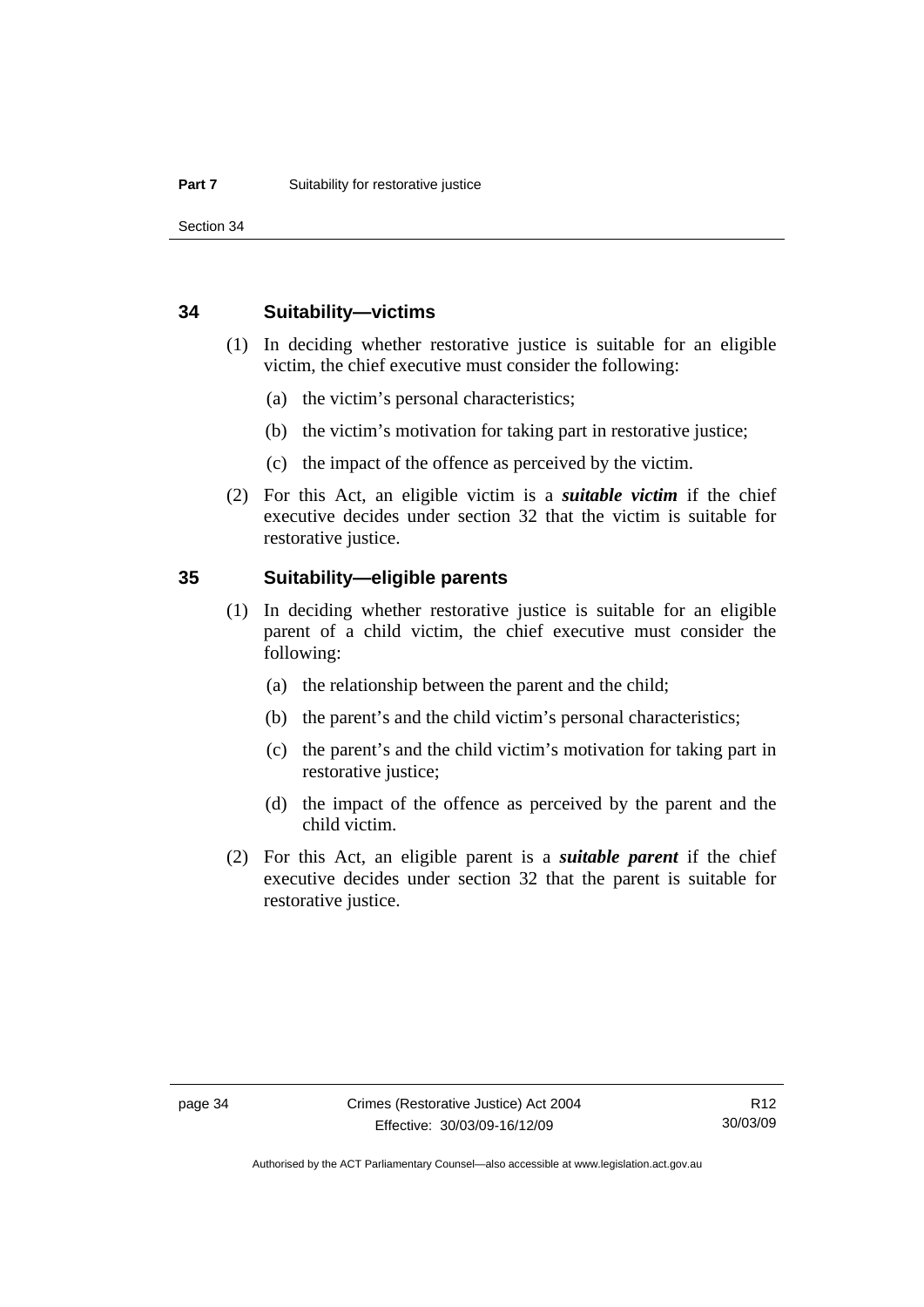Section 34

### **34 Suitability—victims**

- (1) In deciding whether restorative justice is suitable for an eligible victim, the chief executive must consider the following:
	- (a) the victim's personal characteristics;
	- (b) the victim's motivation for taking part in restorative justice;
	- (c) the impact of the offence as perceived by the victim.
- (2) For this Act, an eligible victim is a *suitable victim* if the chief executive decides under section 32 that the victim is suitable for restorative justice.

## **35 Suitability—eligible parents**

- (1) In deciding whether restorative justice is suitable for an eligible parent of a child victim, the chief executive must consider the following:
	- (a) the relationship between the parent and the child;
	- (b) the parent's and the child victim's personal characteristics;
	- (c) the parent's and the child victim's motivation for taking part in restorative justice;
	- (d) the impact of the offence as perceived by the parent and the child victim.
- (2) For this Act, an eligible parent is a *suitable parent* if the chief executive decides under section 32 that the parent is suitable for restorative justice.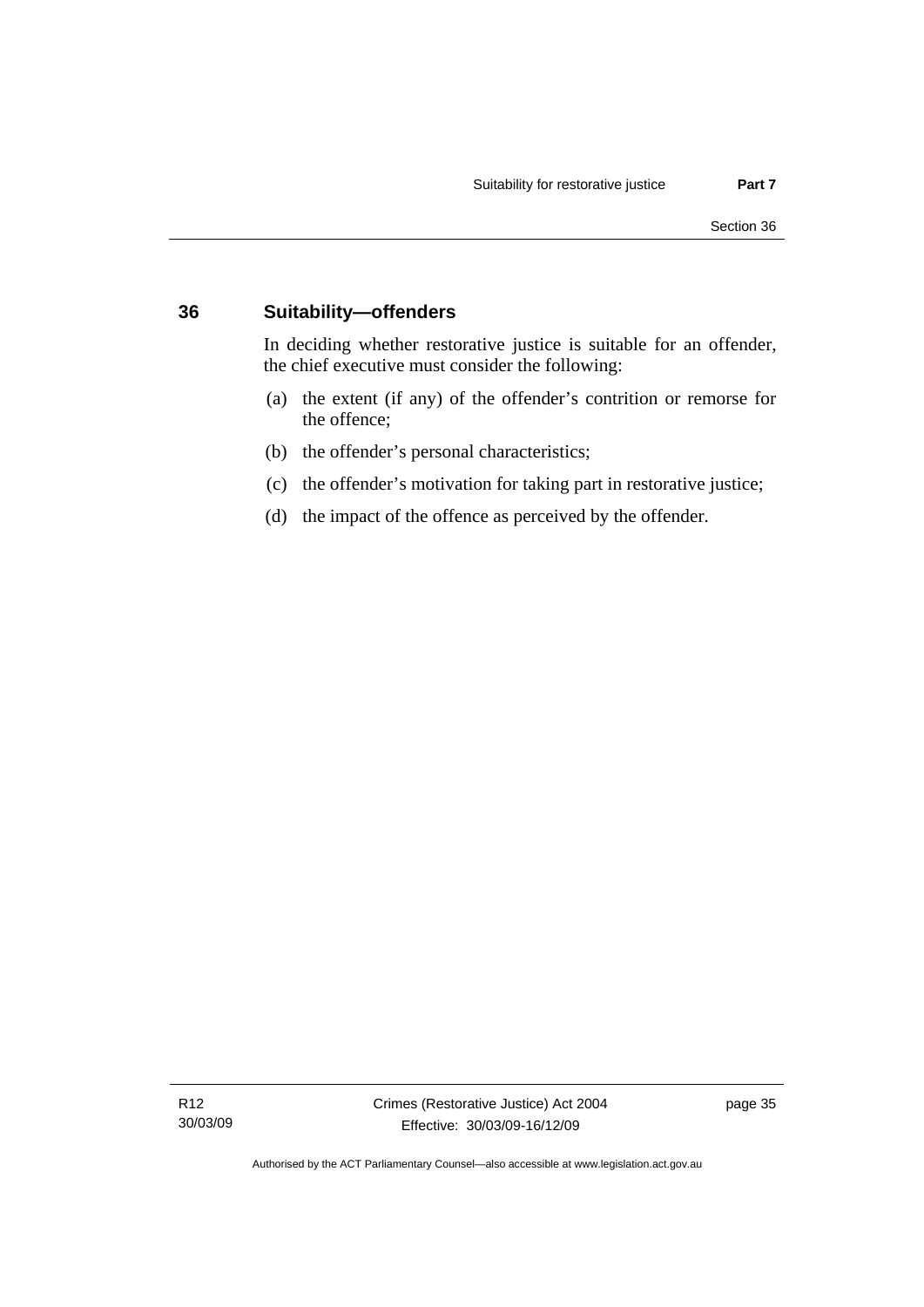## **36 Suitability—offenders**

In deciding whether restorative justice is suitable for an offender, the chief executive must consider the following:

- (a) the extent (if any) of the offender's contrition or remorse for the offence;
- (b) the offender's personal characteristics;
- (c) the offender's motivation for taking part in restorative justice;
- (d) the impact of the offence as perceived by the offender.

Authorised by the ACT Parliamentary Counsel—also accessible at www.legislation.act.gov.au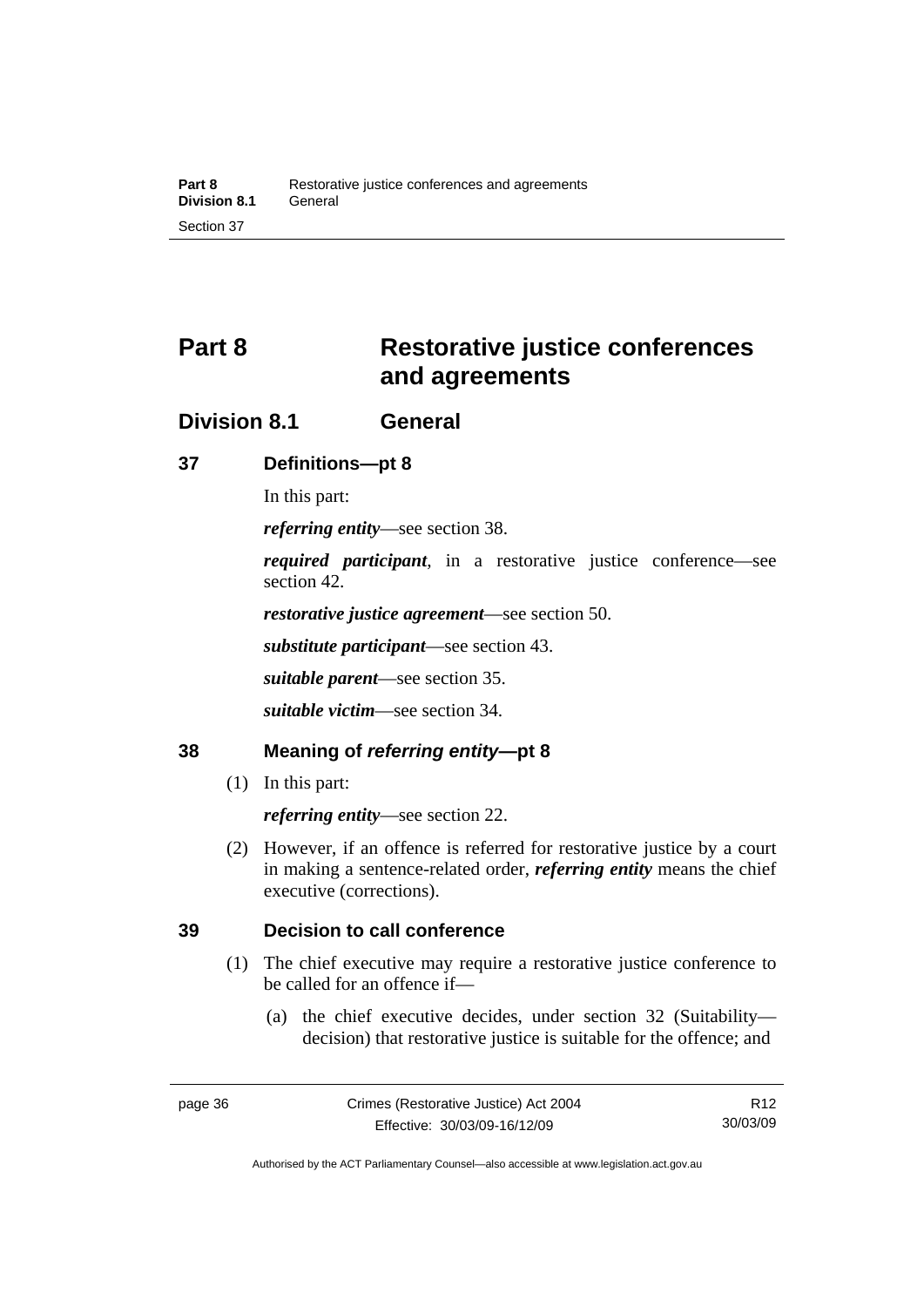# **Part 8 Restorative justice conferences and agreements**

## **Division 8.1 General**

## **37 Definitions—pt 8**

In this part:

*referring entity*—see section 38.

*required participant*, in a restorative justice conference—see section 42.

*restorative justice agreement*—see section 50.

*substitute participant*—see section 43.

*suitable parent*—see section 35.

*suitable victim*—see section 34.

## **38 Meaning of** *referring entity***—pt 8**

(1) In this part:

*referring entity*—see section 22.

 (2) However, if an offence is referred for restorative justice by a court in making a sentence-related order, *referring entity* means the chief executive (corrections).

## **39 Decision to call conference**

- (1) The chief executive may require a restorative justice conference to be called for an offence if—
	- (a) the chief executive decides, under section 32 (Suitability decision) that restorative justice is suitable for the offence; and

Authorised by the ACT Parliamentary Counsel—also accessible at www.legislation.act.gov.au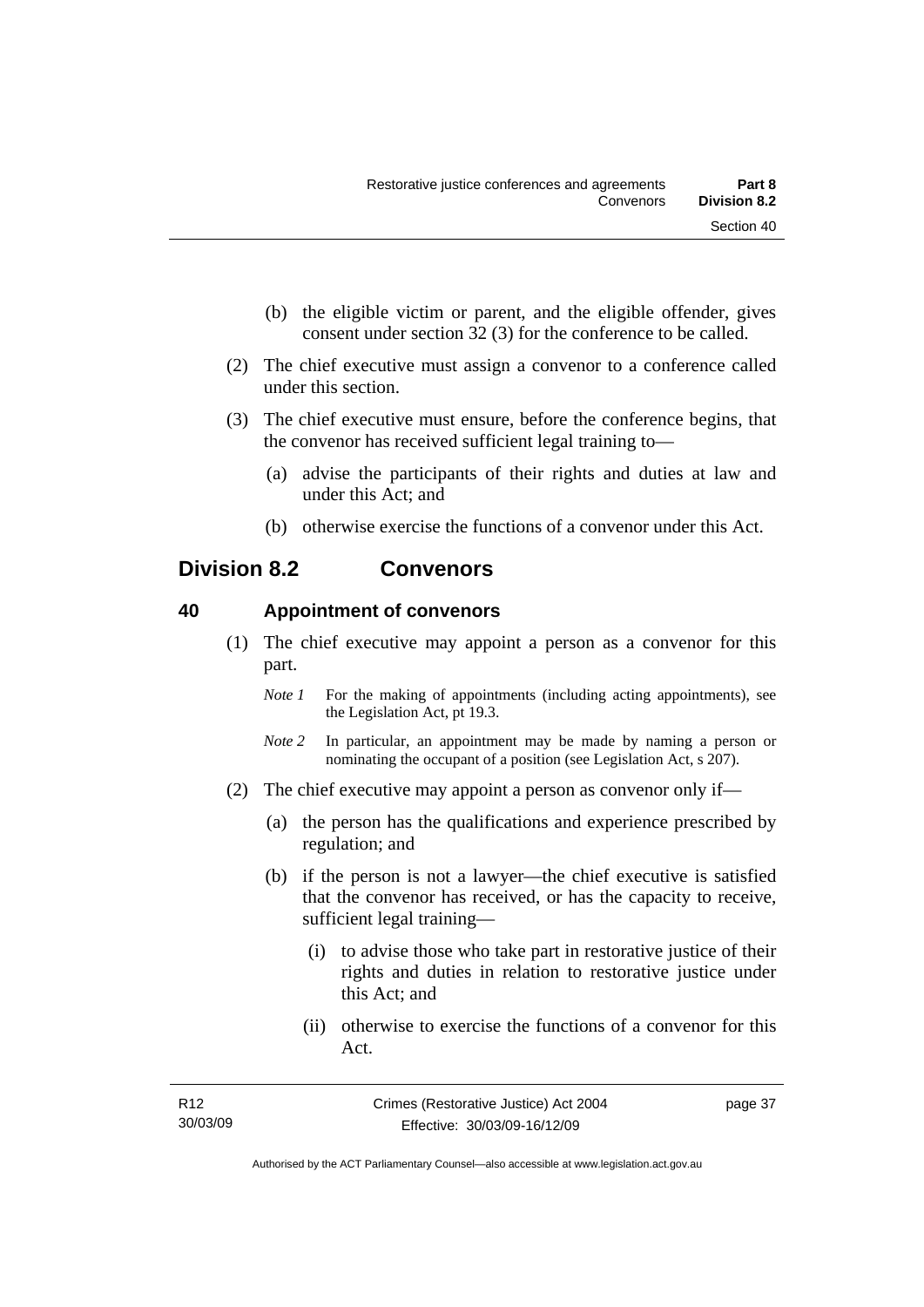- (b) the eligible victim or parent, and the eligible offender, gives consent under section 32 (3) for the conference to be called.
- (2) The chief executive must assign a convenor to a conference called under this section.
- (3) The chief executive must ensure, before the conference begins, that the convenor has received sufficient legal training to—
	- (a) advise the participants of their rights and duties at law and under this Act; and
	- (b) otherwise exercise the functions of a convenor under this Act.

## **Division 8.2 Convenors**

## **40 Appointment of convenors**

- (1) The chief executive may appoint a person as a convenor for this part.
	- *Note 1* For the making of appointments (including acting appointments), see the Legislation Act, pt 19.3.
	- *Note 2* In particular, an appointment may be made by naming a person or nominating the occupant of a position (see Legislation Act, s 207).
- (2) The chief executive may appoint a person as convenor only if—
	- (a) the person has the qualifications and experience prescribed by regulation; and
	- (b) if the person is not a lawyer—the chief executive is satisfied that the convenor has received, or has the capacity to receive, sufficient legal training—
		- (i) to advise those who take part in restorative justice of their rights and duties in relation to restorative justice under this Act; and
		- (ii) otherwise to exercise the functions of a convenor for this Act.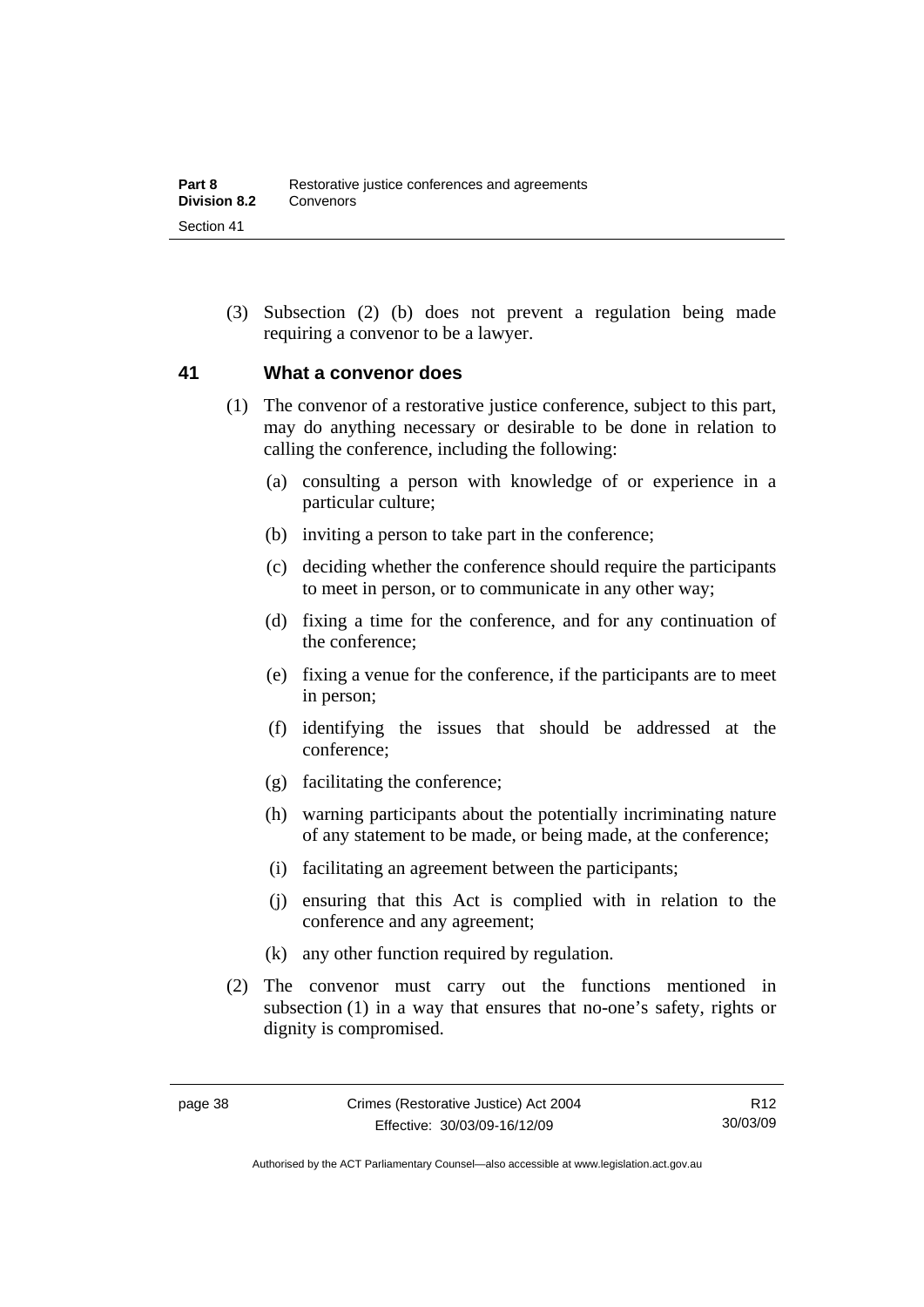(3) Subsection (2) (b) does not prevent a regulation being made requiring a convenor to be a lawyer.

## **41 What a convenor does**

- (1) The convenor of a restorative justice conference, subject to this part, may do anything necessary or desirable to be done in relation to calling the conference, including the following:
	- (a) consulting a person with knowledge of or experience in a particular culture;
	- (b) inviting a person to take part in the conference;
	- (c) deciding whether the conference should require the participants to meet in person, or to communicate in any other way;
	- (d) fixing a time for the conference, and for any continuation of the conference;
	- (e) fixing a venue for the conference, if the participants are to meet in person;
	- (f) identifying the issues that should be addressed at the conference;
	- (g) facilitating the conference;
	- (h) warning participants about the potentially incriminating nature of any statement to be made, or being made, at the conference;
	- (i) facilitating an agreement between the participants;
	- (j) ensuring that this Act is complied with in relation to the conference and any agreement;
	- (k) any other function required by regulation.
- (2) The convenor must carry out the functions mentioned in subsection (1) in a way that ensures that no-one's safety, rights or dignity is compromised.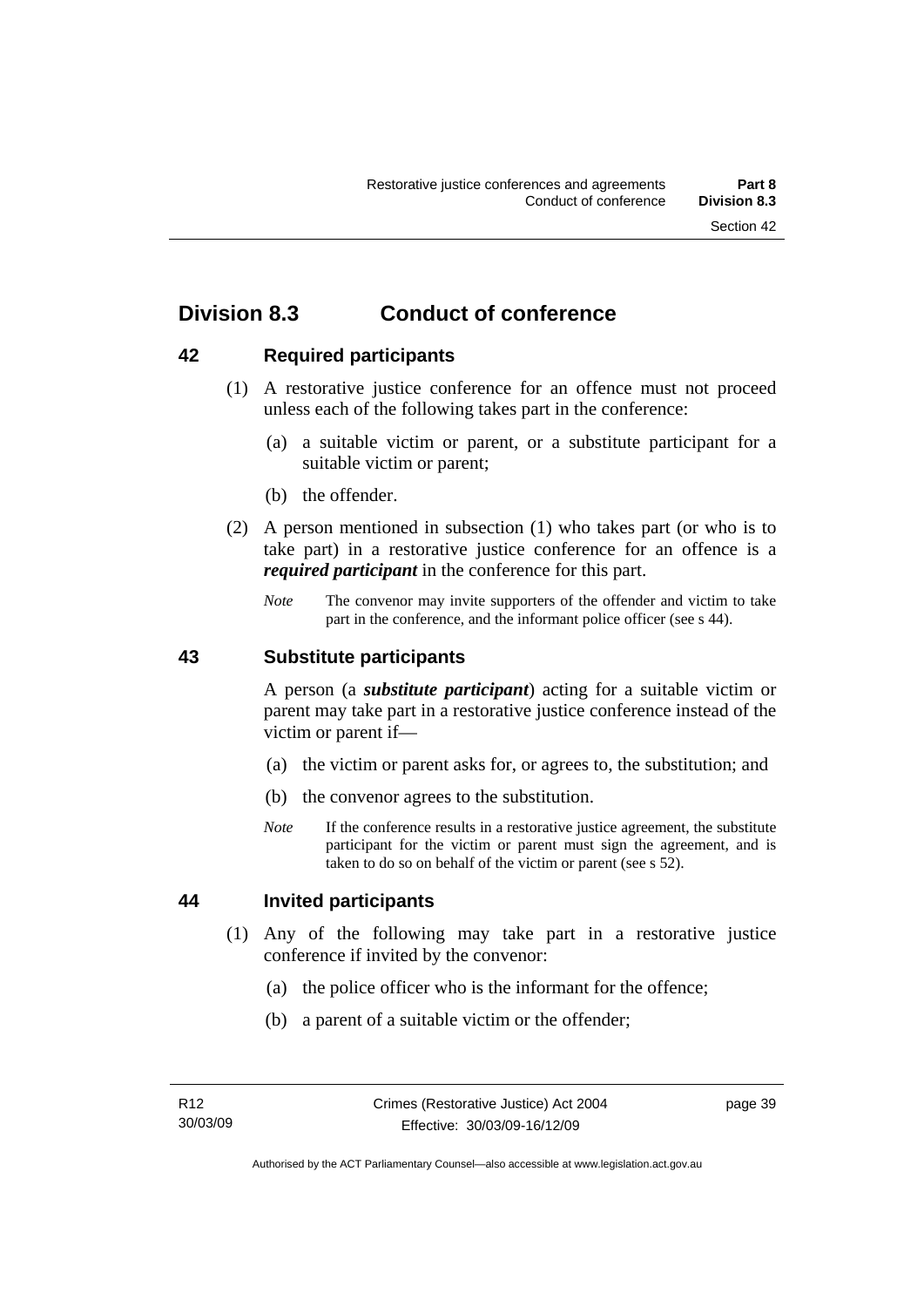## **Division 8.3 Conduct of conference**

## **42 Required participants**

- (1) A restorative justice conference for an offence must not proceed unless each of the following takes part in the conference:
	- (a) a suitable victim or parent, or a substitute participant for a suitable victim or parent;
	- (b) the offender.
- (2) A person mentioned in subsection (1) who takes part (or who is to take part) in a restorative justice conference for an offence is a *required participant* in the conference for this part.
	- *Note* The convenor may invite supporters of the offender and victim to take part in the conference, and the informant police officer (see s 44).

### **43 Substitute participants**

A person (a *substitute participant*) acting for a suitable victim or parent may take part in a restorative justice conference instead of the victim or parent if—

- (a) the victim or parent asks for, or agrees to, the substitution; and
- (b) the convenor agrees to the substitution.
- *Note* If the conference results in a restorative justice agreement, the substitute participant for the victim or parent must sign the agreement, and is taken to do so on behalf of the victim or parent (see s 52).

## **44 Invited participants**

- (1) Any of the following may take part in a restorative justice conference if invited by the convenor:
	- (a) the police officer who is the informant for the offence;
	- (b) a parent of a suitable victim or the offender;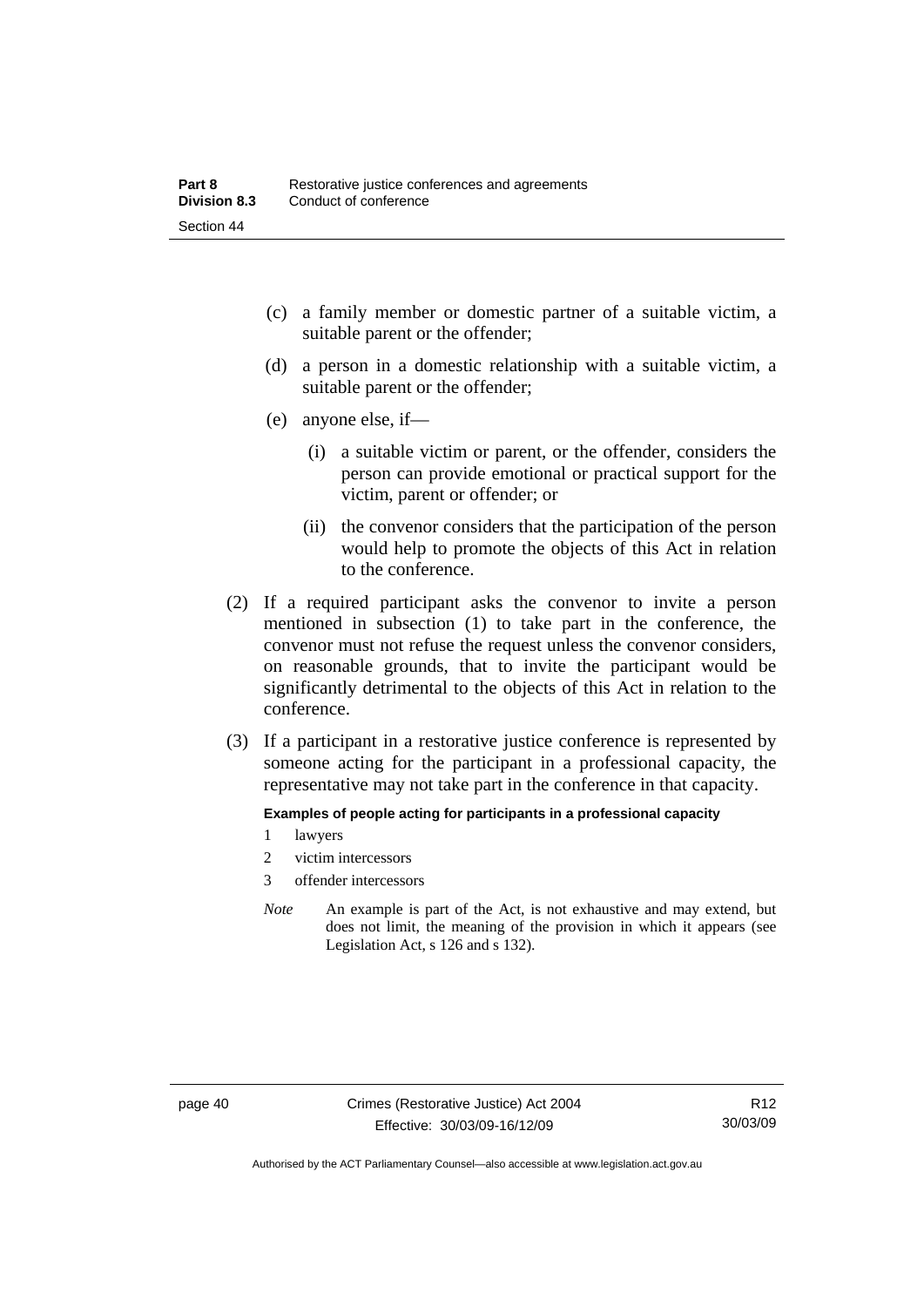- (c) a family member or domestic partner of a suitable victim, a suitable parent or the offender;
- (d) a person in a domestic relationship with a suitable victim, a suitable parent or the offender;
- (e) anyone else, if—
	- (i) a suitable victim or parent, or the offender, considers the person can provide emotional or practical support for the victim, parent or offender; or
	- (ii) the convenor considers that the participation of the person would help to promote the objects of this Act in relation to the conference.
- (2) If a required participant asks the convenor to invite a person mentioned in subsection (1) to take part in the conference, the convenor must not refuse the request unless the convenor considers, on reasonable grounds, that to invite the participant would be significantly detrimental to the objects of this Act in relation to the conference.
- (3) If a participant in a restorative justice conference is represented by someone acting for the participant in a professional capacity, the representative may not take part in the conference in that capacity.

#### **Examples of people acting for participants in a professional capacity**

- 1 lawyers
- 2 victim intercessors
- 3 offender intercessors
- *Note* An example is part of the Act, is not exhaustive and may extend, but does not limit, the meaning of the provision in which it appears (see Legislation Act, s 126 and s 132).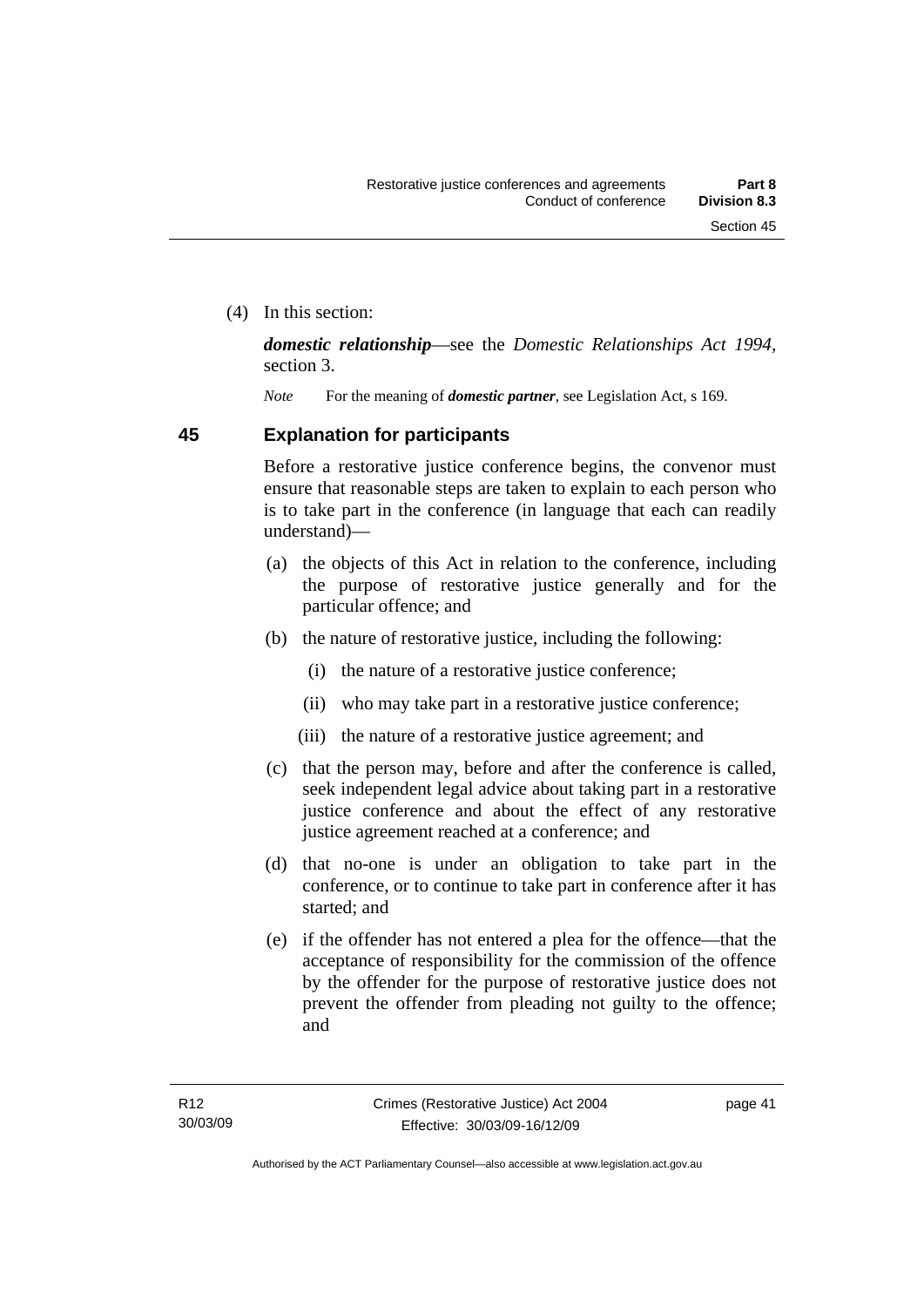(4) In this section:

*domestic relationship*—see the *Domestic Relationships Act 1994*, section 3.

*Note* For the meaning of *domestic partner*, see Legislation Act, s 169.

## **45 Explanation for participants**

Before a restorative justice conference begins, the convenor must ensure that reasonable steps are taken to explain to each person who is to take part in the conference (in language that each can readily understand)—

- (a) the objects of this Act in relation to the conference, including the purpose of restorative justice generally and for the particular offence; and
- (b) the nature of restorative justice, including the following:
	- (i) the nature of a restorative justice conference;
	- (ii) who may take part in a restorative justice conference;
	- (iii) the nature of a restorative justice agreement; and
- (c) that the person may, before and after the conference is called, seek independent legal advice about taking part in a restorative justice conference and about the effect of any restorative justice agreement reached at a conference; and
- (d) that no-one is under an obligation to take part in the conference, or to continue to take part in conference after it has started; and
- (e) if the offender has not entered a plea for the offence—that the acceptance of responsibility for the commission of the offence by the offender for the purpose of restorative justice does not prevent the offender from pleading not guilty to the offence; and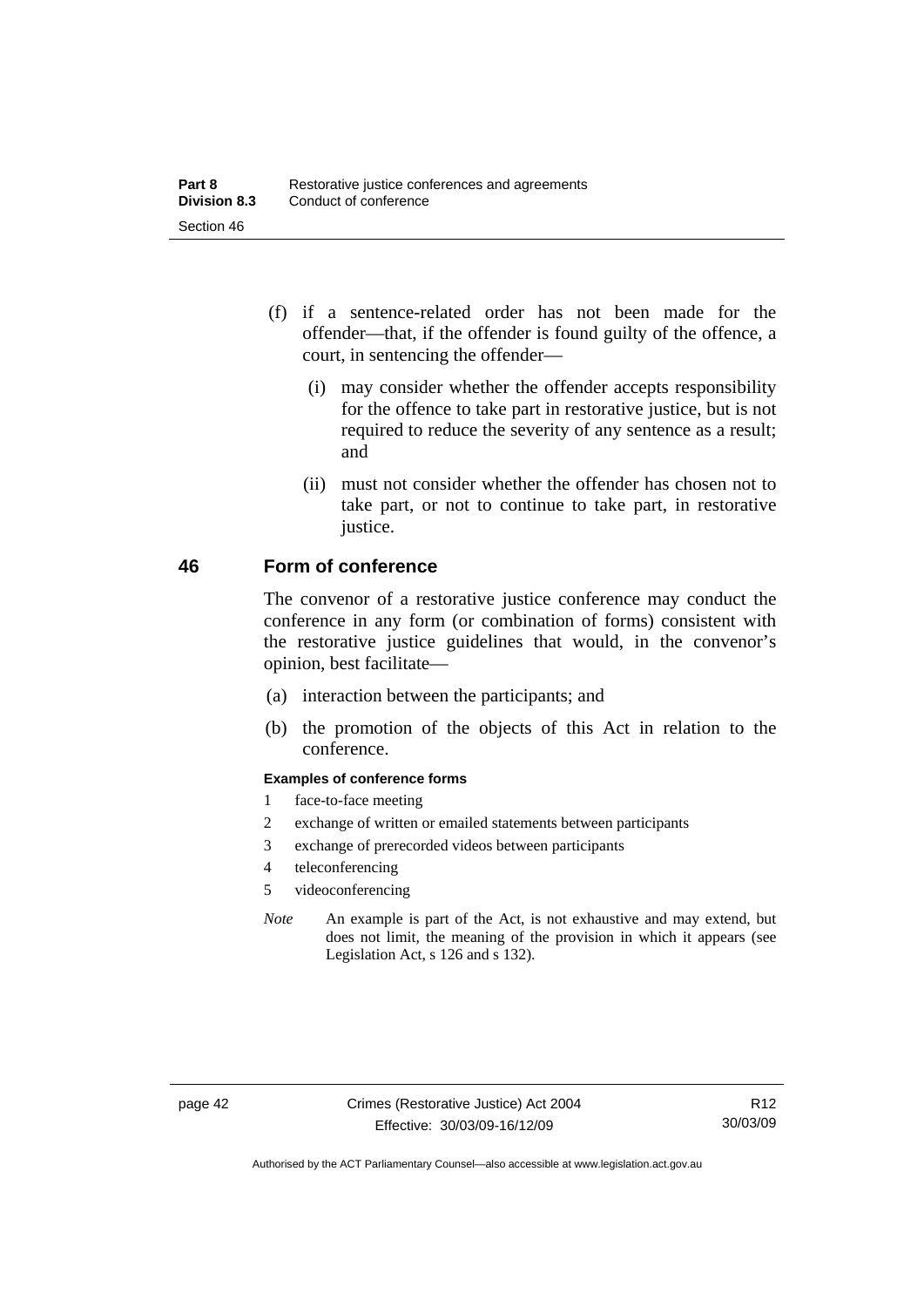- (f) if a sentence-related order has not been made for the offender—that, if the offender is found guilty of the offence, a court, in sentencing the offender—
	- (i) may consider whether the offender accepts responsibility for the offence to take part in restorative justice, but is not required to reduce the severity of any sentence as a result; and
	- (ii) must not consider whether the offender has chosen not to take part, or not to continue to take part, in restorative justice.

## **46 Form of conference**

The convenor of a restorative justice conference may conduct the conference in any form (or combination of forms) consistent with the restorative justice guidelines that would, in the convenor's opinion, best facilitate—

- (a) interaction between the participants; and
- (b) the promotion of the objects of this Act in relation to the conference.

#### **Examples of conference forms**

- 1 face-to-face meeting
- 2 exchange of written or emailed statements between participants
- 3 exchange of prerecorded videos between participants
- 4 teleconferencing
- 5 videoconferencing
- *Note* An example is part of the Act, is not exhaustive and may extend, but does not limit, the meaning of the provision in which it appears (see Legislation Act, s 126 and s 132).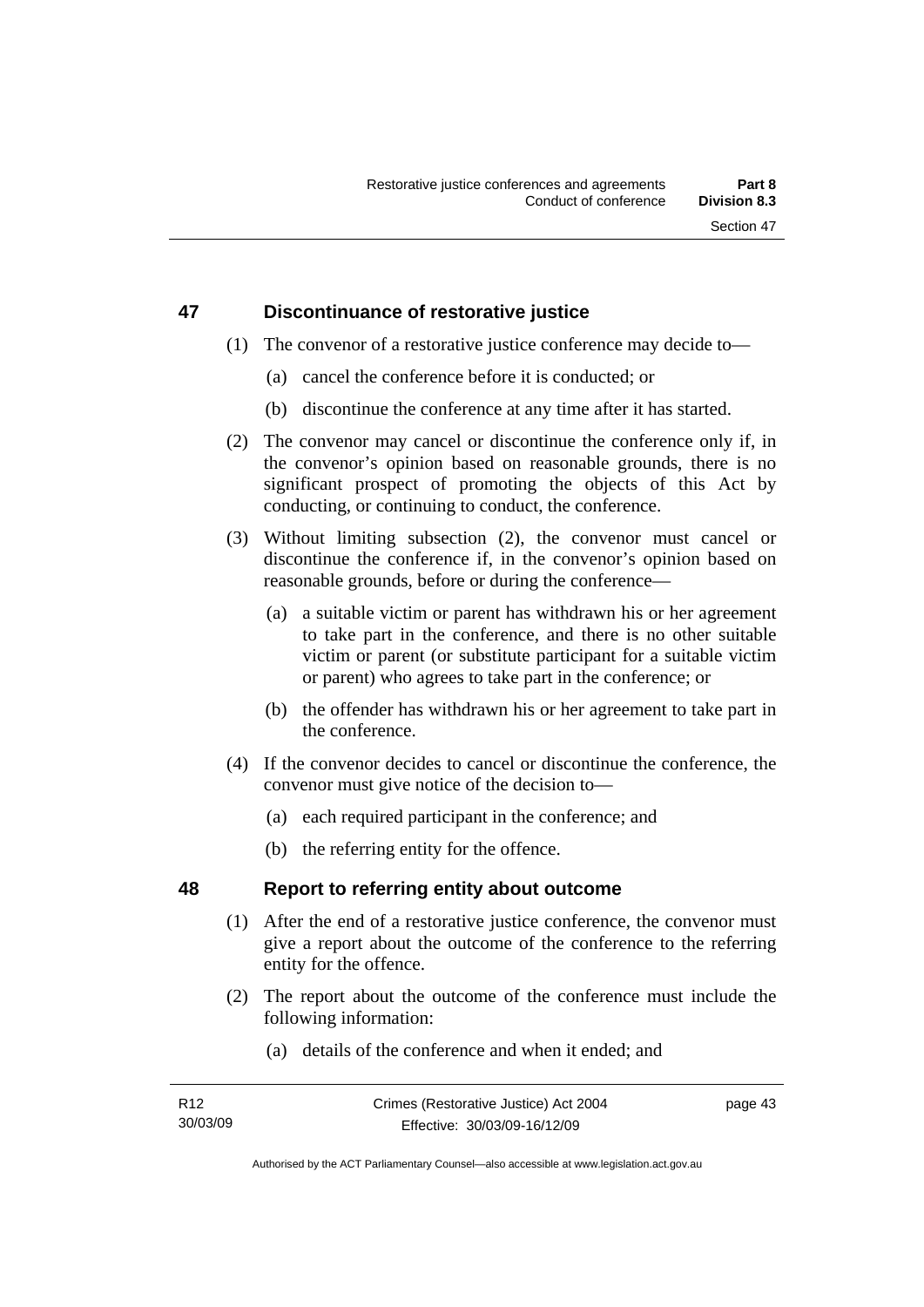## **47 Discontinuance of restorative justice**

- (1) The convenor of a restorative justice conference may decide to—
	- (a) cancel the conference before it is conducted; or
	- (b) discontinue the conference at any time after it has started.
- (2) The convenor may cancel or discontinue the conference only if, in the convenor's opinion based on reasonable grounds, there is no significant prospect of promoting the objects of this Act by conducting, or continuing to conduct, the conference.
- (3) Without limiting subsection (2), the convenor must cancel or discontinue the conference if, in the convenor's opinion based on reasonable grounds, before or during the conference—
	- (a) a suitable victim or parent has withdrawn his or her agreement to take part in the conference, and there is no other suitable victim or parent (or substitute participant for a suitable victim or parent) who agrees to take part in the conference; or
	- (b) the offender has withdrawn his or her agreement to take part in the conference.
- (4) If the convenor decides to cancel or discontinue the conference, the convenor must give notice of the decision to—
	- (a) each required participant in the conference; and
	- (b) the referring entity for the offence.

## **48 Report to referring entity about outcome**

- (1) After the end of a restorative justice conference, the convenor must give a report about the outcome of the conference to the referring entity for the offence.
- (2) The report about the outcome of the conference must include the following information:
	- (a) details of the conference and when it ended; and

Authorised by the ACT Parliamentary Counsel—also accessible at www.legislation.act.gov.au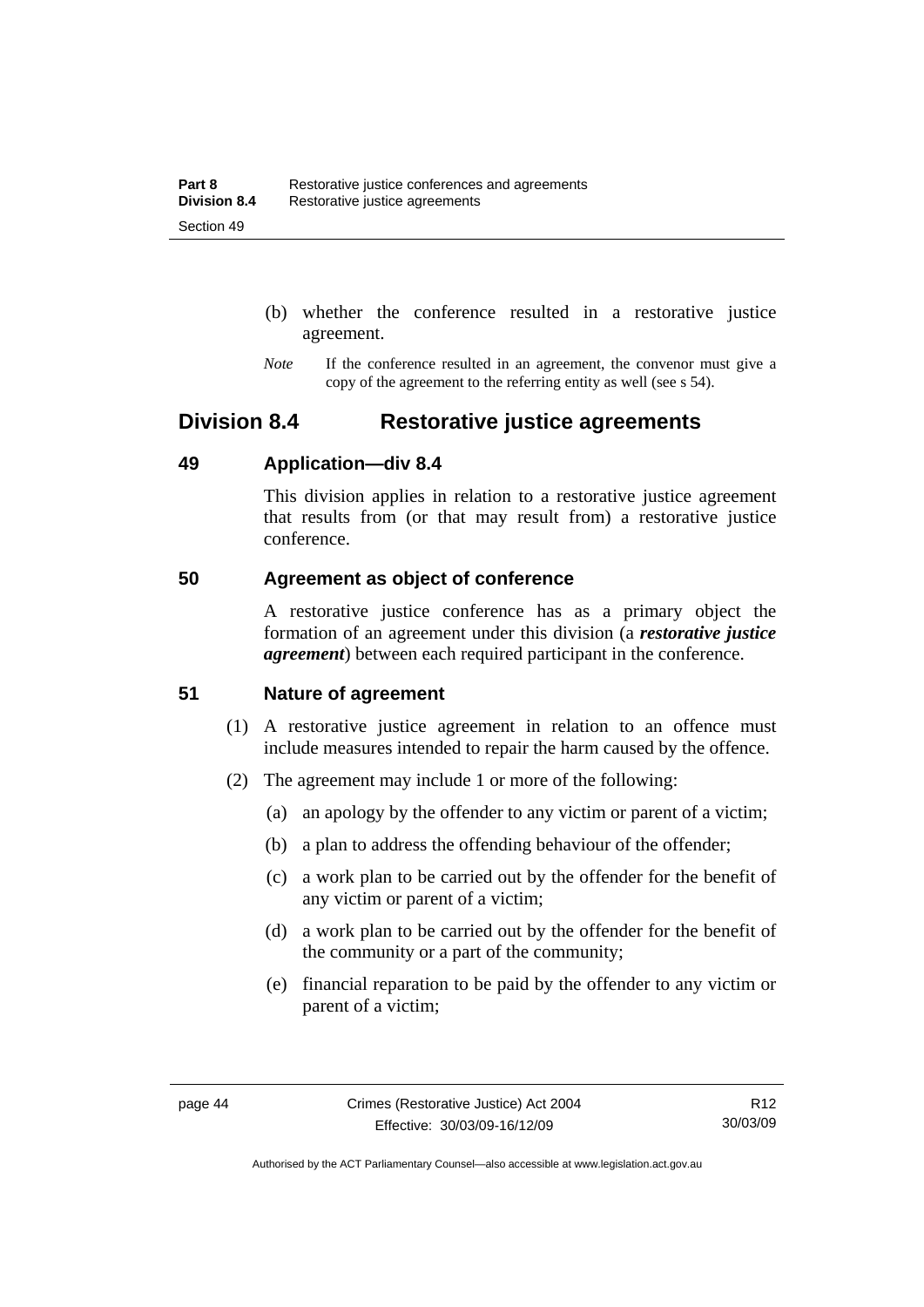- (b) whether the conference resulted in a restorative justice agreement.
- *Note* If the conference resulted in an agreement, the convenor must give a copy of the agreement to the referring entity as well (see s 54).

## **Division 8.4 Restorative justice agreements**

## **49 Application—div 8.4**

This division applies in relation to a restorative justice agreement that results from (or that may result from) a restorative justice conference.

## **50 Agreement as object of conference**

A restorative justice conference has as a primary object the formation of an agreement under this division (a *restorative justice agreement*) between each required participant in the conference.

## **51 Nature of agreement**

- (1) A restorative justice agreement in relation to an offence must include measures intended to repair the harm caused by the offence.
- (2) The agreement may include 1 or more of the following:
	- (a) an apology by the offender to any victim or parent of a victim;
	- (b) a plan to address the offending behaviour of the offender;
	- (c) a work plan to be carried out by the offender for the benefit of any victim or parent of a victim;
	- (d) a work plan to be carried out by the offender for the benefit of the community or a part of the community;
	- (e) financial reparation to be paid by the offender to any victim or parent of a victim;

Authorised by the ACT Parliamentary Counsel—also accessible at www.legislation.act.gov.au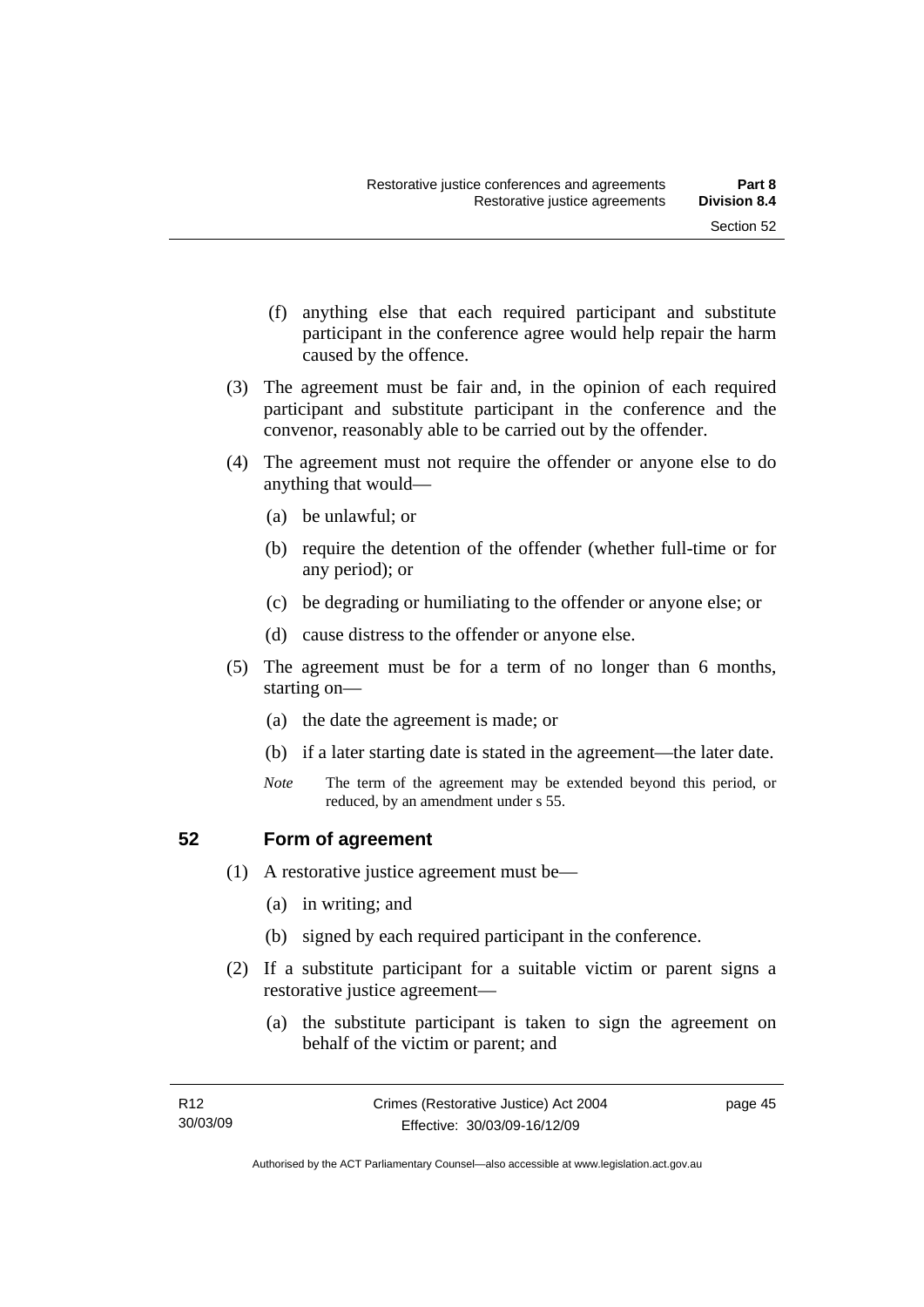- (f) anything else that each required participant and substitute participant in the conference agree would help repair the harm caused by the offence.
- (3) The agreement must be fair and, in the opinion of each required participant and substitute participant in the conference and the convenor, reasonably able to be carried out by the offender.
- (4) The agreement must not require the offender or anyone else to do anything that would—
	- (a) be unlawful; or
	- (b) require the detention of the offender (whether full-time or for any period); or
	- (c) be degrading or humiliating to the offender or anyone else; or
	- (d) cause distress to the offender or anyone else.
- (5) The agreement must be for a term of no longer than 6 months, starting on—
	- (a) the date the agreement is made; or
	- (b) if a later starting date is stated in the agreement—the later date.
	- *Note* The term of the agreement may be extended beyond this period, or reduced, by an amendment under s 55.

### **52 Form of agreement**

- (1) A restorative justice agreement must be—
	- (a) in writing; and
	- (b) signed by each required participant in the conference.
- (2) If a substitute participant for a suitable victim or parent signs a restorative justice agreement—
	- (a) the substitute participant is taken to sign the agreement on behalf of the victim or parent; and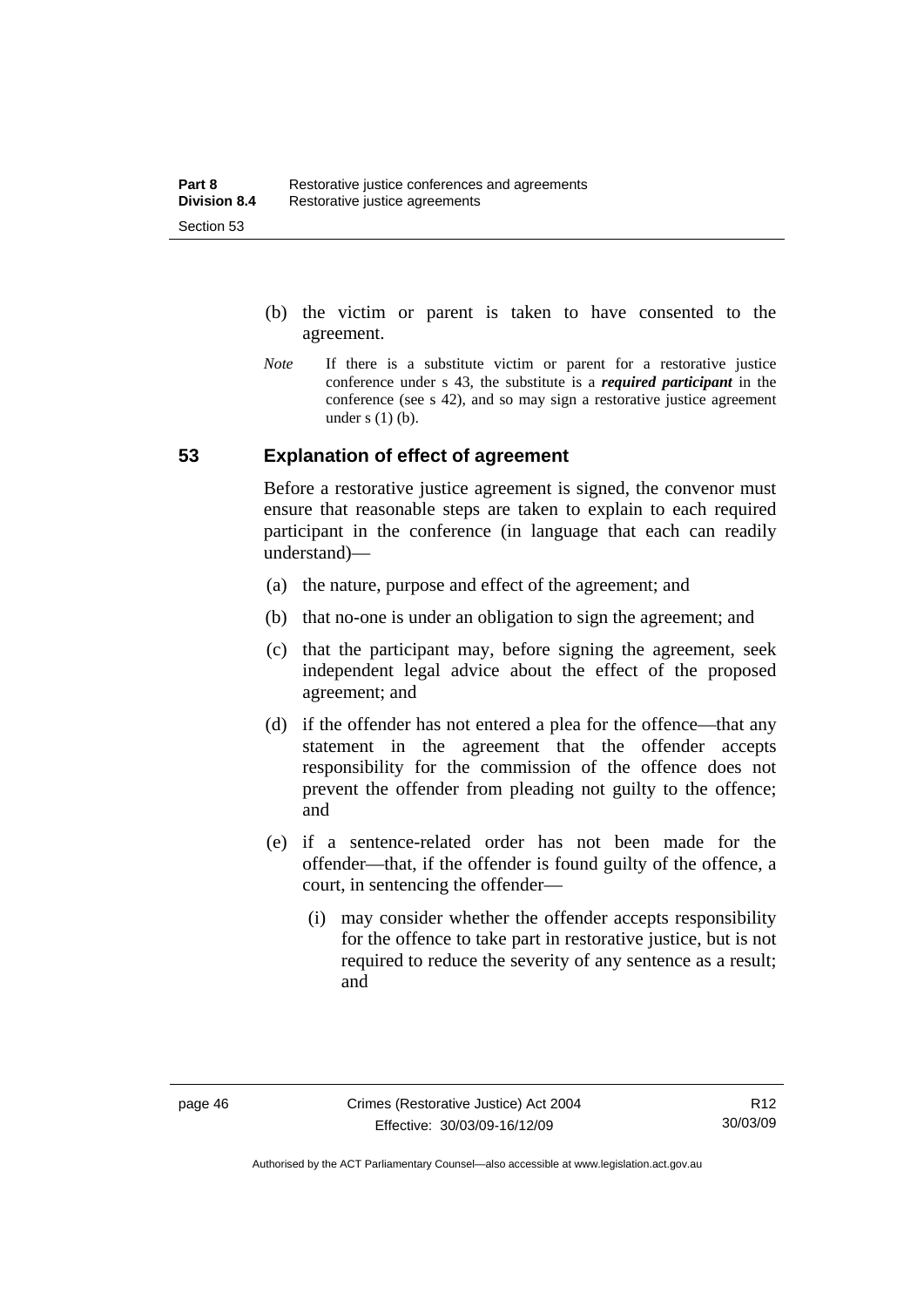- (b) the victim or parent is taken to have consented to the agreement.
- *Note* If there is a substitute victim or parent for a restorative justice conference under s 43, the substitute is a *required participant* in the conference (see s 42), and so may sign a restorative justice agreement under  $s(1)(b)$ .

## **53 Explanation of effect of agreement**

Before a restorative justice agreement is signed, the convenor must ensure that reasonable steps are taken to explain to each required participant in the conference (in language that each can readily understand)—

- (a) the nature, purpose and effect of the agreement; and
- (b) that no-one is under an obligation to sign the agreement; and
- (c) that the participant may, before signing the agreement, seek independent legal advice about the effect of the proposed agreement; and
- (d) if the offender has not entered a plea for the offence—that any statement in the agreement that the offender accepts responsibility for the commission of the offence does not prevent the offender from pleading not guilty to the offence; and
- (e) if a sentence-related order has not been made for the offender—that, if the offender is found guilty of the offence, a court, in sentencing the offender—
	- (i) may consider whether the offender accepts responsibility for the offence to take part in restorative justice, but is not required to reduce the severity of any sentence as a result: and

Authorised by the ACT Parliamentary Counsel—also accessible at www.legislation.act.gov.au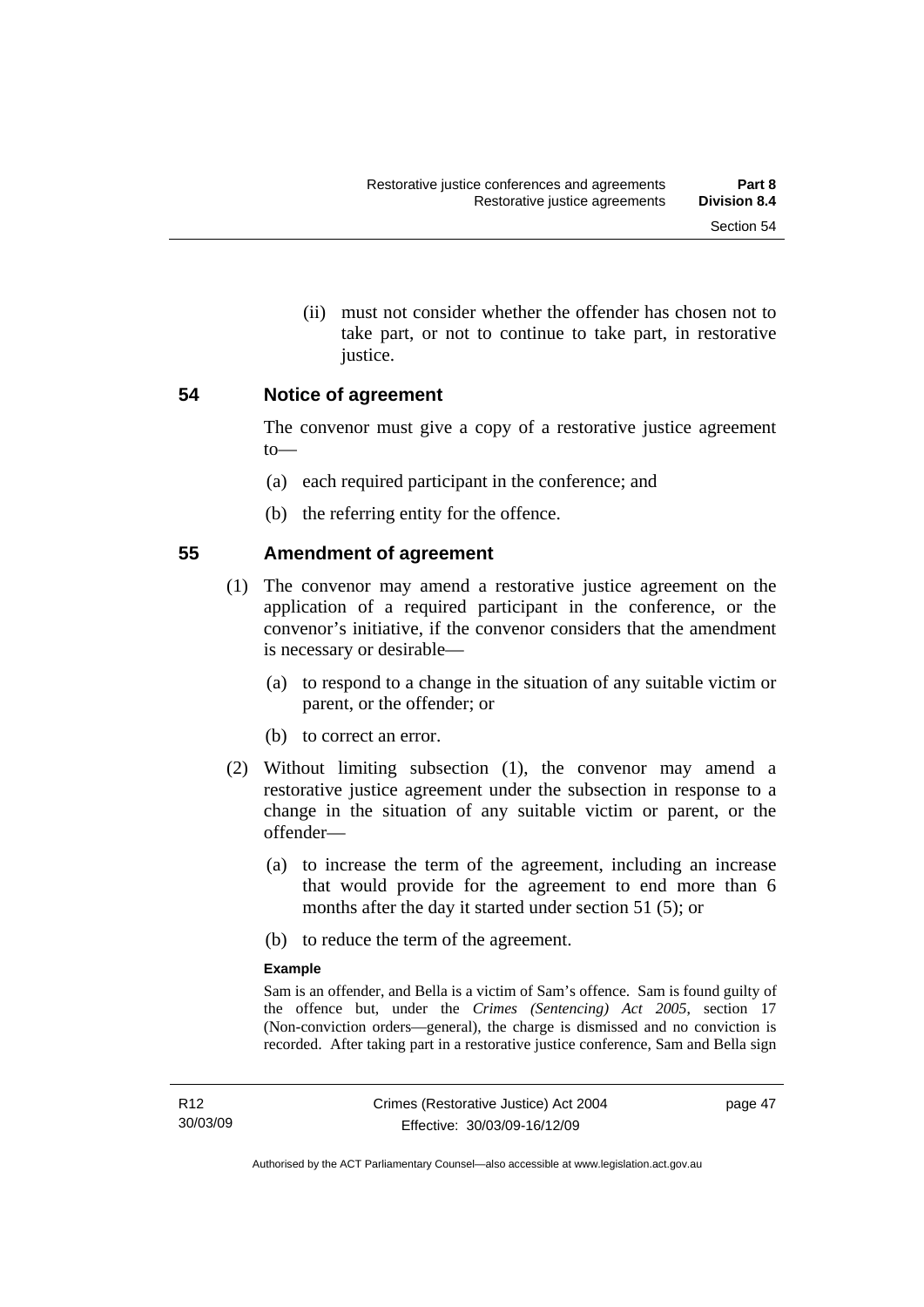(ii) must not consider whether the offender has chosen not to take part, or not to continue to take part, in restorative justice.

### **54 Notice of agreement**

The convenor must give a copy of a restorative justice agreement to—

- (a) each required participant in the conference; and
- (b) the referring entity for the offence.

## **55 Amendment of agreement**

- (1) The convenor may amend a restorative justice agreement on the application of a required participant in the conference, or the convenor's initiative, if the convenor considers that the amendment is necessary or desirable—
	- (a) to respond to a change in the situation of any suitable victim or parent, or the offender; or
	- (b) to correct an error.
- (2) Without limiting subsection (1), the convenor may amend a restorative justice agreement under the subsection in response to a change in the situation of any suitable victim or parent, or the offender—
	- (a) to increase the term of the agreement, including an increase that would provide for the agreement to end more than 6 months after the day it started under section 51 (5); or
	- (b) to reduce the term of the agreement.

#### **Example**

Sam is an offender, and Bella is a victim of Sam's offence. Sam is found guilty of the offence but, under the *Crimes (Sentencing) Act 2005*, section 17 (Non-conviction orders—general), the charge is dismissed and no conviction is recorded. After taking part in a restorative justice conference, Sam and Bella sign

page 47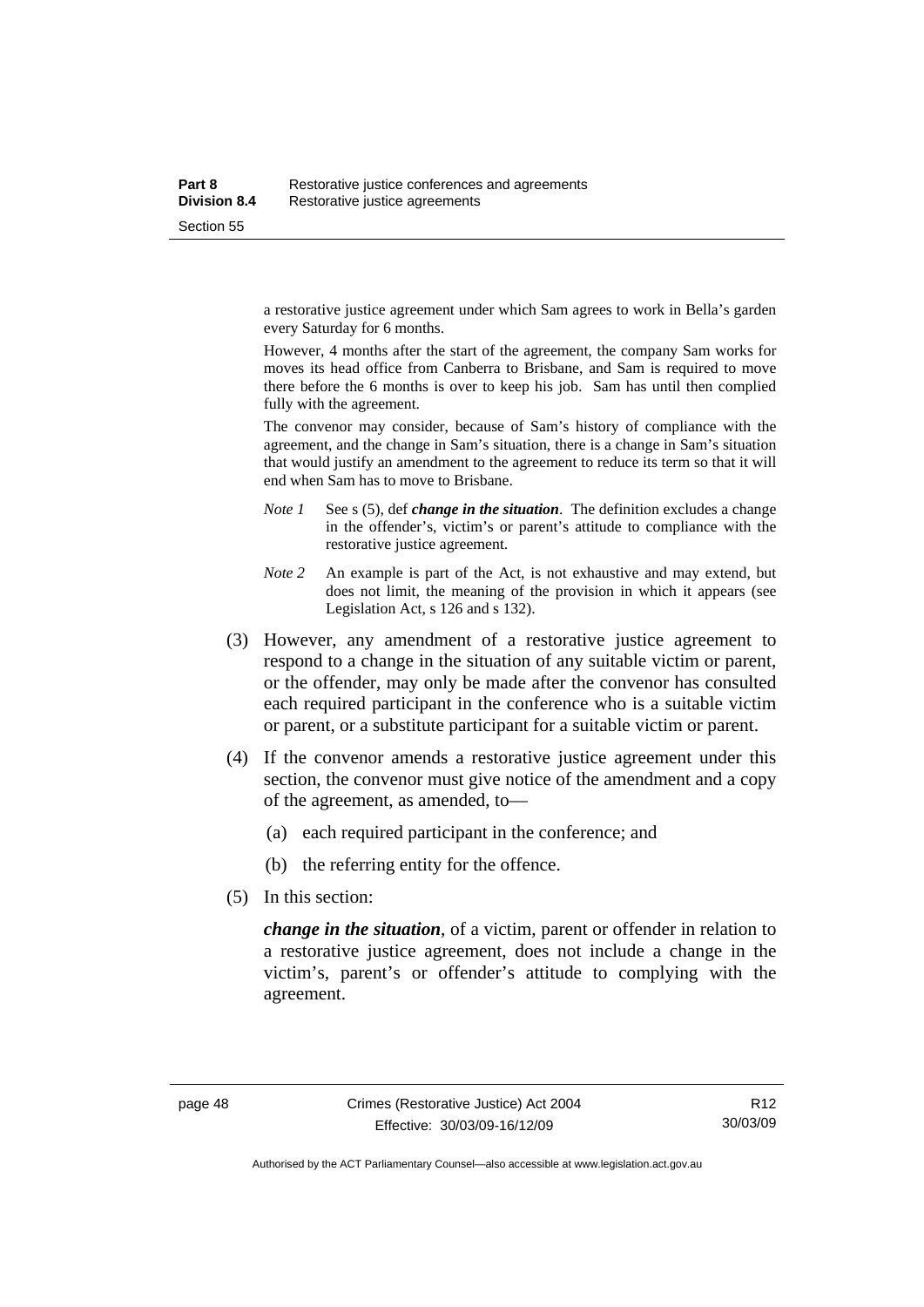a restorative justice agreement under which Sam agrees to work in Bella's garden every Saturday for 6 months.

However, 4 months after the start of the agreement, the company Sam works for moves its head office from Canberra to Brisbane, and Sam is required to move there before the 6 months is over to keep his job. Sam has until then complied fully with the agreement.

The convenor may consider, because of Sam's history of compliance with the agreement, and the change in Sam's situation, there is a change in Sam's situation that would justify an amendment to the agreement to reduce its term so that it will end when Sam has to move to Brisbane.

- *Note 1* See s (5), def *change in the situation*. The definition excludes a change in the offender's, victim's or parent's attitude to compliance with the restorative justice agreement.
- *Note 2* An example is part of the Act, is not exhaustive and may extend, but does not limit, the meaning of the provision in which it appears (see Legislation Act, s 126 and s 132).
- (3) However, any amendment of a restorative justice agreement to respond to a change in the situation of any suitable victim or parent, or the offender, may only be made after the convenor has consulted each required participant in the conference who is a suitable victim or parent, or a substitute participant for a suitable victim or parent.
- (4) If the convenor amends a restorative justice agreement under this section, the convenor must give notice of the amendment and a copy of the agreement, as amended, to—
	- (a) each required participant in the conference; and
	- (b) the referring entity for the offence.
- (5) In this section:

*change in the situation*, of a victim, parent or offender in relation to a restorative justice agreement, does not include a change in the victim's, parent's or offender's attitude to complying with the agreement.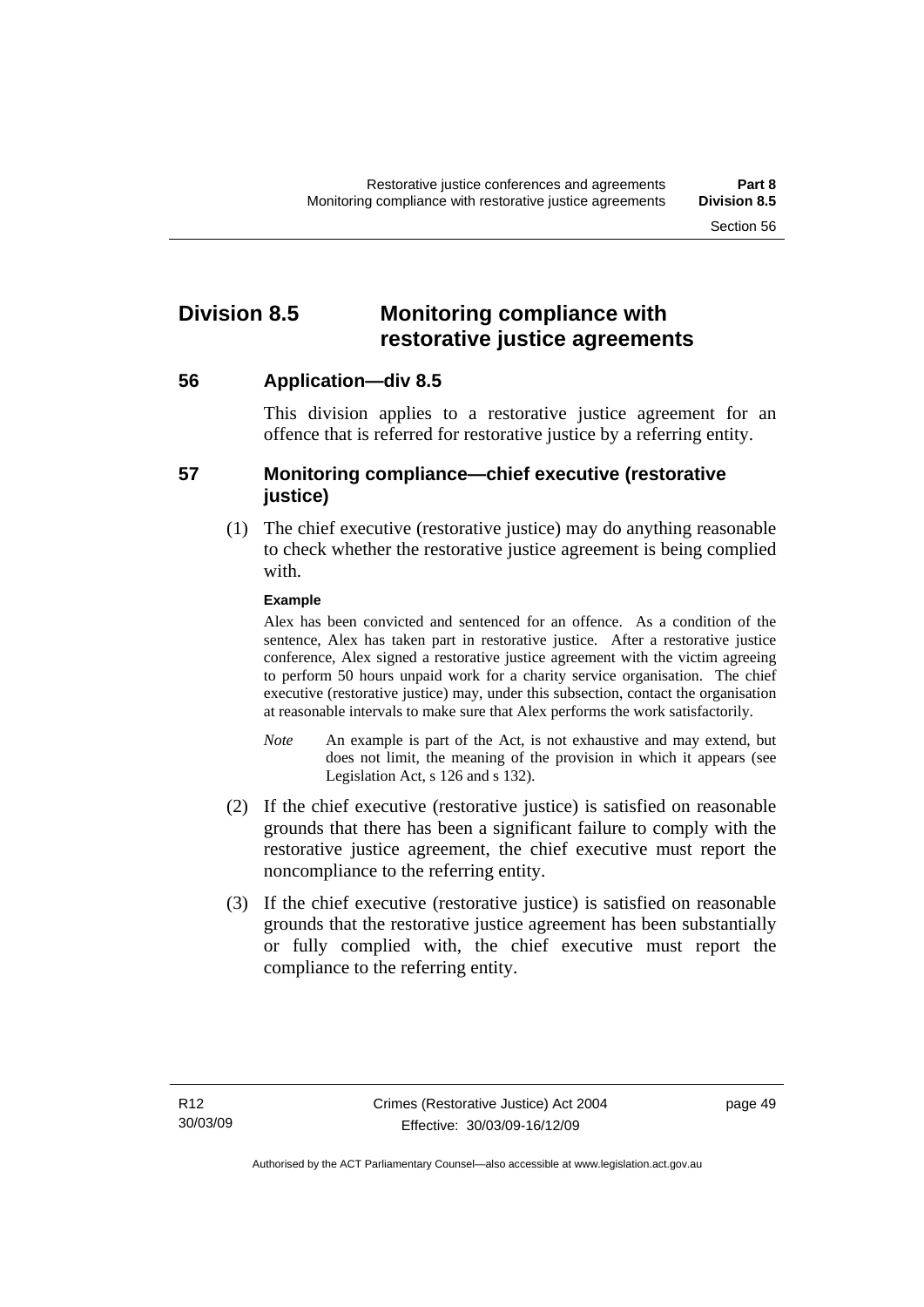## **Division 8.5 Monitoring compliance with restorative justice agreements**

**56 Application—div 8.5** 

This division applies to a restorative justice agreement for an offence that is referred for restorative justice by a referring entity.

## **57 Monitoring compliance—chief executive (restorative justice)**

 (1) The chief executive (restorative justice) may do anything reasonable to check whether the restorative justice agreement is being complied with.

### **Example**

Alex has been convicted and sentenced for an offence. As a condition of the sentence, Alex has taken part in restorative justice. After a restorative justice conference, Alex signed a restorative justice agreement with the victim agreeing to perform 50 hours unpaid work for a charity service organisation. The chief executive (restorative justice) may, under this subsection, contact the organisation at reasonable intervals to make sure that Alex performs the work satisfactorily.

- *Note* An example is part of the Act, is not exhaustive and may extend, but does not limit, the meaning of the provision in which it appears (see Legislation Act, s 126 and s 132).
- (2) If the chief executive (restorative justice) is satisfied on reasonable grounds that there has been a significant failure to comply with the restorative justice agreement, the chief executive must report the noncompliance to the referring entity.
- (3) If the chief executive (restorative justice) is satisfied on reasonable grounds that the restorative justice agreement has been substantially or fully complied with, the chief executive must report the compliance to the referring entity.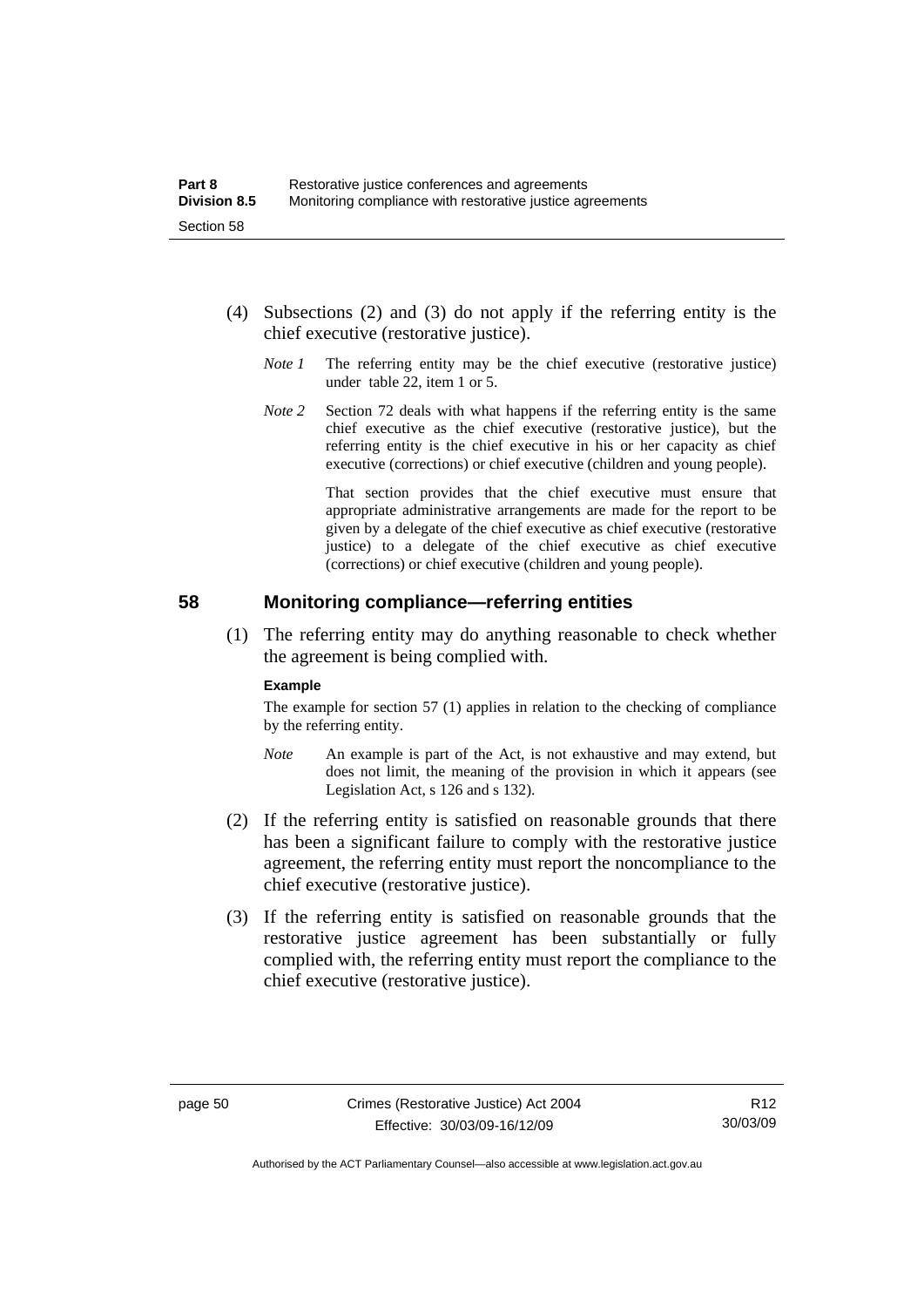- (4) Subsections (2) and (3) do not apply if the referring entity is the chief executive (restorative justice).
	- *Note 1* The referring entity may be the chief executive (restorative justice) under table 22, item 1 or 5.
	- *Note* 2 Section 72 deals with what happens if the referring entity is the same chief executive as the chief executive (restorative justice), but the referring entity is the chief executive in his or her capacity as chief executive (corrections) or chief executive (children and young people).

 That section provides that the chief executive must ensure that appropriate administrative arrangements are made for the report to be given by a delegate of the chief executive as chief executive (restorative justice) to a delegate of the chief executive as chief executive (corrections) or chief executive (children and young people).

### **58 Monitoring compliance—referring entities**

 (1) The referring entity may do anything reasonable to check whether the agreement is being complied with.

#### **Example**

The example for section 57 (1) applies in relation to the checking of compliance by the referring entity.

- *Note* An example is part of the Act, is not exhaustive and may extend, but does not limit, the meaning of the provision in which it appears (see Legislation Act, s 126 and s 132).
- (2) If the referring entity is satisfied on reasonable grounds that there has been a significant failure to comply with the restorative justice agreement, the referring entity must report the noncompliance to the chief executive (restorative justice).
- (3) If the referring entity is satisfied on reasonable grounds that the restorative justice agreement has been substantially or fully complied with, the referring entity must report the compliance to the chief executive (restorative justice).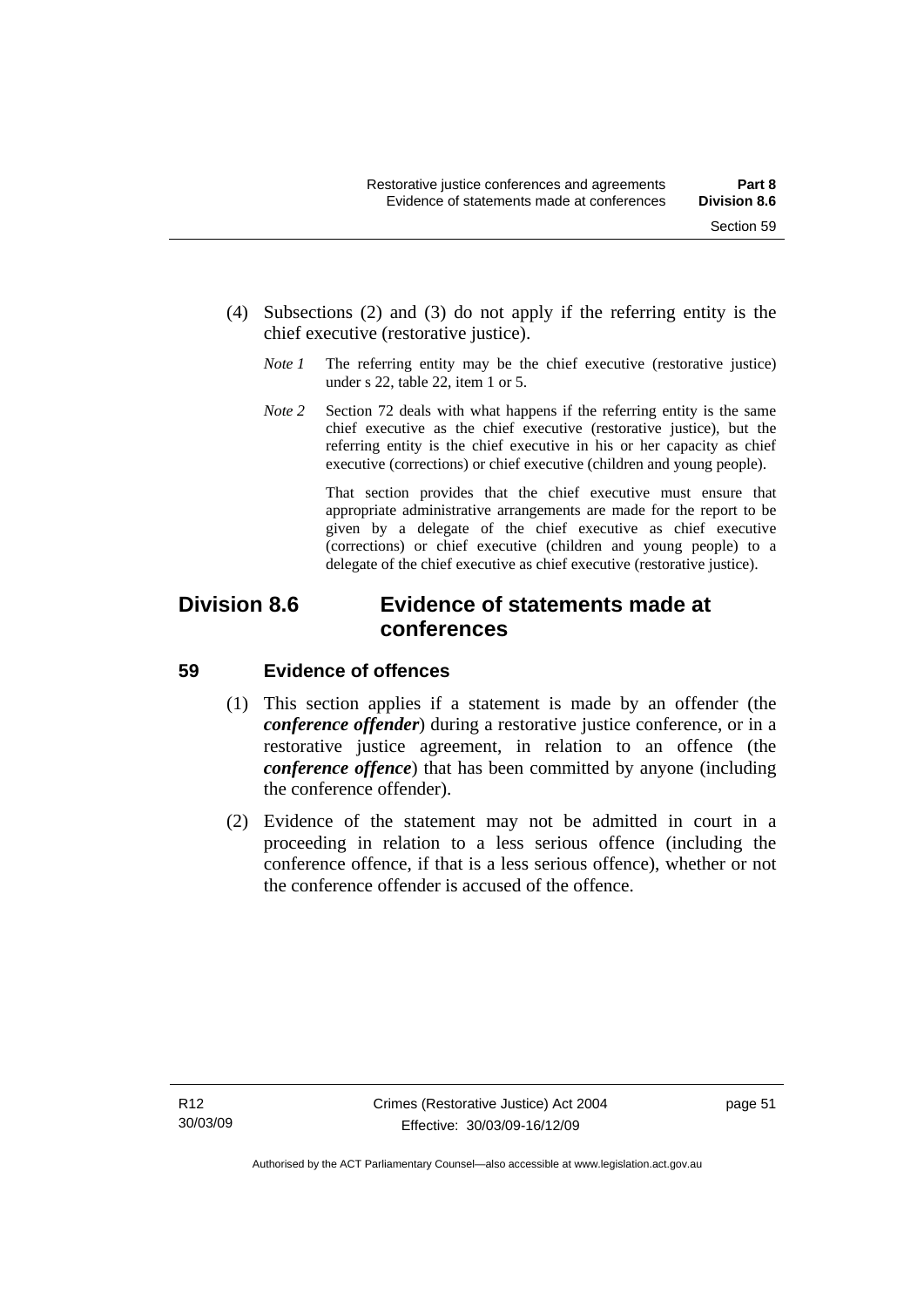- (4) Subsections (2) and (3) do not apply if the referring entity is the chief executive (restorative justice).
	- *Note 1* The referring entity may be the chief executive (restorative justice) under s 22, table 22, item 1 or 5.
	- *Note* 2 Section 72 deals with what happens if the referring entity is the same chief executive as the chief executive (restorative justice), but the referring entity is the chief executive in his or her capacity as chief executive (corrections) or chief executive (children and young people).

 That section provides that the chief executive must ensure that appropriate administrative arrangements are made for the report to be given by a delegate of the chief executive as chief executive (corrections) or chief executive (children and young people) to a delegate of the chief executive as chief executive (restorative justice).

## **Division 8.6 Evidence of statements made at conferences**

## **59 Evidence of offences**

- (1) This section applies if a statement is made by an offender (the *conference offender*) during a restorative justice conference, or in a restorative justice agreement, in relation to an offence (the *conference offence*) that has been committed by anyone (including the conference offender).
- (2) Evidence of the statement may not be admitted in court in a proceeding in relation to a less serious offence (including the conference offence, if that is a less serious offence), whether or not the conference offender is accused of the offence.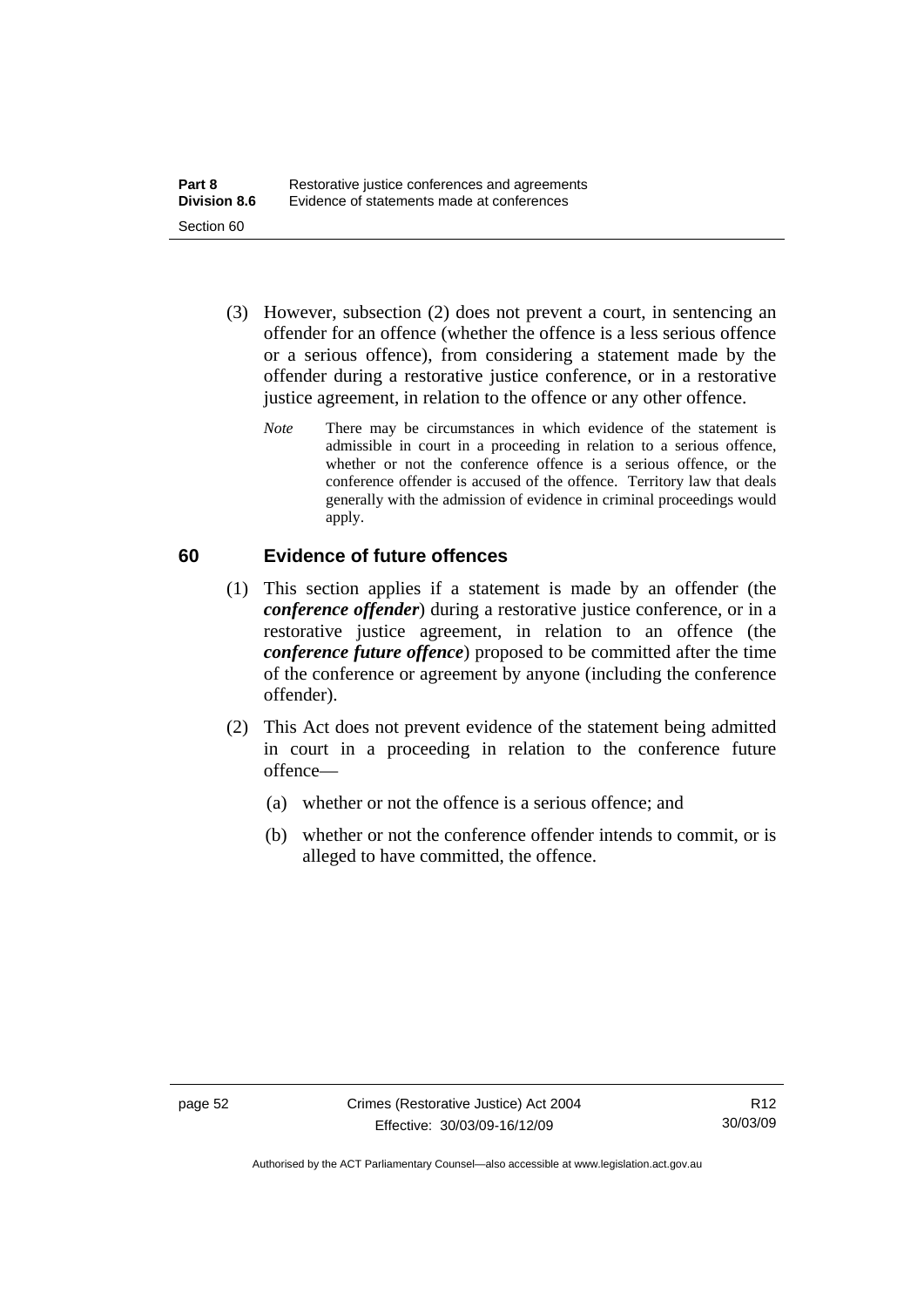- (3) However, subsection (2) does not prevent a court, in sentencing an offender for an offence (whether the offence is a less serious offence or a serious offence), from considering a statement made by the offender during a restorative justice conference, or in a restorative justice agreement, in relation to the offence or any other offence.
	- *Note* There may be circumstances in which evidence of the statement is admissible in court in a proceeding in relation to a serious offence, whether or not the conference offence is a serious offence, or the conference offender is accused of the offence. Territory law that deals generally with the admission of evidence in criminal proceedings would apply.

## **60 Evidence of future offences**

- (1) This section applies if a statement is made by an offender (the *conference offender*) during a restorative justice conference, or in a restorative justice agreement, in relation to an offence (the *conference future offence*) proposed to be committed after the time of the conference or agreement by anyone (including the conference offender).
- (2) This Act does not prevent evidence of the statement being admitted in court in a proceeding in relation to the conference future offence—
	- (a) whether or not the offence is a serious offence; and
	- (b) whether or not the conference offender intends to commit, or is alleged to have committed, the offence.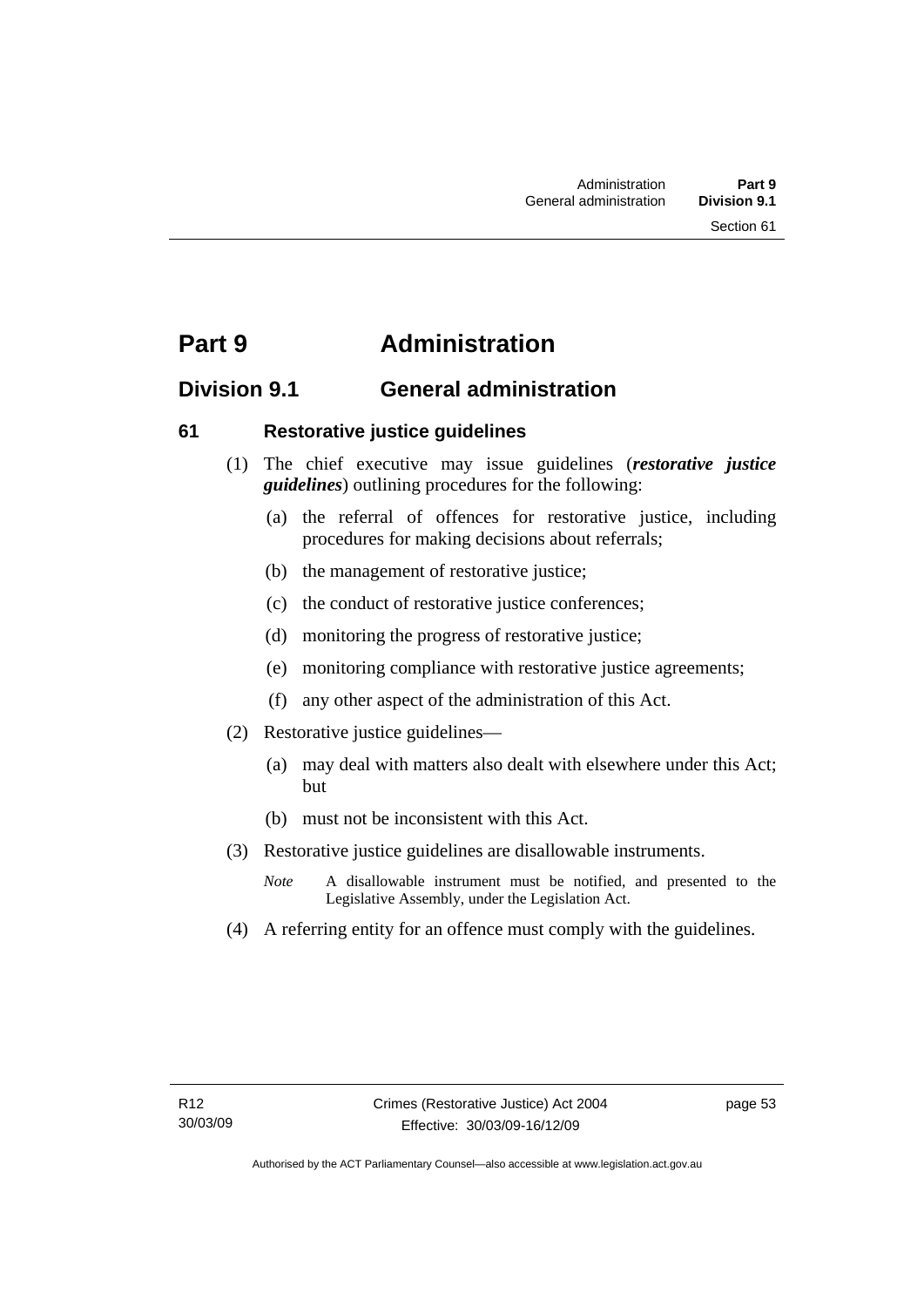## **Part 9 Administration**

## **Division 9.1 General administration**

## **61 Restorative justice guidelines**

- (1) The chief executive may issue guidelines (*restorative justice guidelines*) outlining procedures for the following:
	- (a) the referral of offences for restorative justice, including procedures for making decisions about referrals;
	- (b) the management of restorative justice;
	- (c) the conduct of restorative justice conferences;
	- (d) monitoring the progress of restorative justice;
	- (e) monitoring compliance with restorative justice agreements;
	- (f) any other aspect of the administration of this Act.
- (2) Restorative justice guidelines—
	- (a) may deal with matters also dealt with elsewhere under this Act; but
	- (b) must not be inconsistent with this Act.
- (3) Restorative justice guidelines are disallowable instruments.
	- *Note* A disallowable instrument must be notified, and presented to the Legislative Assembly, under the Legislation Act.
- (4) A referring entity for an offence must comply with the guidelines.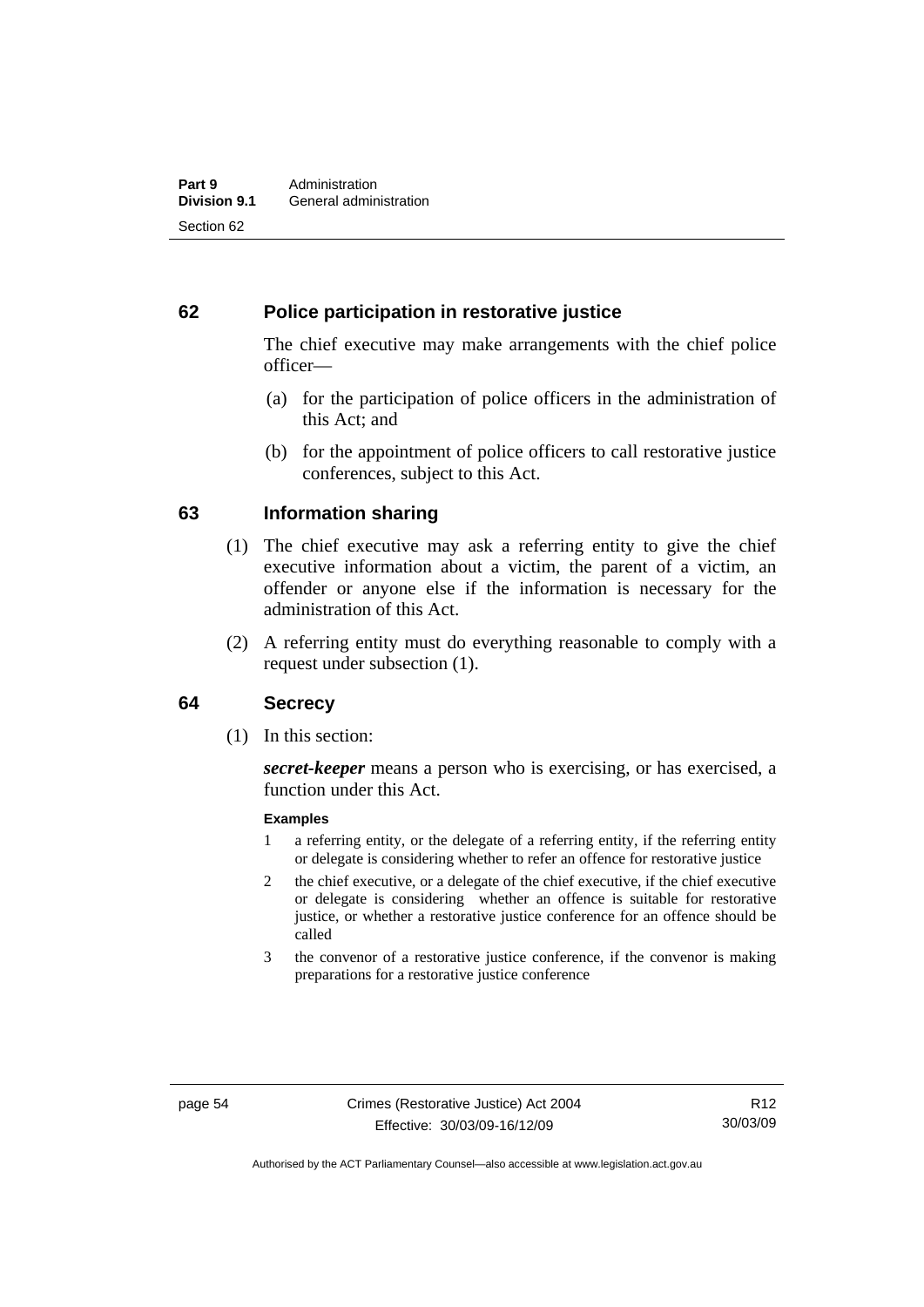## **62 Police participation in restorative justice**

The chief executive may make arrangements with the chief police officer—

- (a) for the participation of police officers in the administration of this Act; and
- (b) for the appointment of police officers to call restorative justice conferences, subject to this Act.

## **63 Information sharing**

- (1) The chief executive may ask a referring entity to give the chief executive information about a victim, the parent of a victim, an offender or anyone else if the information is necessary for the administration of this Act.
- (2) A referring entity must do everything reasonable to comply with a request under subsection (1).

### **64 Secrecy**

(1) In this section:

*secret-keeper* means a person who is exercising, or has exercised, a function under this Act.

#### **Examples**

- 1 a referring entity, or the delegate of a referring entity, if the referring entity or delegate is considering whether to refer an offence for restorative justice
- 2 the chief executive, or a delegate of the chief executive, if the chief executive or delegate is considering whether an offence is suitable for restorative justice, or whether a restorative justice conference for an offence should be called
- 3 the convenor of a restorative justice conference, if the convenor is making preparations for a restorative justice conference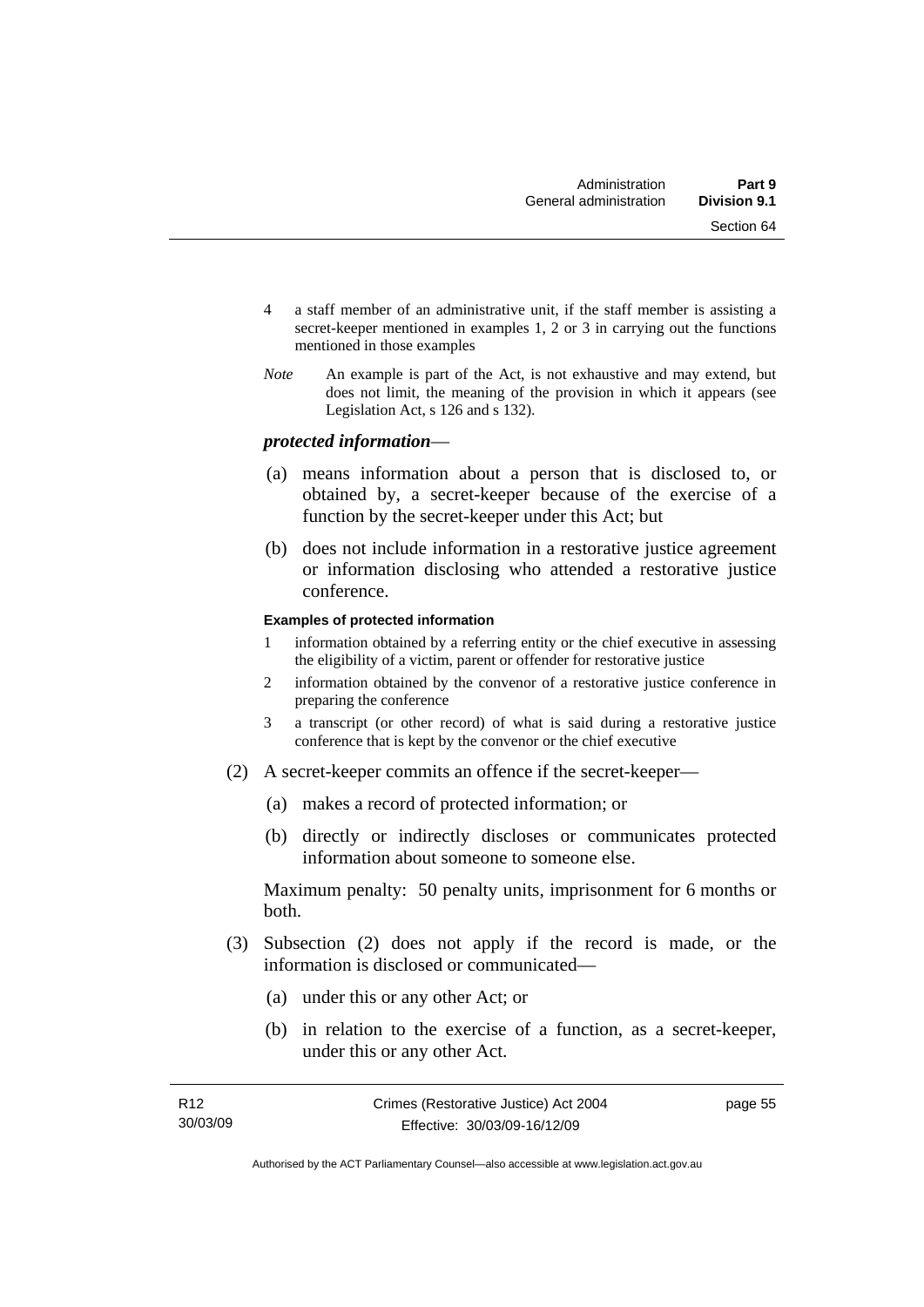- 4 a staff member of an administrative unit, if the staff member is assisting a secret-keeper mentioned in examples 1, 2 or 3 in carrying out the functions mentioned in those examples
- *Note* An example is part of the Act, is not exhaustive and may extend, but does not limit, the meaning of the provision in which it appears (see Legislation Act, s 126 and s 132).

### *protected information*—

- (a) means information about a person that is disclosed to, or obtained by, a secret-keeper because of the exercise of a function by the secret-keeper under this Act; but
- (b) does not include information in a restorative justice agreement or information disclosing who attended a restorative justice conference.

#### **Examples of protected information**

- 1 information obtained by a referring entity or the chief executive in assessing the eligibility of a victim, parent or offender for restorative justice
- 2 information obtained by the convenor of a restorative justice conference in preparing the conference
- 3 a transcript (or other record) of what is said during a restorative justice conference that is kept by the convenor or the chief executive
- (2) A secret-keeper commits an offence if the secret-keeper—
	- (a) makes a record of protected information; or
	- (b) directly or indirectly discloses or communicates protected information about someone to someone else.

Maximum penalty: 50 penalty units, imprisonment for 6 months or both.

- (3) Subsection (2) does not apply if the record is made, or the information is disclosed or communicated—
	- (a) under this or any other Act; or
	- (b) in relation to the exercise of a function, as a secret-keeper, under this or any other Act.

page 55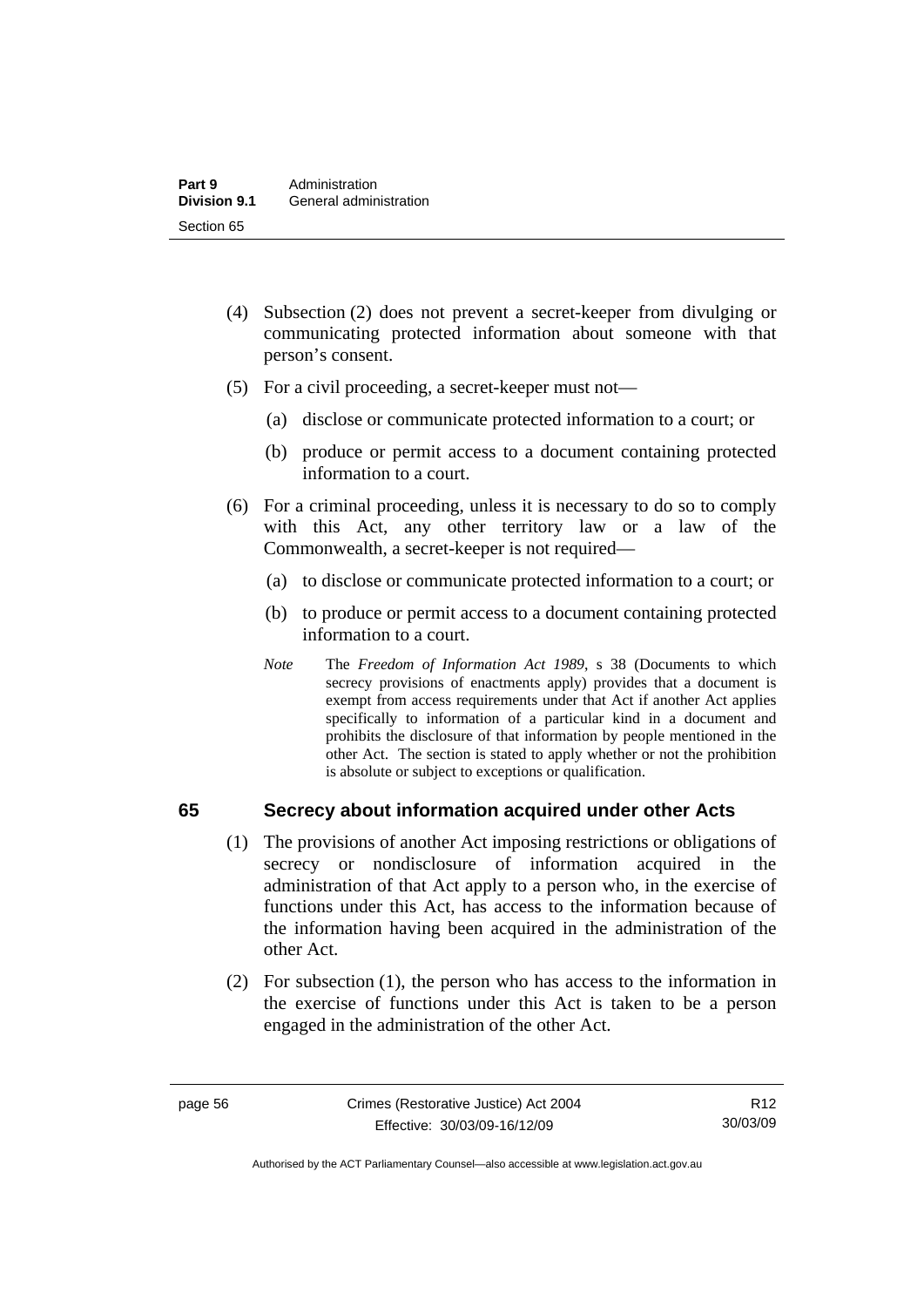- (4) Subsection (2) does not prevent a secret-keeper from divulging or communicating protected information about someone with that person's consent.
- (5) For a civil proceeding, a secret-keeper must not—
	- (a) disclose or communicate protected information to a court; or
	- (b) produce or permit access to a document containing protected information to a court.
- (6) For a criminal proceeding, unless it is necessary to do so to comply with this Act, any other territory law or a law of the Commonwealth, a secret-keeper is not required—
	- (a) to disclose or communicate protected information to a court; or
	- (b) to produce or permit access to a document containing protected information to a court.
	- *Note* The *Freedom of Information Act 1989*, s 38 (Documents to which secrecy provisions of enactments apply) provides that a document is exempt from access requirements under that Act if another Act applies specifically to information of a particular kind in a document and prohibits the disclosure of that information by people mentioned in the other Act. The section is stated to apply whether or not the prohibition is absolute or subject to exceptions or qualification.

## **65 Secrecy about information acquired under other Acts**

- (1) The provisions of another Act imposing restrictions or obligations of secrecy or nondisclosure of information acquired in the administration of that Act apply to a person who, in the exercise of functions under this Act, has access to the information because of the information having been acquired in the administration of the other Act.
- (2) For subsection (1), the person who has access to the information in the exercise of functions under this Act is taken to be a person engaged in the administration of the other Act.

R12 30/03/09

Authorised by the ACT Parliamentary Counsel—also accessible at www.legislation.act.gov.au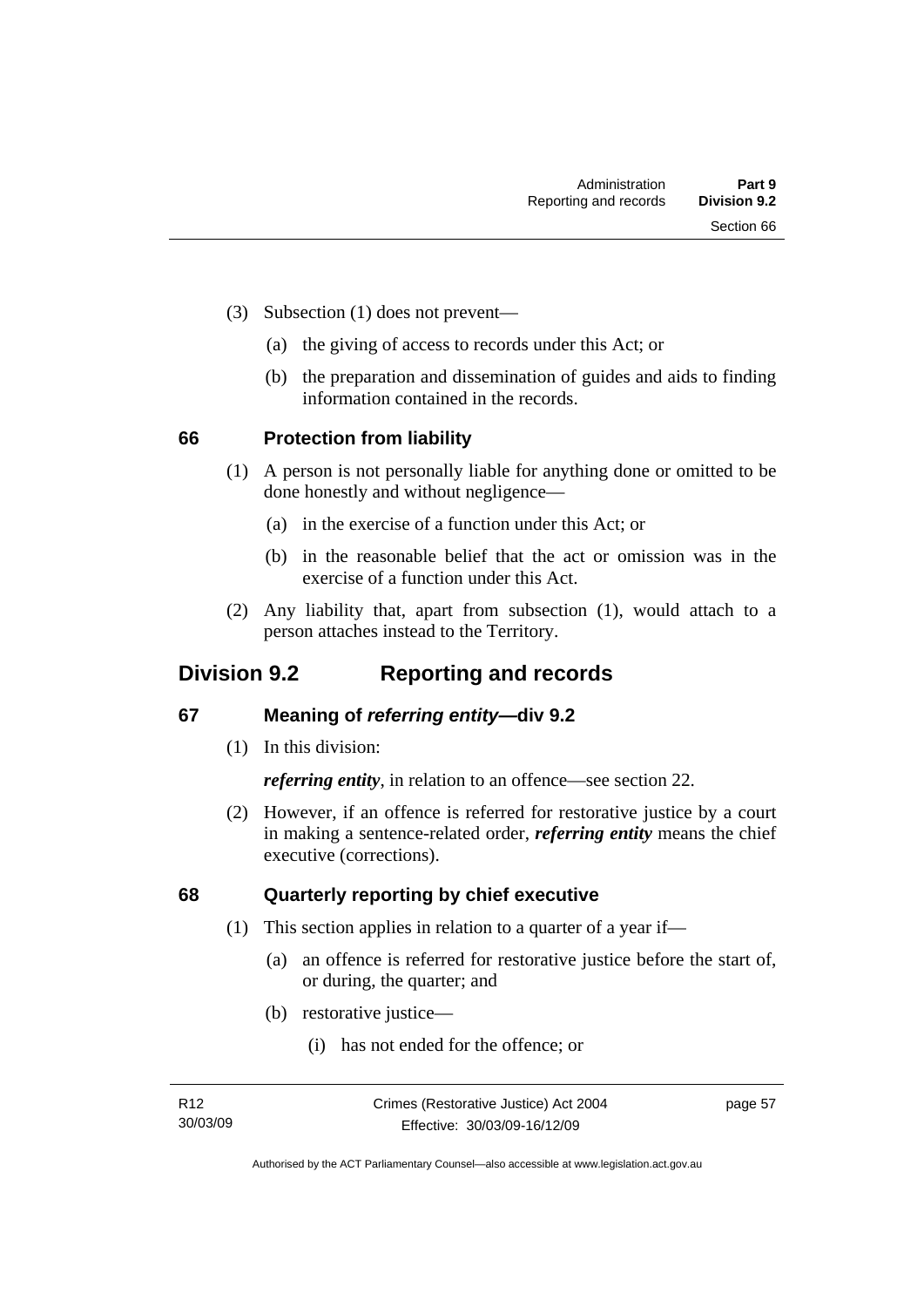- (3) Subsection (1) does not prevent—
	- (a) the giving of access to records under this Act; or
	- (b) the preparation and dissemination of guides and aids to finding information contained in the records.

## **66 Protection from liability**

- (1) A person is not personally liable for anything done or omitted to be done honestly and without negligence—
	- (a) in the exercise of a function under this Act; or
	- (b) in the reasonable belief that the act or omission was in the exercise of a function under this Act.
- (2) Any liability that, apart from subsection (1), would attach to a person attaches instead to the Territory.

## **Division 9.2 Reporting and records**

## **67 Meaning of** *referring entity—***div 9.2**

(1) In this division:

*referring entity*, in relation to an offence—see section 22.

 (2) However, if an offence is referred for restorative justice by a court in making a sentence-related order, *referring entity* means the chief executive (corrections).

## **68 Quarterly reporting by chief executive**

- (1) This section applies in relation to a quarter of a year if—
	- (a) an offence is referred for restorative justice before the start of, or during, the quarter; and
	- (b) restorative justice—
		- (i) has not ended for the offence; or

page 57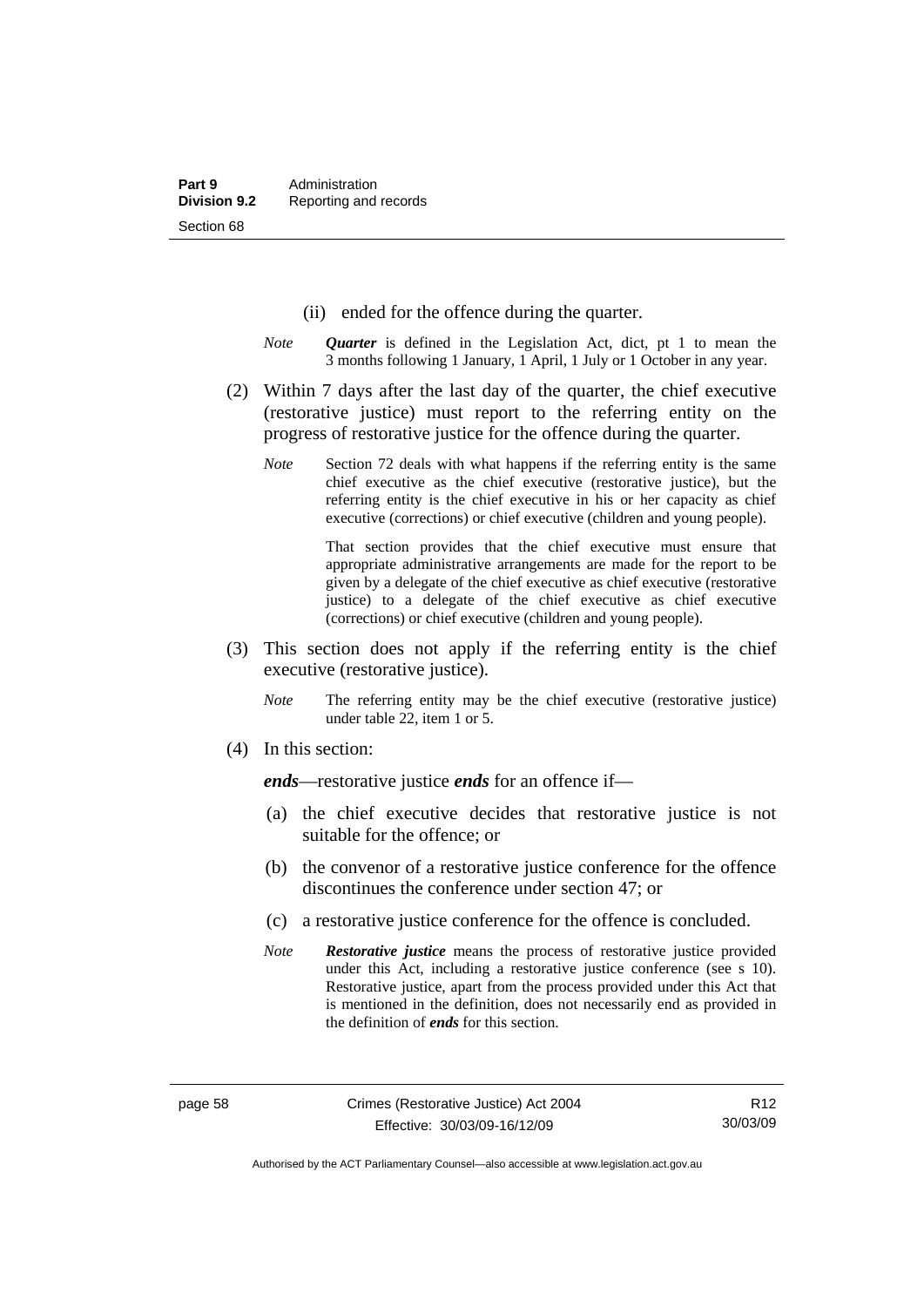- (ii) ended for the offence during the quarter.
- *Note Quarter* is defined in the Legislation Act, dict, pt 1 to mean the 3 months following 1 January, 1 April, 1 July or 1 October in any year.
- (2) Within 7 days after the last day of the quarter, the chief executive (restorative justice) must report to the referring entity on the progress of restorative justice for the offence during the quarter.
	- *Note* Section 72 deals with what happens if the referring entity is the same chief executive as the chief executive (restorative justice), but the referring entity is the chief executive in his or her capacity as chief executive (corrections) or chief executive (children and young people).

 That section provides that the chief executive must ensure that appropriate administrative arrangements are made for the report to be given by a delegate of the chief executive as chief executive (restorative justice) to a delegate of the chief executive as chief executive (corrections) or chief executive (children and young people).

- (3) This section does not apply if the referring entity is the chief executive (restorative justice).
	- *Note* The referring entity may be the chief executive (restorative justice) under table 22, item 1 or 5.
- (4) In this section:

*ends*—restorative justice *ends* for an offence if—

- (a) the chief executive decides that restorative justice is not suitable for the offence; or
- (b) the convenor of a restorative justice conference for the offence discontinues the conference under section 47; or
- (c) a restorative justice conference for the offence is concluded.
- *Note Restorative justice* means the process of restorative justice provided under this Act, including a restorative justice conference (see s 10). Restorative justice, apart from the process provided under this Act that is mentioned in the definition, does not necessarily end as provided in the definition of *ends* for this section.

Authorised by the ACT Parliamentary Counsel—also accessible at www.legislation.act.gov.au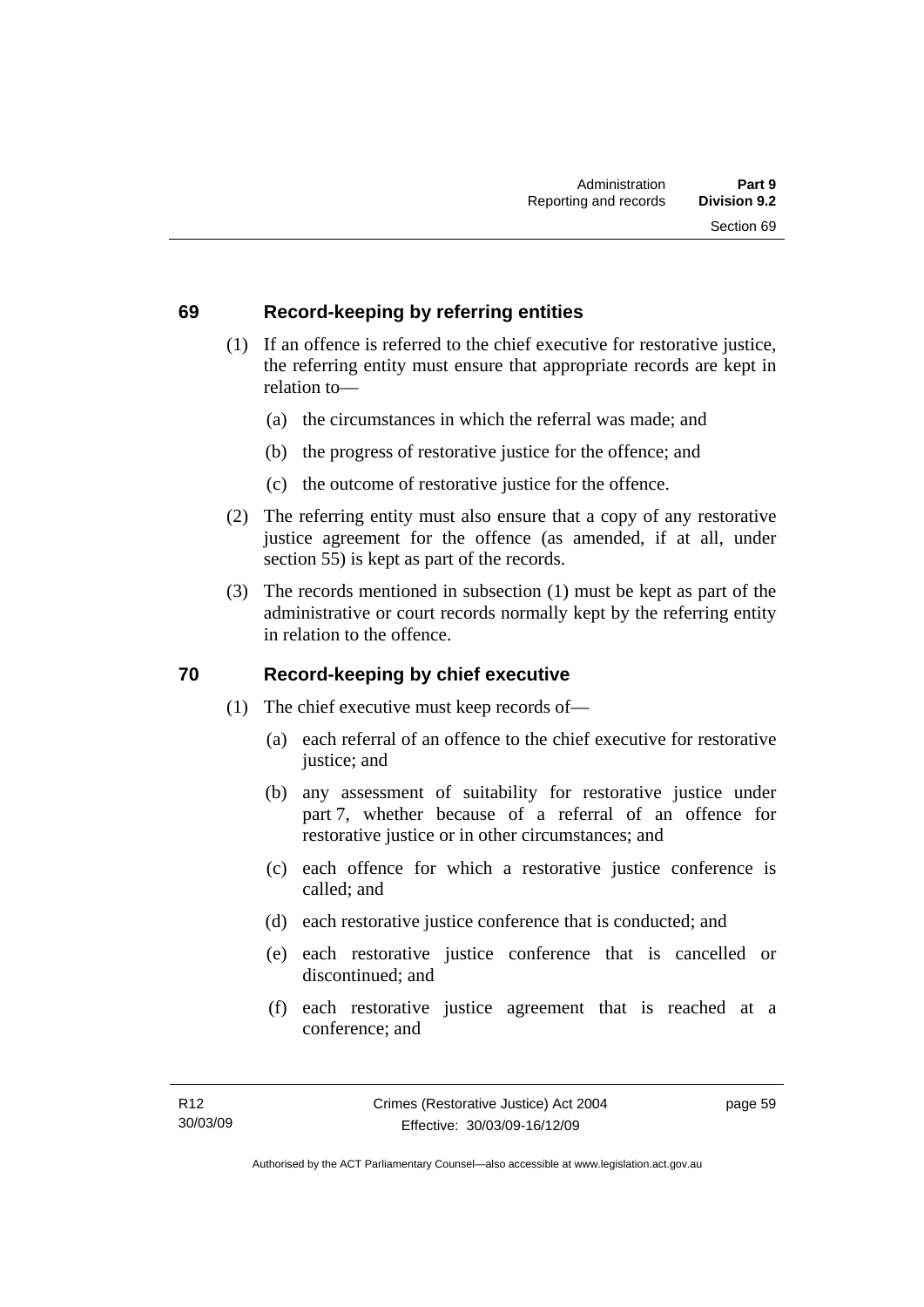## **69 Record-keeping by referring entities**

- (1) If an offence is referred to the chief executive for restorative justice, the referring entity must ensure that appropriate records are kept in relation to—
	- (a) the circumstances in which the referral was made; and
	- (b) the progress of restorative justice for the offence; and
	- (c) the outcome of restorative justice for the offence.
- (2) The referring entity must also ensure that a copy of any restorative justice agreement for the offence (as amended, if at all, under section 55) is kept as part of the records.
- (3) The records mentioned in subsection (1) must be kept as part of the administrative or court records normally kept by the referring entity in relation to the offence.

## **70 Record-keeping by chief executive**

- (1) The chief executive must keep records of—
	- (a) each referral of an offence to the chief executive for restorative justice; and
	- (b) any assessment of suitability for restorative justice under part 7, whether because of a referral of an offence for restorative justice or in other circumstances; and
	- (c) each offence for which a restorative justice conference is called; and
	- (d) each restorative justice conference that is conducted; and
	- (e) each restorative justice conference that is cancelled or discontinued; and
	- (f) each restorative justice agreement that is reached at a conference; and

page 59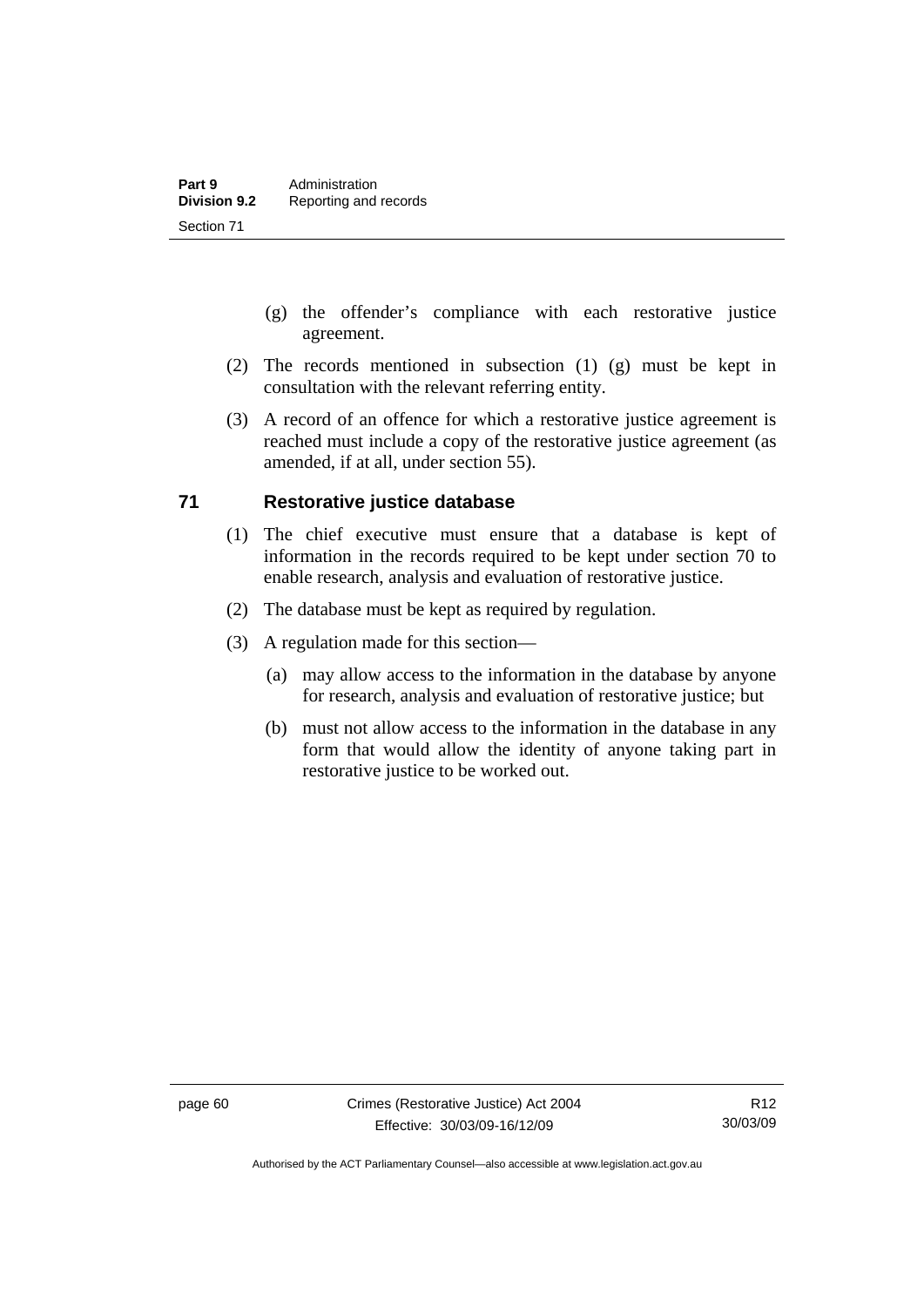- (g) the offender's compliance with each restorative justice agreement.
- (2) The records mentioned in subsection (1) (g) must be kept in consultation with the relevant referring entity.
- (3) A record of an offence for which a restorative justice agreement is reached must include a copy of the restorative justice agreement (as amended, if at all, under section 55).

## **71 Restorative justice database**

- (1) The chief executive must ensure that a database is kept of information in the records required to be kept under section 70 to enable research, analysis and evaluation of restorative justice.
- (2) The database must be kept as required by regulation.
- (3) A regulation made for this section—
	- (a) may allow access to the information in the database by anyone for research, analysis and evaluation of restorative justice; but
	- (b) must not allow access to the information in the database in any form that would allow the identity of anyone taking part in restorative justice to be worked out.

Authorised by the ACT Parliamentary Counsel—also accessible at www.legislation.act.gov.au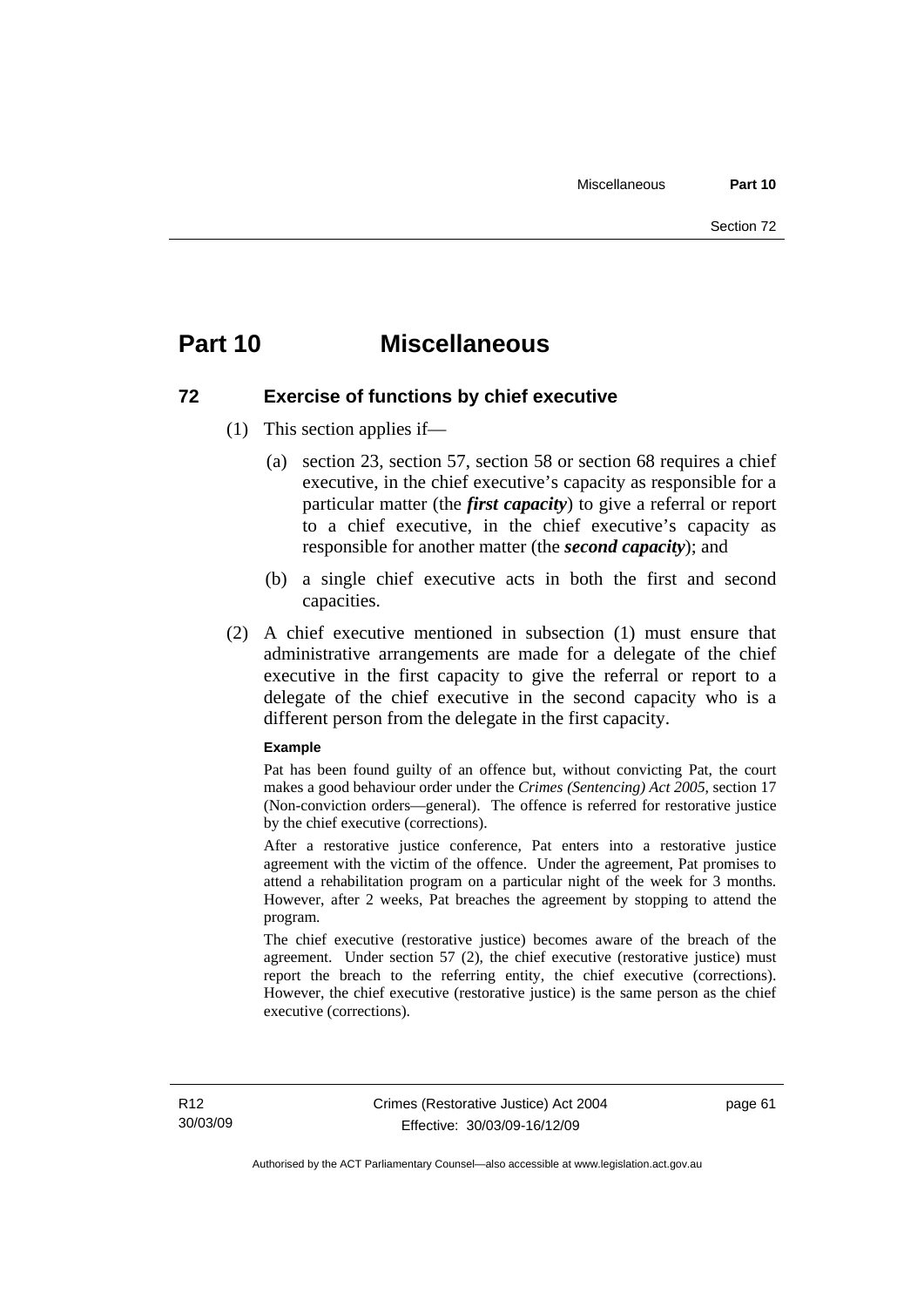## **Part 10 Miscellaneous**

## **72 Exercise of functions by chief executive**

- (1) This section applies if—
	- (a) section 23, section 57, section 58 or section 68 requires a chief executive, in the chief executive's capacity as responsible for a particular matter (the *first capacity*) to give a referral or report to a chief executive, in the chief executive's capacity as responsible for another matter (the *second capacity*); and
	- (b) a single chief executive acts in both the first and second capacities.
- (2) A chief executive mentioned in subsection (1) must ensure that administrative arrangements are made for a delegate of the chief executive in the first capacity to give the referral or report to a delegate of the chief executive in the second capacity who is a different person from the delegate in the first capacity.

#### **Example**

Pat has been found guilty of an offence but, without convicting Pat, the court makes a good behaviour order under the *Crimes (Sentencing) Act 2005*, section 17 (Non-conviction orders—general). The offence is referred for restorative justice by the chief executive (corrections).

After a restorative justice conference, Pat enters into a restorative justice agreement with the victim of the offence. Under the agreement, Pat promises to attend a rehabilitation program on a particular night of the week for 3 months. However, after 2 weeks, Pat breaches the agreement by stopping to attend the program.

The chief executive (restorative justice) becomes aware of the breach of the agreement. Under section 57 (2), the chief executive (restorative justice) must report the breach to the referring entity, the chief executive (corrections). However, the chief executive (restorative justice) is the same person as the chief executive (corrections).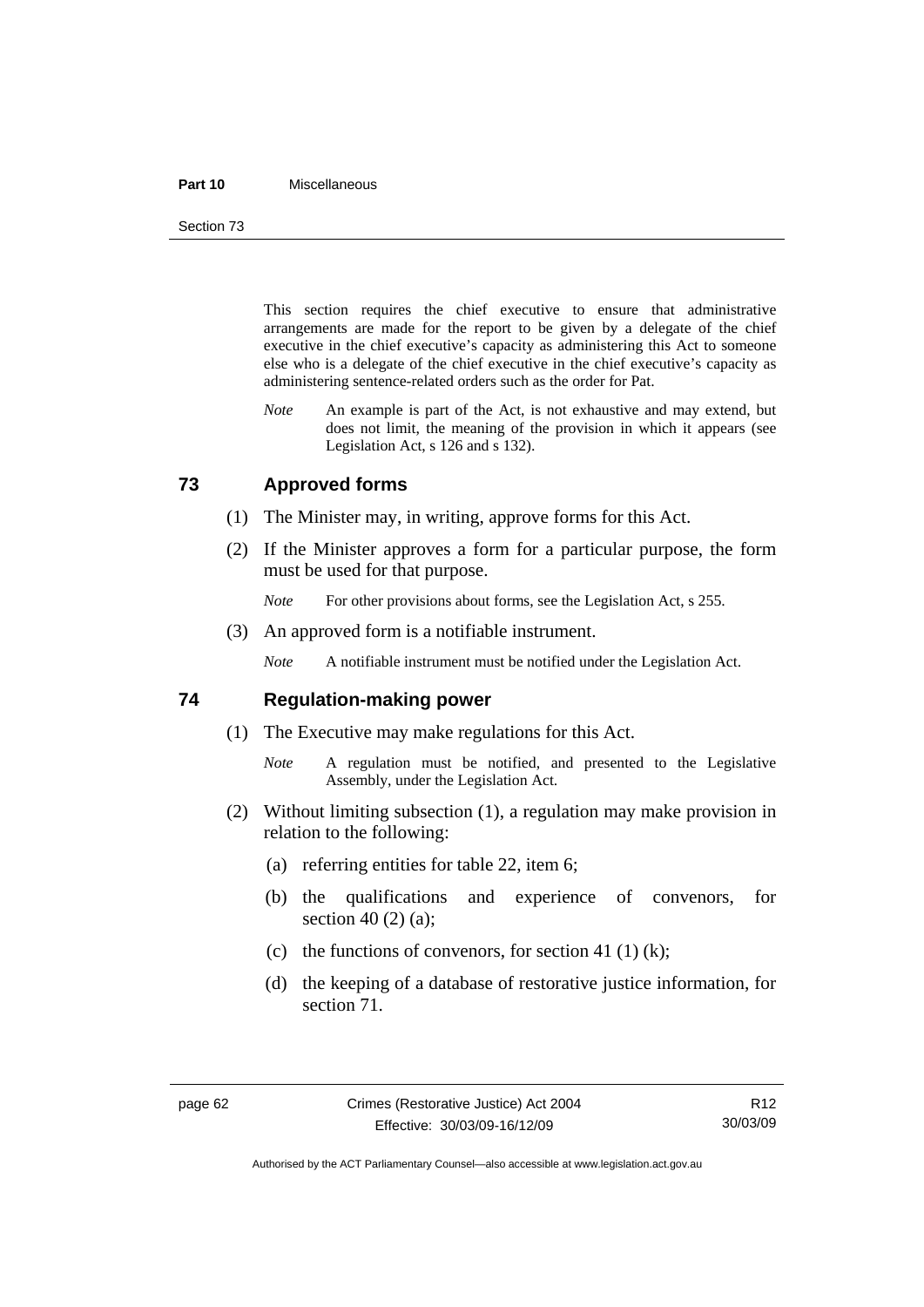#### **Part 10** Miscellaneous

Section 73

This section requires the chief executive to ensure that administrative arrangements are made for the report to be given by a delegate of the chief executive in the chief executive's capacity as administering this Act to someone else who is a delegate of the chief executive in the chief executive's capacity as administering sentence-related orders such as the order for Pat.

*Note* An example is part of the Act, is not exhaustive and may extend, but does not limit, the meaning of the provision in which it appears (see Legislation Act, s 126 and s 132).

## **73 Approved forms**

- (1) The Minister may, in writing, approve forms for this Act.
- (2) If the Minister approves a form for a particular purpose, the form must be used for that purpose.
	- *Note* For other provisions about forms, see the Legislation Act, s 255.
- (3) An approved form is a notifiable instrument.

*Note* A notifiable instrument must be notified under the Legislation Act.

### **74 Regulation-making power**

- (1) The Executive may make regulations for this Act.
	- *Note* A regulation must be notified, and presented to the Legislative Assembly, under the Legislation Act.
- (2) Without limiting subsection (1), a regulation may make provision in relation to the following:
	- (a) referring entities for table 22, item 6;
	- (b) the qualifications and experience of convenors, for section 40 (2) (a);
	- (c) the functions of convenors, for section 41 (1) (k);
	- (d) the keeping of a database of restorative justice information, for section 71.

Authorised by the ACT Parliamentary Counsel—also accessible at www.legislation.act.gov.au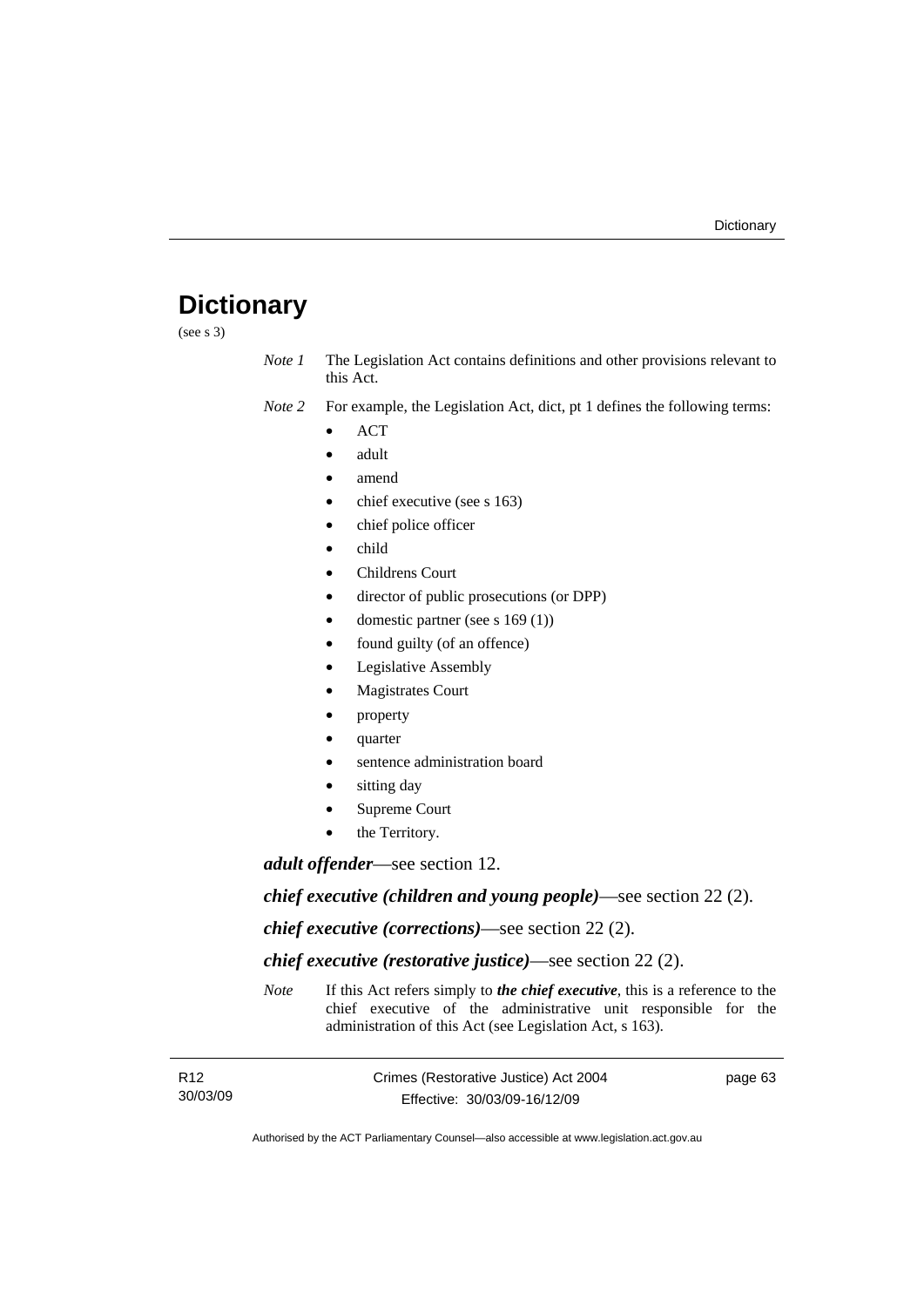# **Dictionary**

(see s 3)

*Note 1* The Legislation Act contains definitions and other provisions relevant to this Act.

*Note 2* For example, the Legislation Act, dict, pt 1 defines the following terms:

- ACT
- adult
- amend
- chief executive (see s 163)
- chief police officer
- child
- Childrens Court
- director of public prosecutions (or DPP)
- domestic partner (see s 169 (1))
- found guilty (of an offence)
- Legislative Assembly
- **Magistrates Court**
- property
- quarter
- sentence administration board
- sitting day
- Supreme Court
- the Territory.

*adult offender*—see section 12.

*chief executive (children and young people)*—see section 22 (2).

*chief executive (corrections)*—see section 22 (2).

*chief executive (restorative justice)*—see section 22 (2).

*Note* If this Act refers simply to *the chief executive*, this is a reference to the chief executive of the administrative unit responsible for the administration of this Act (see Legislation Act, s 163).

| R <sub>12</sub> | Crimes (Restorative Justice) Act 2004 | page 63 |
|-----------------|---------------------------------------|---------|
| 30/03/09        | Effective: 30/03/09-16/12/09          |         |

Authorised by the ACT Parliamentary Counsel—also accessible at www.legislation.act.gov.au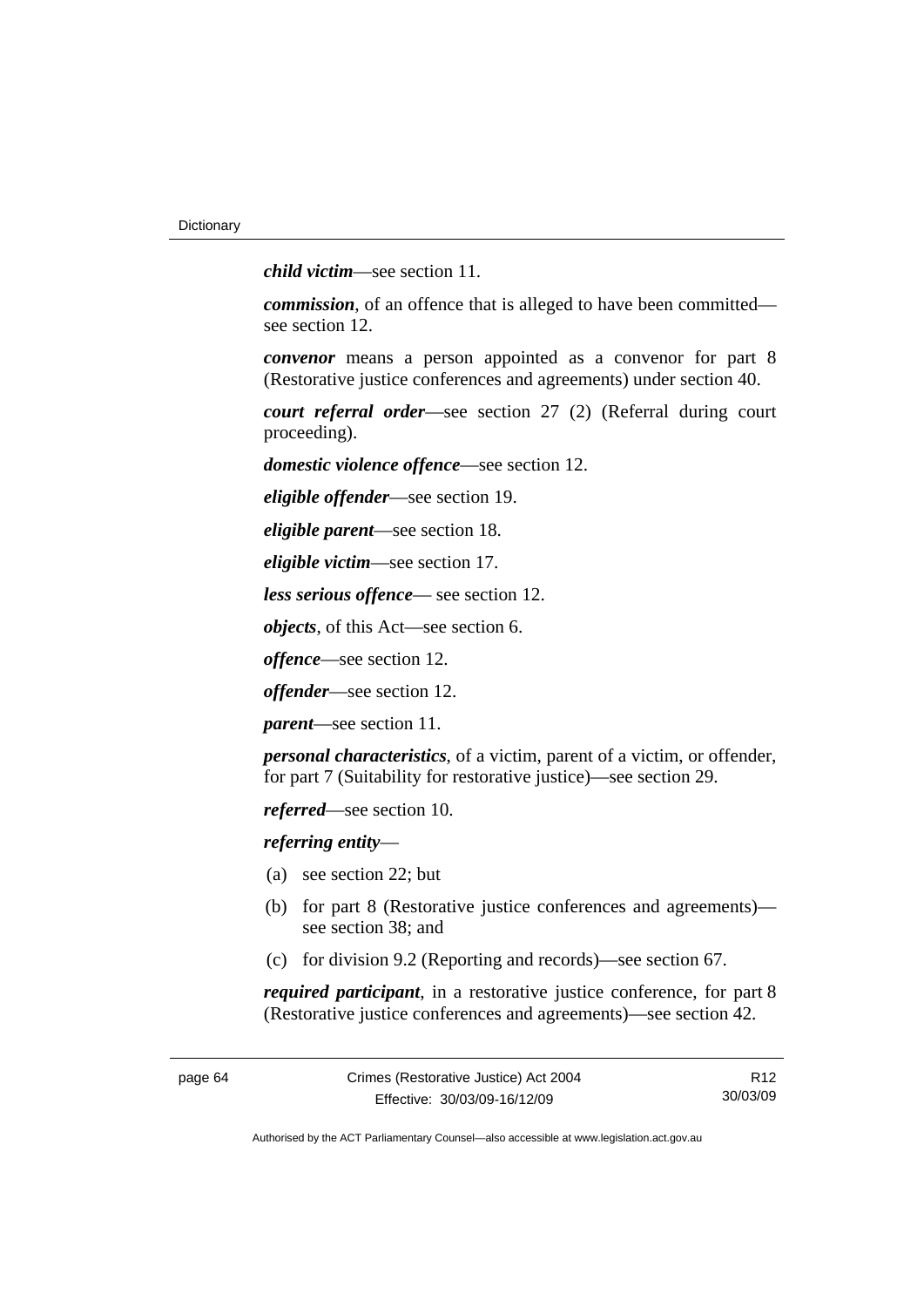*child victim*—see section 11.

*commission*, of an offence that is alleged to have been committed see section 12.

*convenor* means a person appointed as a convenor for part 8 (Restorative justice conferences and agreements) under section 40.

*court referral order*—see section 27 (2) (Referral during court proceeding).

*domestic violence offence*—see section 12.

*eligible offender*—see section 19.

*eligible parent*—see section 18.

*eligible victim*—see section 17.

*less serious offence*— see section 12.

*objects*, of this Act—see section 6.

*offence*—see section 12.

*offender*—see section 12.

*parent*—see section 11.

*personal characteristics*, of a victim, parent of a victim, or offender, for part 7 (Suitability for restorative justice)—see section 29.

*referred*—see section 10.

*referring entity*—

- (a) see section 22; but
- (b) for part 8 (Restorative justice conferences and agreements) see section 38; and
- (c) for division 9.2 (Reporting and records)—see section 67.

*required participant*, in a restorative justice conference, for part 8 (Restorative justice conferences and agreements)—see section 42.

R12 30/03/09

Authorised by the ACT Parliamentary Counsel—also accessible at www.legislation.act.gov.au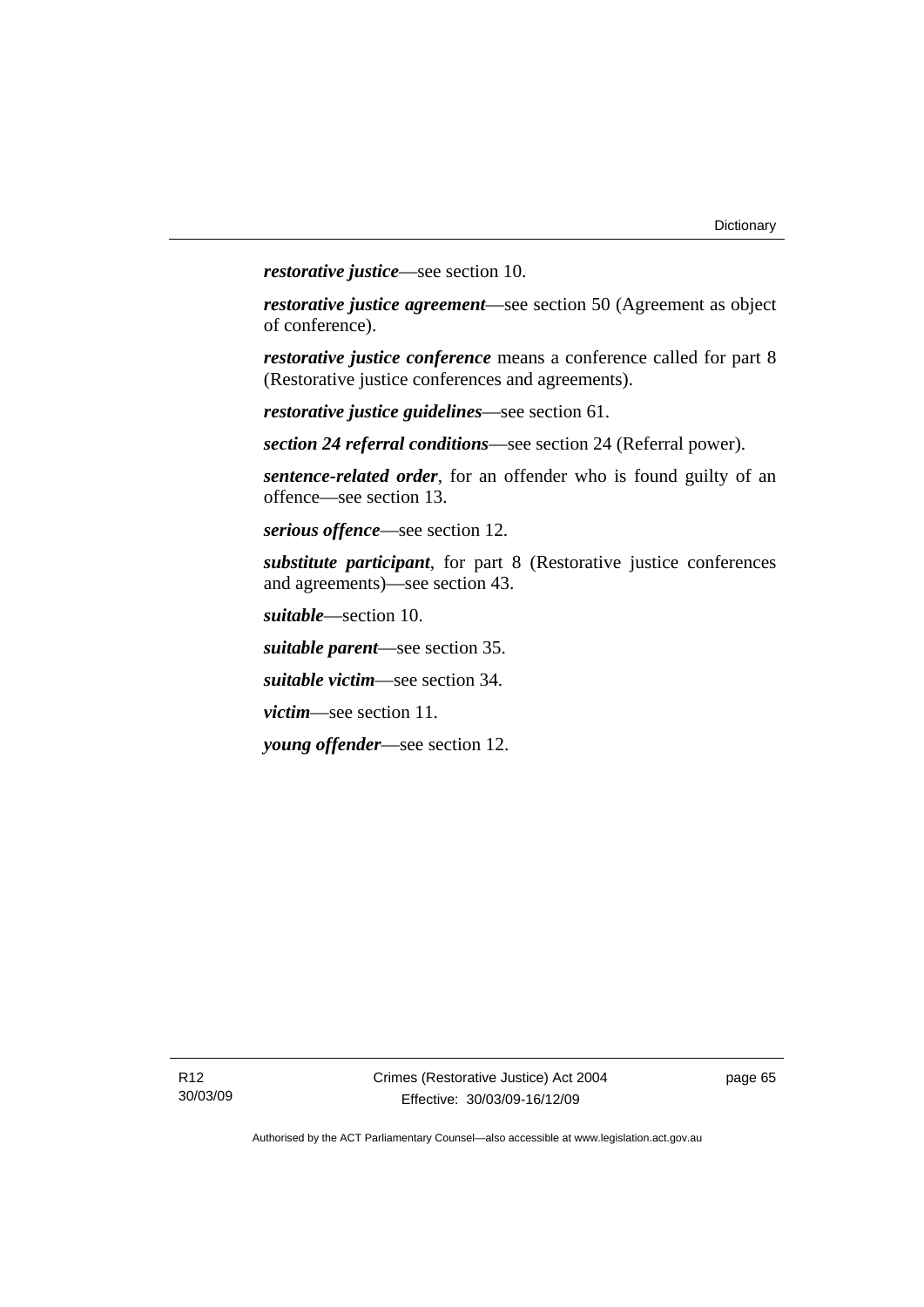*restorative justice*—see section 10.

*restorative justice agreement*—see section 50 (Agreement as object of conference).

*restorative justice conference* means a conference called for part 8 (Restorative justice conferences and agreements).

*restorative justice guidelines*—see section 61.

*section 24 referral conditions*—see section 24 (Referral power).

*sentence-related order*, for an offender who is found guilty of an offence—see section 13.

*serious offence*—see section 12.

*substitute participant*, for part 8 (Restorative justice conferences and agreements)—see section 43.

*suitable*—section 10.

*suitable parent*—see section 35.

*suitable victim*—see section 34.

*victim*—see section 11.

*young offender*—see section 12.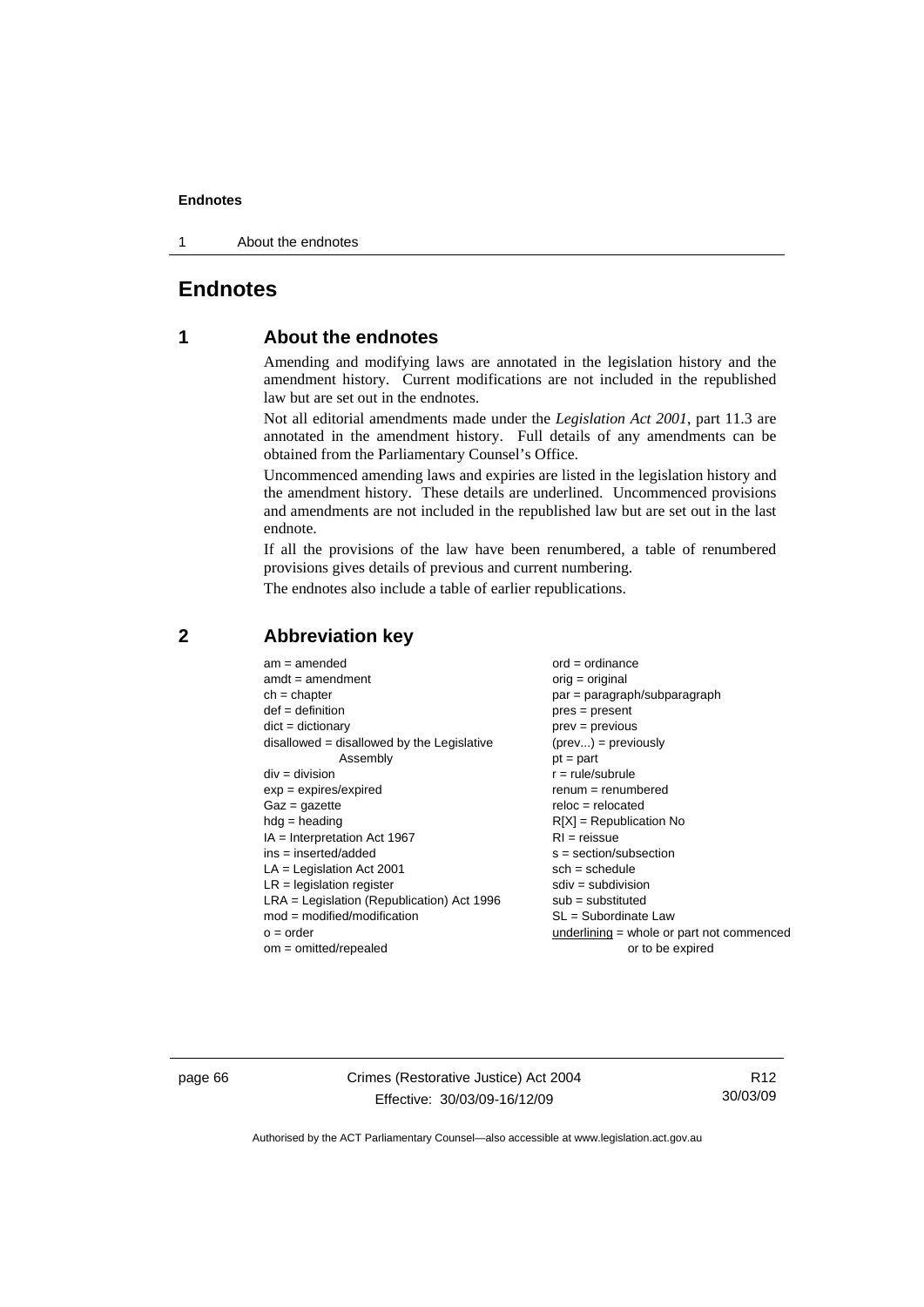1 About the endnotes

# **Endnotes**

# **1 About the endnotes**

Amending and modifying laws are annotated in the legislation history and the amendment history. Current modifications are not included in the republished law but are set out in the endnotes.

Not all editorial amendments made under the *Legislation Act 2001*, part 11.3 are annotated in the amendment history. Full details of any amendments can be obtained from the Parliamentary Counsel's Office.

Uncommenced amending laws and expiries are listed in the legislation history and the amendment history. These details are underlined. Uncommenced provisions and amendments are not included in the republished law but are set out in the last endnote.

If all the provisions of the law have been renumbered, a table of renumbered provisions gives details of previous and current numbering.

The endnotes also include a table of earlier republications.

| $am = amended$                               | $ord = ordinance$                           |
|----------------------------------------------|---------------------------------------------|
| $amdt = amendment$                           | $orig = original$                           |
| $ch = chapter$                               | $par = paragraph/subparagraph$              |
| $def = definition$                           | $pres = present$                            |
| $dict = dictionary$                          | $prev = previous$                           |
| disallowed = disallowed by the Legislative   | $(\text{prev}) = \text{previously}$         |
| Assembly                                     | $pt = part$                                 |
| $div = division$                             | $r = rule/subrule$                          |
| $exp = expires/expired$                      | $remum = renumbered$                        |
| $Gaz = gazette$                              | $reloc = relocated$                         |
| $hdg =$ heading                              | $R[X]$ = Republication No                   |
| $IA = Interpretation Act 1967$               | $RI = reissue$                              |
| $ins = inserted/added$                       | $s = section/subsection$                    |
| $LA =$ Legislation Act 2001                  | $sch = schedule$                            |
| $LR =$ legislation register                  | $sdiv = subdivision$                        |
| $LRA =$ Legislation (Republication) Act 1996 | $sub =$ substituted                         |
| $mod = modified/modification$                | SL = Subordinate Law                        |
| $o = order$                                  | underlining $=$ whole or part not commenced |
| $om = omitted/repealed$                      | or to be expired                            |
|                                              |                                             |

# **2 Abbreviation key**

page 66 Crimes (Restorative Justice) Act 2004 Effective: 30/03/09-16/12/09

R12 30/03/09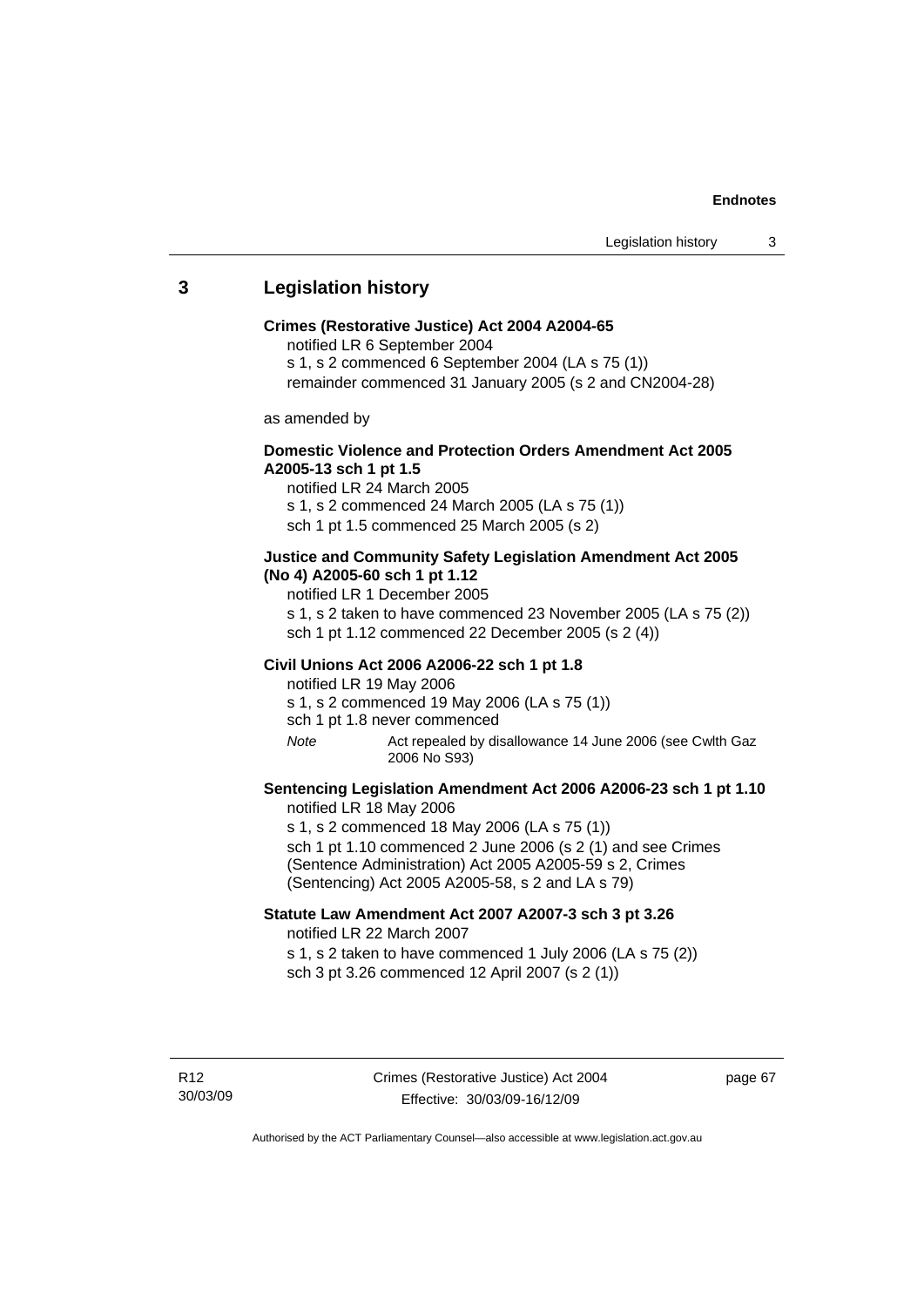# **3 Legislation history**

#### **Crimes (Restorative Justice) Act 2004 A2004-65**

notified LR 6 September 2004

s 1, s 2 commenced 6 September 2004 (LA s 75 (1))

remainder commenced 31 January 2005 (s 2 and CN2004-28)

as amended by

## **Domestic Violence and Protection Orders Amendment Act 2005 A2005-13 sch 1 pt 1.5**

notified LR 24 March 2005 s 1, s 2 commenced 24 March 2005 (LA s 75 (1)) sch 1 pt 1.5 commenced 25 March 2005 (s 2)

#### **Justice and Community Safety Legislation Amendment Act 2005 (No 4) A2005-60 sch 1 pt 1.12**

notified LR 1 December 2005

s 1, s 2 taken to have commenced 23 November 2005 (LA s 75 (2)) sch 1 pt 1.12 commenced 22 December 2005 (s 2 (4))

#### **Civil Unions Act 2006 A2006-22 sch 1 pt 1.8**

notified LR 19 May 2006 s 1, s 2 commenced 19 May 2006 (LA s 75 (1)) sch 1 pt 1.8 never commenced

*Note* Act repealed by disallowance 14 June 2006 (see Cwlth Gaz 2006 No S93)

### **Sentencing Legislation Amendment Act 2006 A2006-23 sch 1 pt 1.10**  notified LR 18 May 2006

s 1, s 2 commenced 18 May 2006 (LA s 75 (1)) sch 1 pt 1.10 commenced 2 June 2006 (s 2 (1) and see Crimes (Sentence Administration) Act 2005 A2005-59 s 2, Crimes (Sentencing) Act 2005 A2005-58, s 2 and LA s 79)

## **Statute Law Amendment Act 2007 A2007-3 sch 3 pt 3.26**  notified LR 22 March 2007

s 1, s 2 taken to have commenced 1 July 2006 (LA s 75 (2)) sch 3 pt 3.26 commenced 12 April 2007 (s 2 (1))

page 67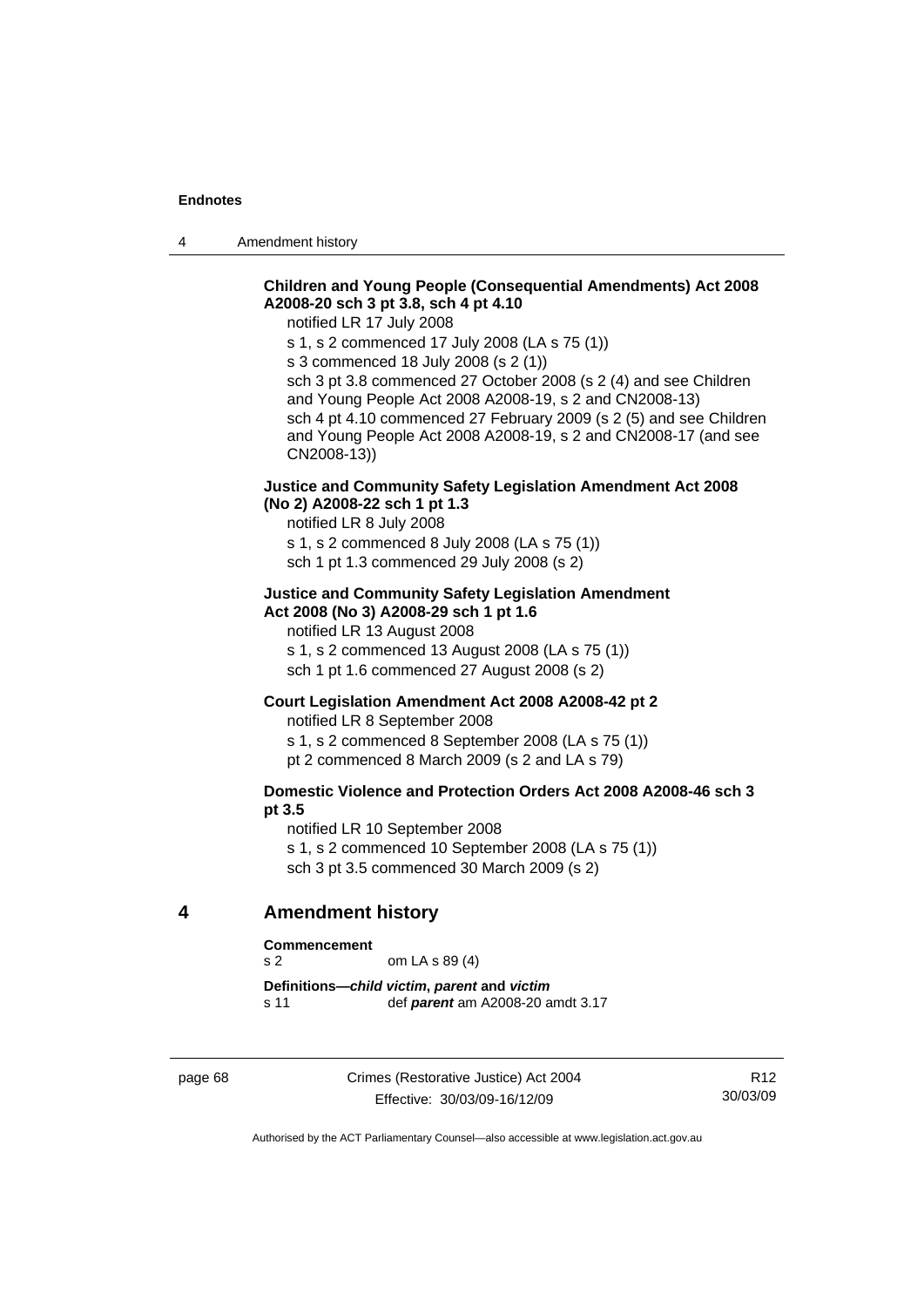4 Amendment history

# **Children and Young People (Consequential Amendments) Act 2008 A2008-20 sch 3 pt 3.8, sch 4 pt 4.10**

notified LR 17 July 2008

s 1, s 2 commenced 17 July 2008 (LA s 75 (1))

s 3 commenced 18 July 2008 (s 2 (1))

sch 3 pt 3.8 commenced 27 October 2008 (s 2 (4) and see Children and Young People Act 2008 A2008-19, s 2 and CN2008-13) sch 4 pt 4.10 commenced 27 February 2009 (s 2 (5) and see Children and Young People Act 2008 A2008-19, s 2 and CN2008-17 (and see CN2008-13))

## **Justice and Community Safety Legislation Amendment Act 2008 (No 2) A2008-22 sch 1 pt 1.3**

notified LR 8 July 2008

s 1, s 2 commenced 8 July 2008 (LA s 75 (1)) sch 1 pt 1.3 commenced 29 July 2008 (s 2)

#### **Justice and Community Safety Legislation Amendment Act 2008 (No 3) A2008-29 sch 1 pt 1.6**

notified LR 13 August 2008

s 1, s 2 commenced 13 August 2008 (LA s 75 (1)) sch 1 pt 1.6 commenced 27 August 2008 (s 2)

### **Court Legislation Amendment Act 2008 A2008-42 pt 2**

notified LR 8 September 2008

s 1, s 2 commenced 8 September 2008 (LA s 75 (1))

pt 2 commenced 8 March 2009 (s 2 and LA s 79)

## **Domestic Violence and Protection Orders Act 2008 A2008-46 sch 3 pt 3.5**

notified LR 10 September 2008 s 1, s 2 commenced 10 September 2008 (LA s 75 (1)) sch 3 pt 3.5 commenced 30 March 2009 (s 2)

# **4 Amendment history**

#### **Commencement**

s 2 om LA s 89 (4)

**Definitions—***child victim***,** *parent* **and** *victim* s 11 def *parent* am A2008-20 amdt 3.17

page 68 Crimes (Restorative Justice) Act 2004 Effective: 30/03/09-16/12/09

R12 30/03/09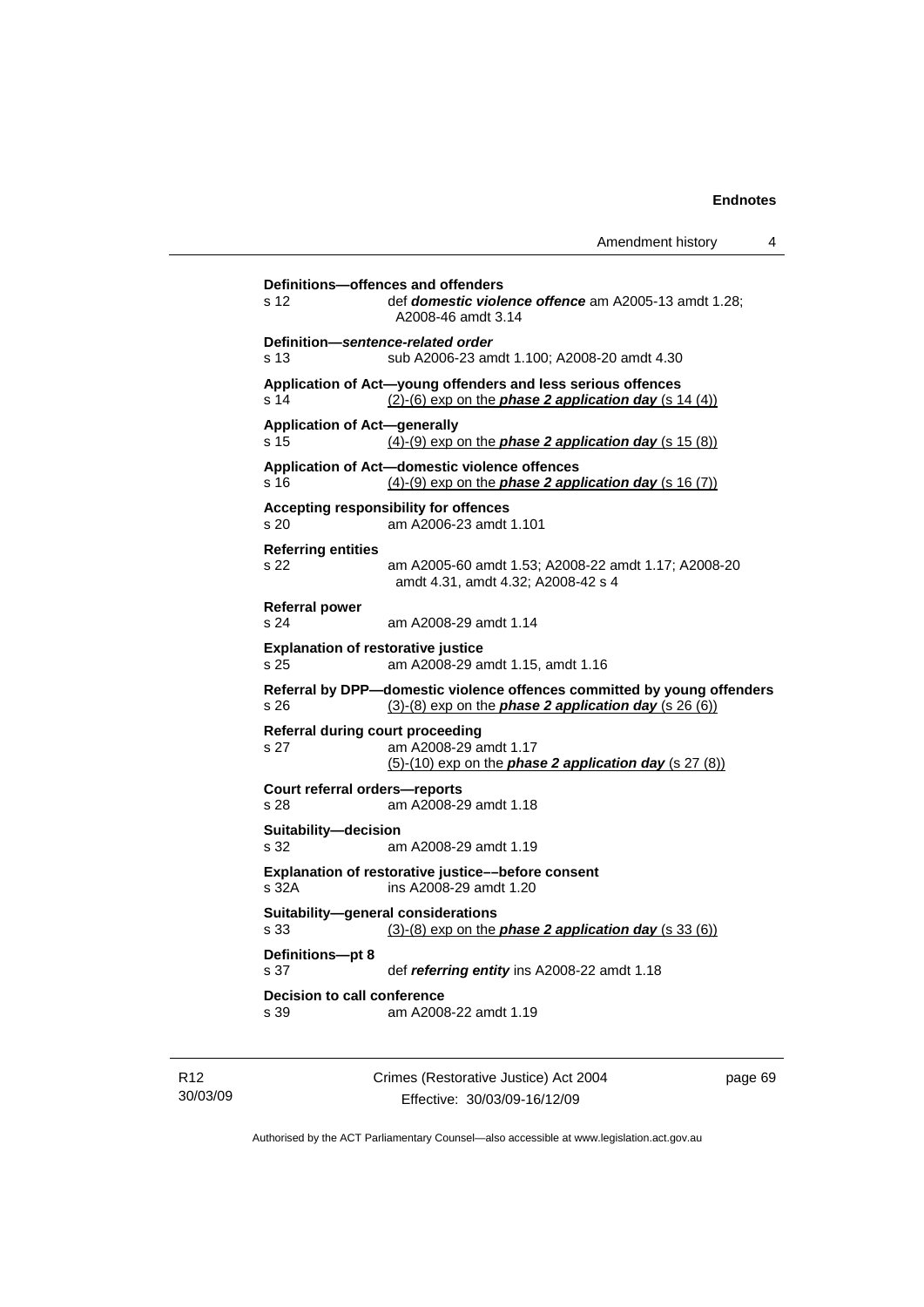```
Definitions—offences and offenders 
s 12 def domestic violence offence am A2005-13 amdt 1.28; 
                 A2008-46 amdt 3.14 
Definition—sentence-related order 
s 13 sub A2006-23 amdt 1.100; A2008-20 amdt 4.30 
Application of Act—young offenders and less serious offences 
s 14 (2)-(6) exp on the phase 2 application day (s 14 (4))
Application of Act—generally 
s 15 (4)-(9) exp on the phase 2 application day (s 15 (8))
Application of Act—domestic violence offences 
s 16 (4)-(9) exp on the phase 2 application day (s 16 (7))
Accepting responsibility for offences 
s 20 am A2006-23 amdt 1.101 
Referring entities 
s 22 am A2005-60 amdt 1.53; A2008-22 amdt 1.17; A2008-20 
                 amdt 4.31, amdt 4.32; A2008-42 s 4 
Referral power 
s 24 am A2008-29 amdt 1.14 
Explanation of restorative justice 
s 25 am A2008-29 amdt 1.15, amdt 1.16 
Referral by DPP—domestic violence offences committed by young offenders 
s 26 (3)-(8) exp on the phase 2 application day (s 26 (6))
Referral during court proceeding 
s 27 am A2008-29 amdt 1.17 
                 (5)-(10) exp on the phase 2 application day (s 27 (8))
Court referral orders—reports 
s 28 am A2008-29 amdt 1.18 
Suitability—decision 
s 32 am A2008-29 amdt 1.19 
Explanation of restorative justice––before consent 
s 32A ins A2008-29 amdt 1.20 
Suitability—general considerations 
s 33 (3)-(8) exp on the phase 2 application day (s 33 (6))
Definitions—pt 8 
s 37 def referring entity ins A2008-22 amdt 1.18 
Decision to call conference 
s 39 am A2008-22 amdt 1.19
```
R12 30/03/09 Crimes (Restorative Justice) Act 2004 Effective: 30/03/09-16/12/09

page 69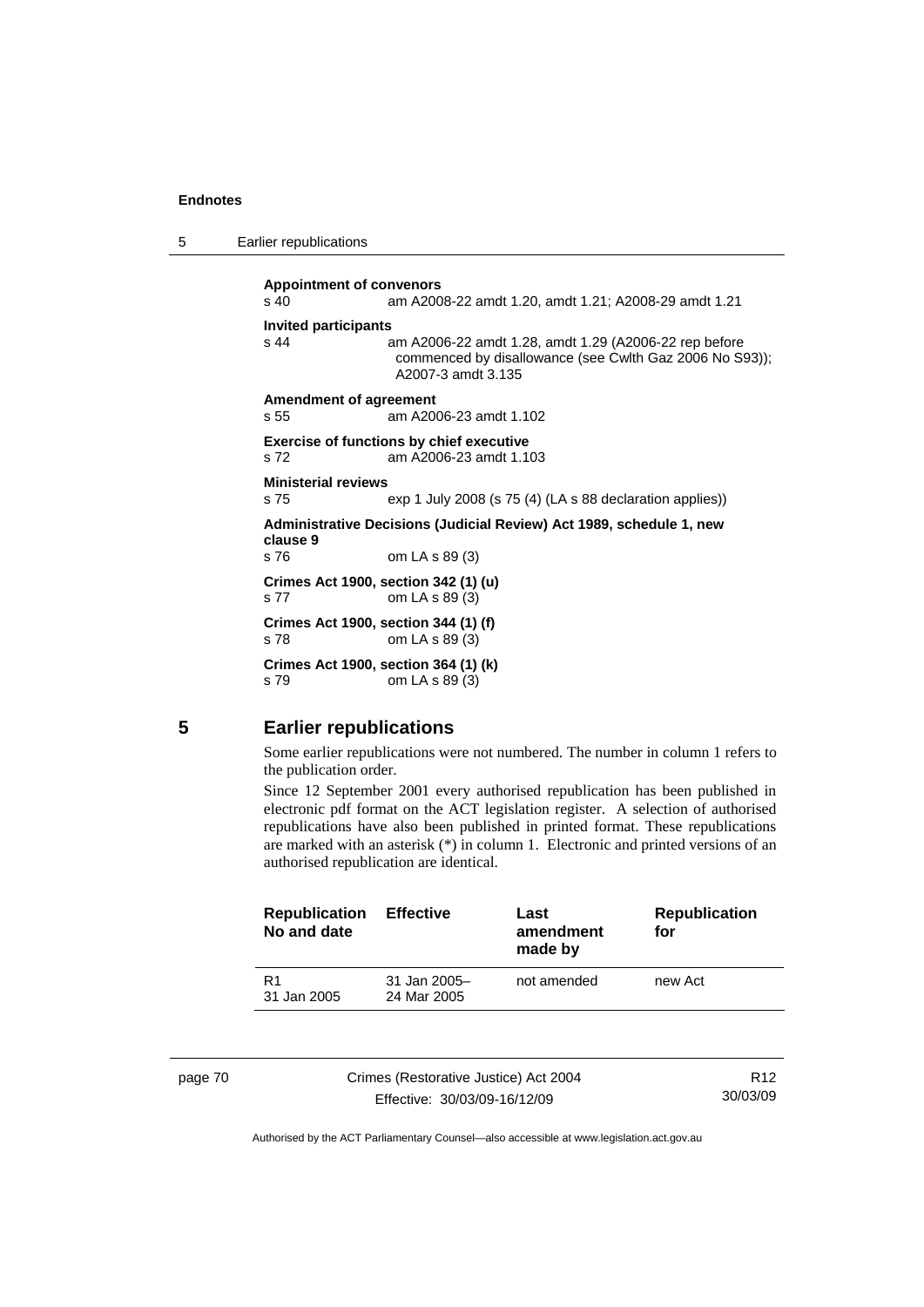| 5 |  | Earlier republications |
|---|--|------------------------|
|---|--|------------------------|

**Appointment of convenors**  s 40 am A2008-22 amdt 1.20, amdt 1.21; A2008-29 amdt 1.21 **Invited participants**  s 44 am A2006-22 amdt 1.28, amdt 1.29 (A2006-22 rep before commenced by disallowance (see Cwlth Gaz 2006 No S93)); A2007-3 amdt 3.135 **Amendment of agreement**  s 55 am A2006-23 amdt 1.102 **Exercise of functions by chief executive**  s 72 am A2006-23 amdt 1.103 **Ministerial reviews**  s 75 exp 1 July 2008 (s 75 (4) (LA s 88 declaration applies)) **Administrative Decisions (Judicial Review) Act 1989, schedule 1, new clause 9**  s 76 om LA s 89 (3) **Crimes Act 1900, section 342 (1) (u)**  s 77 om LA s 89 (3) **Crimes Act 1900, section 344 (1) (f)**  s 78 om LA s 89 (3) **Crimes Act 1900, section 364 (1) (k)**  s 79 om LA s 89 (3)

### **5 Earlier republications**

Some earlier republications were not numbered. The number in column 1 refers to the publication order.

Since 12 September 2001 every authorised republication has been published in electronic pdf format on the ACT legislation register. A selection of authorised republications have also been published in printed format. These republications are marked with an asterisk (\*) in column 1. Electronic and printed versions of an authorised republication are identical.

| <b>Republication</b><br>No and date | <b>Effective</b>              | Last<br>amendment<br>made by | <b>Republication</b><br>for |
|-------------------------------------|-------------------------------|------------------------------|-----------------------------|
| R <sub>1</sub><br>31 Jan 2005       | $31$ Jan 2005-<br>24 Mar 2005 | not amended                  | new Act                     |
|                                     |                               |                              |                             |

page 70 Crimes (Restorative Justice) Act 2004 Effective: 30/03/09-16/12/09

R12 30/03/09